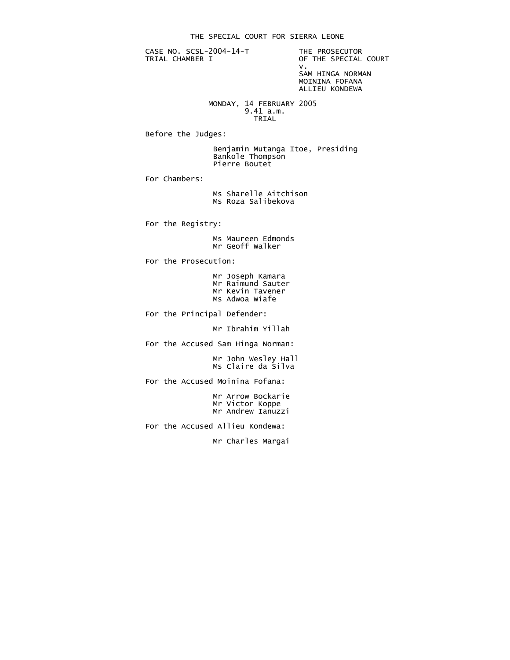CASE NO. SCSL-2004-14-T THE PROSECUTOR<br>TRIAL CHAMBER I OF THE SPECIAL

OF THE SPECIAL COURT<br>V. v. SAM HINGA NORMAN MOININA FOFANA

ALLIEU KONDEWA

 MONDAY, 14 FEBRUARY 2005 9.41 a.m. **TRIAL** 

Before the Judges:

 Benjamin Mutanga Itoe, Presiding Bankole Thompson Pierre Boutet

For Chambers:

 Ms Sharelle Aitchison Ms Roza Salibekova

For the Registry:

 Ms Maureen Edmonds Mr Geoff Walker

For the Prosecution:

 Mr Joseph Kamara Mr Raimund Sauter Mr Kevin Tavener Ms Adwoa Wiafe

For the Principal Defender:

Mr Ibrahim Yillah

For the Accused Sam Hinga Norman:

 Mr John Wesley Hall Ms Claire da Silva

For the Accused Moinina Fofana:

 Mr Arrow Bockarie Mr Victor Koppe Mr Andrew Ianuzzi

For the Accused Allieu Kondewa:

Mr Charles Margai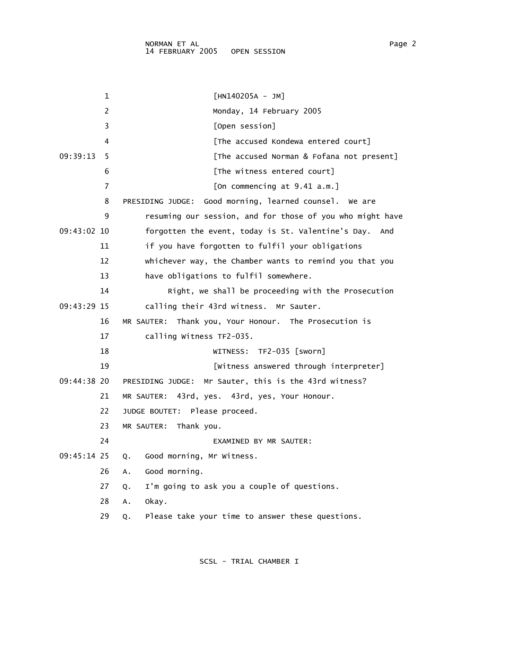|             | 1  | $[HM140205A - JM]$                                        |
|-------------|----|-----------------------------------------------------------|
|             | 2  | Monday, 14 February 2005                                  |
|             | 3  | [Open session]                                            |
|             | 4  | [The accused Kondewa entered court]                       |
| 09:39:13    | 5  | [The accused Norman & Fofana not present]                 |
|             | 6  | [The witness entered court]                               |
|             | 7  | [On commencing at 9.41 a.m.]                              |
|             | 8  | Good morning, learned counsel. We are<br>PRESIDING JUDGE: |
|             | 9  | resuming our session, and for those of you who might have |
| 09:43:02 10 |    | forgotten the event, today is St. Valentine's Day. And    |
|             | 11 | if you have forgotten to fulfil your obligations          |
|             | 12 | whichever way, the Chamber wants to remind you that you   |
|             | 13 | have obligations to fulfil somewhere.                     |
|             | 14 | Right, we shall be proceeding with the Prosecution        |
| 09:43:29 15 |    | calling their 43rd witness. Mr Sauter.                    |
|             | 16 | MR SAUTER:<br>Thank you, Your Honour. The Prosecution is  |
|             | 17 | calling Witness TF2-035.                                  |
|             | 18 | WITNESS: TF2-035 [sworn]                                  |
|             | 19 | [Witness answered through interpreter]                    |
| 09:44:38 20 |    | Mr Sauter, this is the 43rd witness?<br>PRESIDING JUDGE:  |
|             | 21 | MR SAUTER: 43rd, yes. 43rd, yes, Your Honour.             |
|             | 22 | JUDGE BOUTET:<br>Please proceed.                          |
|             | 23 | MR SAUTER: Thank you.                                     |
|             | 24 | EXAMINED BY MR SAUTER:                                    |
| 09:45:14 25 |    | Good morning, Mr Witness.<br>Q.                           |
|             | 26 | Good morning.<br>Α.                                       |
|             | 27 | I'm going to ask you a couple of questions.<br>Q.         |
|             | 28 | okay.<br>A.                                               |
|             | 29 | Please take your time to answer these questions.<br>Q.    |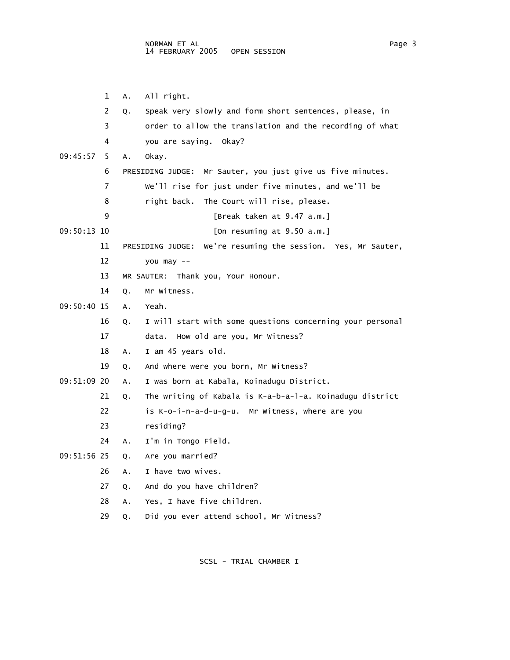1 A. All right. 2 Q. Speak very slowly and form short sentences, please, in 3 order to allow the translation and the recording of what 4 you are saying. Okay? 09:45:57 5 A. Okay. 6 PRESIDING JUDGE: Mr Sauter, you just give us five minutes. 7 We'll rise for just under five minutes, and we'll be 8 right back. The Court will rise, please. 9 [Break taken at 9.47 a.m.] 09:50:13 10 [On resuming at 9.50 a.m.] 11 PRESIDING JUDGE: We're resuming the session. Yes, Mr Sauter, 12 you may -- 13 MR SAUTER: Thank you, Your Honour. 14 Q. Mr Witness. 09:50:40 15 A. Yeah. 16 Q. I will start with some questions concerning your personal 17 data. How old are you, Mr Witness? 18 A. I am 45 years old. 19 Q. And where were you born, Mr Witness? 09:51:09 20 A. I was born at Kabala, Koinadugu District. 21 Q. The writing of Kabala is K-a-b-a-l-a. Koinadugu district 22 is K-o-i-n-a-d-u-g-u. Mr Witness, where are you 23 residing? 24 A. I'm in Tongo Field. 09:51:56 25 Q. Are you married? 26 A. I have two wives. 27 Q. And do you have children? 28 A. Yes, I have five children. 29 Q. Did you ever attend school, Mr Witness?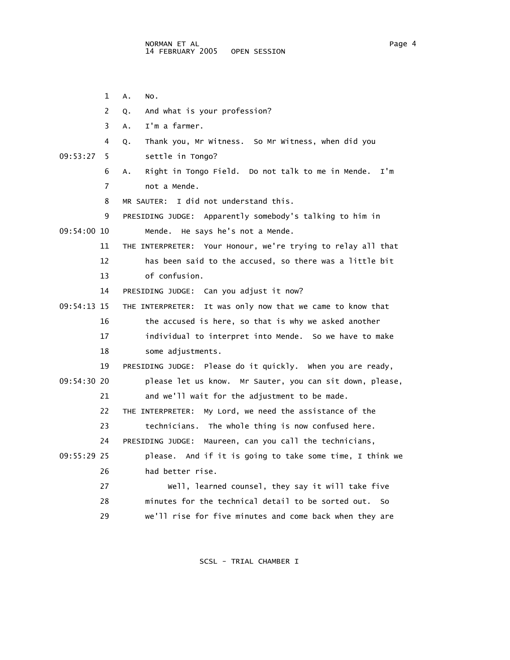1 A. No. 2 Q. And what is your profession? 3 A. I'm a farmer. 4 Q. Thank you, Mr Witness. So Mr Witness, when did you 09:53:27 5 settle in Tongo? 6 A. Right in Tongo Field. Do not talk to me in Mende. I'm 7 not a Mende. 8 MR SAUTER: I did not understand this. 9 PRESIDING JUDGE: Apparently somebody's talking to him in 09:54:00 10 Mende. He says he's not a Mende. 11 THE INTERPRETER: Your Honour, we're trying to relay all that 12 has been said to the accused, so there was a little bit 13 of confusion. 14 PRESIDING JUDGE: Can you adjust it now? 09:54:13 15 THE INTERPRETER: It was only now that we came to know that 16 the accused is here, so that is why we asked another 17 individual to interpret into Mende. So we have to make 18 some adjustments. 19 PRESIDING JUDGE: Please do it quickly. When you are ready, 09:54:30 20 please let us know. Mr Sauter, you can sit down, please, 21 and we'll wait for the adjustment to be made. 22 THE INTERPRETER: My Lord, we need the assistance of the 23 technicians. The whole thing is now confused here. 24 PRESIDING JUDGE: Maureen, can you call the technicians, 09:55:29 25 please. And if it is going to take some time, I think we 26 had better rise. 27 Well, learned counsel, they say it will take five 28 minutes for the technical detail to be sorted out. So 29 we'll rise for five minutes and come back when they are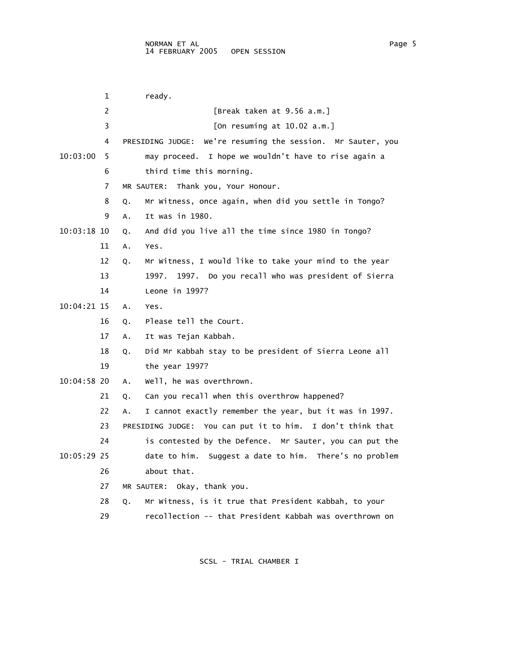|             | 1  | ready.                                                         |
|-------------|----|----------------------------------------------------------------|
|             | 2  | [Break taken at 9.56 a.m.]                                     |
|             | 3  | [On resuming at $10.02$ a.m.]                                  |
|             | 4  | We're resuming the session. Mr Sauter, you<br>PRESIDING JUDGE: |
| 10:03:00    | 5  | I hope we wouldn't have to rise again a<br>may proceed.        |
|             | 6  | third time this morning.                                       |
|             | 7  | Thank you, Your Honour.<br>MR SAUTER:                          |
|             | 8  | Mr Witness, once again, when did you settle in Tongo?<br>Q.    |
|             | 9  | It was in 1980.<br>Α.                                          |
| 10:03:18 10 |    | And did you live all the time since 1980 in Tongo?<br>Q.       |
|             | 11 | Yes.<br>А.                                                     |
|             | 12 | Mr Witness, I would like to take your mind to the year<br>Q.   |
|             | 13 | Do you recall who was president of Sierra<br>1997.<br>1997.    |
|             | 14 | Leone in $1997$ ?                                              |
| 10:04:21 15 |    | Α.<br>Yes.                                                     |
|             | 16 | Please tell the Court.<br>Q.                                   |
|             | 17 | It was Tejan Kabbah.<br>Α.                                     |
|             | 18 | Did Mr Kabbah stay to be president of Sierra Leone all<br>Q.   |
|             | 19 | the year 1997?                                                 |
| 10:04:58 20 |    | well, he was overthrown.<br>Α.                                 |
|             | 21 | Can you recall when this overthrow happened?<br>Q.             |
|             | 22 | I cannot exactly remember the year, but it was in 1997.<br>А.  |
|             | 23 | PRESIDING JUDGE: You can put it to him. I don't think that     |
|             | 24 | is contested by the Defence. Mr Sauter, you can put the        |
| 10:05:29 25 |    | date to him. Suggest a date to him. There's no problem         |
|             | 26 | about that.                                                    |
|             | 27 | MR SAUTER: Okay, thank you.                                    |
|             | 28 | Mr Witness, is it true that President Kabbah, to your<br>Q.    |
|             | 29 | recollection -- that President Kabbah was overthrown on        |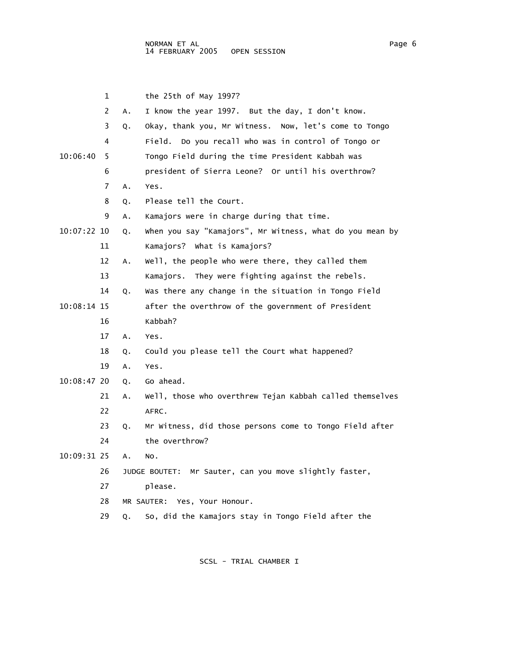|             | 1              |    | the $25th$ of May 1997?                                  |
|-------------|----------------|----|----------------------------------------------------------|
|             | $\overline{2}$ | A. | I know the year 1997. But the day, I don't know.         |
|             | 3              | Q. | Okay, thank you, Mr Witness. Now, let's come to Tongo    |
|             | 4              |    | Field. Do you recall who was in control of Tongo or      |
| 10:06:40    | 5.             |    | Tongo Field during the time President Kabbah was         |
|             | 6              |    | president of Sierra Leone? Or until his overthrow?       |
|             | 7              | Α. | Yes.                                                     |
|             | 8              | Q. | Please tell the Court.                                   |
|             | 9              | Α. | Kamajors were in charge during that time.                |
| 10:07:22 10 |                | Q. | when you say "Kamajors", Mr Witness, what do you mean by |
|             | 11             |    | Kamajors? What is Kamajors?                              |
|             | 12             | Α. | well, the people who were there, they called them        |
|             | 13             |    | They were fighting against the rebels.<br>Kamajors.      |
|             | 14             | Q. | Was there any change in the situation in Tongo Field     |
| 10:08:14 15 |                |    | after the overthrow of the government of President       |
|             | 16             |    | Kabbah?                                                  |
|             | 17             | Α. | Yes.                                                     |
|             | 18             | Q. | Could you please tell the Court what happened?           |
|             | 19             | Α. | Yes.                                                     |
| 10:08:47 20 |                | Q. | Go ahead.                                                |
|             | 21             | А. | Well, those who overthrew Tejan Kabbah called themselves |
|             | 22             |    | AFRC.                                                    |
|             | 23             | Q. | Mr Witness, did those persons come to Tongo Field after  |
|             | 24             |    | the overthrow?                                           |
| 10:09:31 25 |                | Α. | NO.                                                      |
|             | 26             |    | JUDGE BOUTET: Mr Sauter, can you move slightly faster,   |
|             | 27             |    | please.                                                  |
|             | 28             |    | MR SAUTER: Yes, Your Honour.                             |
|             | 29             | Q. | So, did the Kamajors stay in Tongo Field after the       |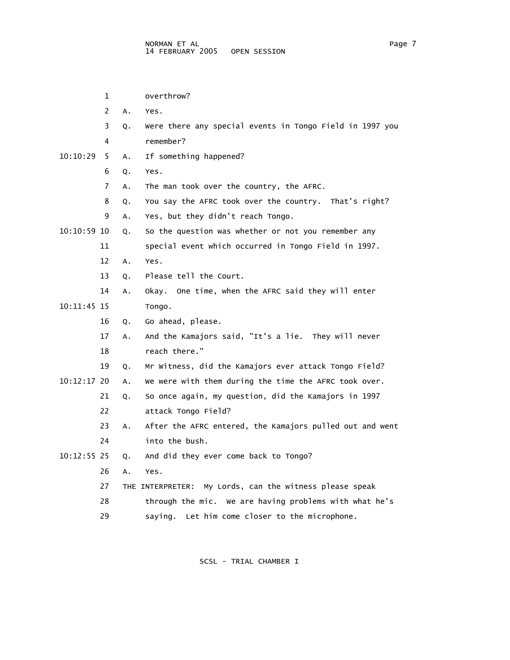|               | 1  |    | overthrow?                                                 |
|---------------|----|----|------------------------------------------------------------|
|               | 2  | A. | Yes.                                                       |
|               | 3  | Q. | Were there any special events in Tongo Field in 1997 you   |
|               | 4  |    | remember?                                                  |
| 10:10:29      | 5. | A. | If something happened?                                     |
|               | 6  | Q. | Yes.                                                       |
|               | 7  | A. | The man took over the country, the AFRC.                   |
|               | 8  | Q. | You say the AFRC took over the country. That's right?      |
|               | 9  | Α. | Yes, but they didn't reach Tongo.                          |
| 10:10:59 10   |    | Q. | So the question was whether or not you remember any        |
|               | 11 |    | special event which occurred in Tongo Field in 1997.       |
|               | 12 | А. | Yes.                                                       |
|               | 13 | Q. | Please tell the Court.                                     |
|               | 14 | Α. | Okay. One time, when the AFRC said they will enter         |
| 10:11:45 15   |    |    | Tongo.                                                     |
|               | 16 | Q. | Go ahead, please.                                          |
|               | 17 | Α. | And the Kamajors said, "It's a lie. They will never        |
|               | 18 |    | reach there."                                              |
|               | 19 | Q. | Mr Witness, did the Kamajors ever attack Tongo Field?      |
| 10:12:17 20   |    | A. | We were with them during the time the AFRC took over.      |
|               | 21 | Q. | So once again, my question, did the Kamajors in 1997       |
|               | 22 |    | attack Tongo Field?                                        |
|               | 23 | Α. | After the AFRC entered, the Kamajors pulled out and went   |
|               | 24 |    | into the bush.                                             |
| $10:12:55$ 25 |    | Q. | And did they ever come back to Tongo?                      |
|               | 26 | А. | Yes.                                                       |
|               | 27 |    | My Lords, can the witness please speak<br>THE INTERPRETER: |
|               | 28 |    | through the mic. We are having problems with what he's     |
|               | 29 |    | Let him come closer to the microphone.<br>saying.          |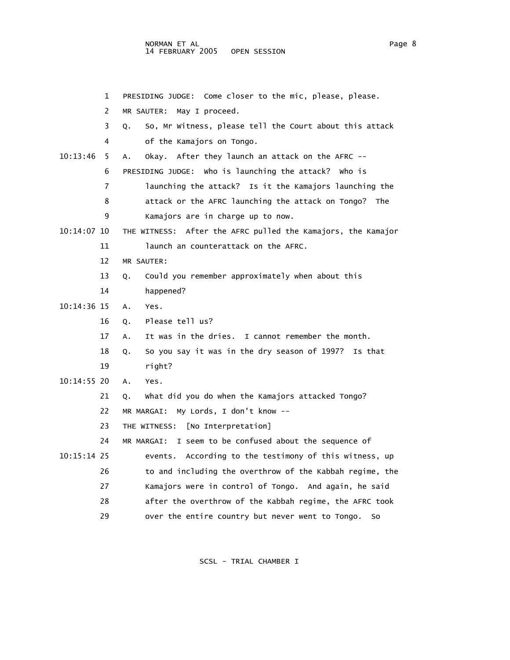1 PRESIDING JUDGE: Come closer to the mic, please, please. 2 MR SAUTER: May I proceed. 3 Q. So, Mr Witness, please tell the Court about this attack 4 of the Kamajors on Tongo. 10:13:46 5 A. Okay. After they launch an attack on the AFRC -- 6 PRESIDING JUDGE: Who is launching the attack? Who is 7 launching the attack? Is it the Kamajors launching the 8 attack or the AFRC launching the attack on Tongo? The 9 Kamajors are in charge up to now. 10:14:07 10 THE WITNESS: After the AFRC pulled the Kamajors, the Kamajor 11 **launch an counterattack on the AFRC.**  12 MR SAUTER: 13 Q. Could you remember approximately when about this 14 happened? 10:14:36 15 A. Yes. 16 Q. Please tell us? 17 A. It was in the dries. I cannot remember the month. 18 Q. So you say it was in the dry season of 1997? Is that 19 right? 10:14:55 20 A. Yes. 21 Q. What did you do when the Kamajors attacked Tongo? 22 MR MARGAI: My Lords, I don't know -- 23 THE WITNESS: [No Interpretation] 24 MR MARGAI: I seem to be confused about the sequence of 10:15:14 25 events. According to the testimony of this witness, up 26 to and including the overthrow of the Kabbah regime, the 27 Kamajors were in control of Tongo. And again, he said 28 after the overthrow of the Kabbah regime, the AFRC took 29 over the entire country but never went to Tongo. So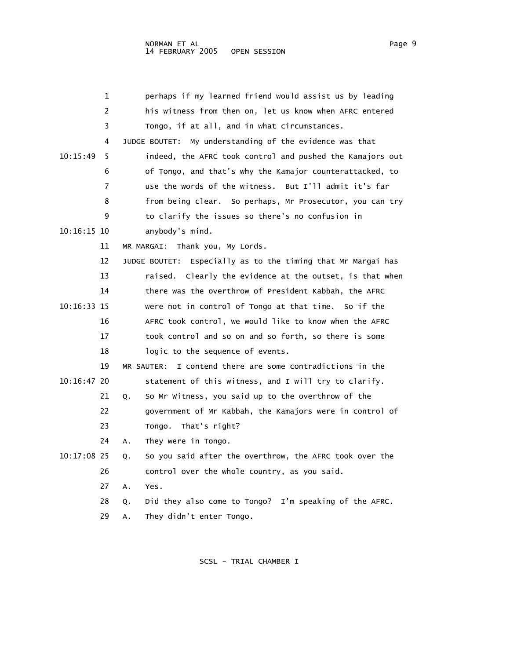|             | 1  | perhaps if my learned friend would assist us by leading         |
|-------------|----|-----------------------------------------------------------------|
|             | 2  | his witness from then on, let us know when AFRC entered         |
|             | 3  | Tongo, if at all, and in what circumstances.                    |
|             | 4  | My understanding of the evidence was that<br>JUDGE BOUTET:      |
| 10:15:49    | 5  | indeed, the AFRC took control and pushed the Kamajors out       |
|             | 6  | of Tongo, and that's why the Kamajor counterattacked, to        |
|             | 7  | use the words of the witness. But I'll admit it's far           |
|             | 8  | from being clear. So perhaps, Mr Prosecutor, you can try        |
|             | 9  | to clarify the issues so there's no confusion in                |
| 10:16:15 10 |    | anybody's mind.                                                 |
|             | 11 | MR MARGAI: Thank you, My Lords.                                 |
|             | 12 | Especially as to the timing that Mr Margai has<br>JUDGE BOUTET: |
|             | 13 | raised. Clearly the evidence at the outset, is that when        |
|             | 14 | there was the overthrow of President Kabbah, the AFRC           |
| 10:16:33 15 |    | were not in control of Tongo at that time. So if the            |
|             | 16 | AFRC took control, we would like to know when the AFRC          |
|             | 17 | took control and so on and so forth, so there is some           |
|             | 18 | logic to the sequence of events.                                |
|             | 19 | I contend there are some contradictions in the<br>MR SAUTER:    |
| 10:16:47 20 |    | statement of this witness, and I will try to clarify.           |
|             | 21 | So Mr Witness, you said up to the overthrow of the<br>Q.        |
|             | 22 | government of Mr Kabbah, the Kamajors were in control of        |
|             | 23 | That's right?<br>Tongo.                                         |
|             | 24 | They were in Tongo.<br>А.                                       |
| 10:17:08 25 |    | So you said after the overthrow, the AFRC took over the<br>Q.   |
|             | 26 | control over the whole country, as you said.                    |
|             | 27 | Α.<br>Yes.                                                      |
|             | 28 | Did they also come to Tongo? I'm speaking of the AFRC.<br>Q.    |
|             | 29 | They didn't enter Tongo.<br>Α.                                  |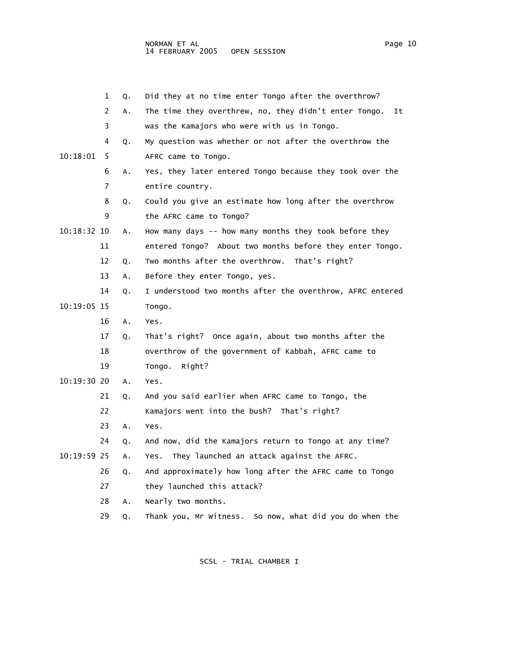|             | 1  | Q. | Did they at no time enter Tongo after the overthrow?        |
|-------------|----|----|-------------------------------------------------------------|
|             | 2  | Α. | The time they overthrew, no, they didn't enter Tongo.<br>It |
|             | 3  |    | was the Kamajors who were with us in Tongo.                 |
|             | 4  | Q. | My question was whether or not after the overthrow the      |
| 10:18:01    | 5  |    | AFRC came to Tongo.                                         |
|             | 6  | Α. | Yes, they later entered Tongo because they took over the    |
|             | 7  |    | entire country.                                             |
|             | 8  | Q. | Could you give an estimate how long after the overthrow     |
|             | 9  |    | the AFRC came to Tongo?                                     |
| 10:18:32 10 |    | Α. | How many days -- how many months they took before they      |
|             | 11 |    | entered Tongo? About two months before they enter Tongo.    |
|             | 12 | Q. | Two months after the overthrow. That's right?               |
|             | 13 | Α. | Before they enter Tongo, yes.                               |
|             | 14 | Q. | I understood two months after the overthrow, AFRC entered   |
| 10:19:05 15 |    |    | Tongo.                                                      |
|             | 16 | Α. | Yes.                                                        |
|             | 17 | Q. | That's right? Once again, about two months after the        |
|             | 18 |    | overthrow of the government of Kabbah, AFRC came to         |
|             | 19 |    | Right?<br>Tongo.                                            |
| 10:19:30 20 |    | A. | Yes.                                                        |
|             | 21 | Q. | And you said earlier when AFRC came to Tongo, the           |
|             | 22 |    | Kamajors went into the bush? That's right?                  |
|             | 23 | Α. | Yes.                                                        |
|             | 24 | Q. | And now, did the Kamajors return to Tongo at any time?      |
| 10:19:59 25 |    | Α. | They launched an attack against the AFRC.<br>Yes.           |
|             | 26 | Q. | And approximately how long after the AFRC came to Tongo     |
|             | 27 |    | they launched this attack?                                  |
|             | 28 | Α. | Nearly two months.                                          |
|             | 29 | Q. | Thank you, Mr Witness. So now, what did you do when the     |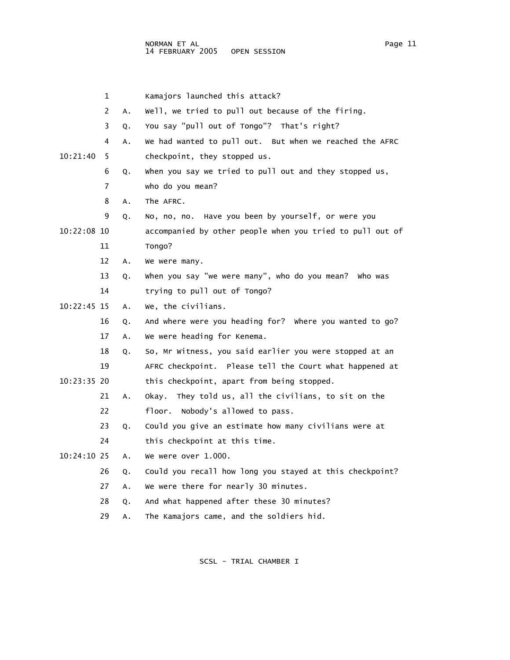|             | 1              |    | Kamajors launched this attack?                            |
|-------------|----------------|----|-----------------------------------------------------------|
|             | $\overline{2}$ | A. | Well, we tried to pull out because of the firing.         |
|             | 3              | Q. | You say "pull out of Tongo"? That's right?                |
|             | 4              | A. | We had wanted to pull out. But when we reached the AFRC   |
| 10:21:40    | 5              |    | checkpoint, they stopped us.                              |
|             | 6              | Q. | when you say we tried to pull out and they stopped us,    |
|             | $\overline{7}$ |    | who do you mean?                                          |
|             | 8              | Α. | The AFRC.                                                 |
|             | 9              | Q. | No, no, no. Have you been by yourself, or were you        |
| 10:22:08 10 |                |    | accompanied by other people when you tried to pull out of |
|             | 11             |    | Tongo?                                                    |
|             | 12             | Α. | We were many.                                             |
|             | 13             | Q. | when you say "we were many", who do you mean? Who was     |
|             | 14             |    | trying to pull out of Tongo?                              |
| 10:22:45 15 |                | Α. | We, the civilians.                                        |
|             | 16             | Q. | And where were you heading for? Where you wanted to go?   |
|             | 17             | Α. | We were heading for Kenema.                               |
|             | 18             | Q. | So, Mr Witness, you said earlier you were stopped at an   |
|             | 19             |    | AFRC checkpoint. Please tell the Court what happened at   |
| 10:23:35 20 |                |    | this checkpoint, apart from being stopped.                |
|             | 21             | Α. | Okay. They told us, all the civilians, to sit on the      |
|             | 22             |    | floor. Nobody's allowed to pass.                          |
|             | 23             | Q. | Could you give an estimate how many civilians were at     |
|             | 24             |    | this checkpoint at this time.                             |
| 10:24:10 25 |                | Α. | We were over 1.000.                                       |
|             | 26             | Q. | Could you recall how long you stayed at this checkpoint?  |
|             | 27             | А. | We were there for nearly 30 minutes.                      |

28 Q. And what happened after these 30 minutes?

29 A. The Kamajors came, and the soldiers hid.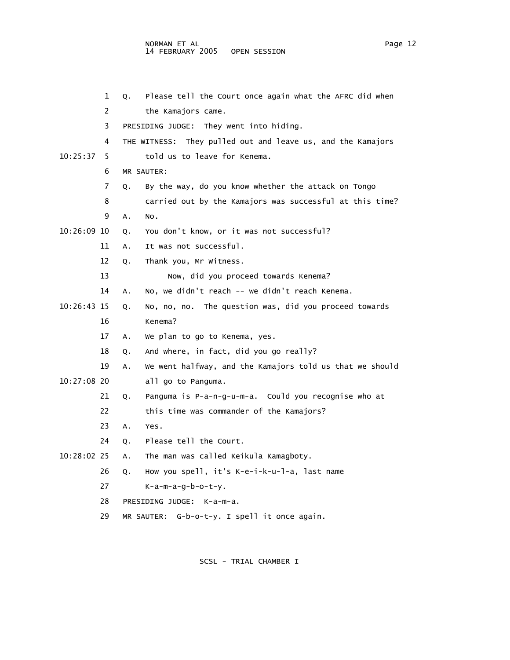|               | 1  | Q.         | Please tell the Court once again what the AFRC did when     |
|---------------|----|------------|-------------------------------------------------------------|
|               | 2  |            | the Kamajors came.                                          |
|               | 3  |            | PRESIDING JUDGE: They went into hiding.                     |
|               | 4  |            | THE WITNESS: They pulled out and leave us, and the Kamajors |
| 10:25:37      | 5. |            | told us to leave for Kenema.                                |
|               | 6  | MR SAUTER: |                                                             |
|               | 7  | Q.         | By the way, do you know whether the attack on Tongo         |
|               | 8  |            | carried out by the Kamajors was successful at this time?    |
|               | 9  | Α.<br>NO.  |                                                             |
| 10:26:09 10   |    | Q.         | You don't know, or it was not successful?                   |
|               | 11 | А.         | It was not successful.                                      |
|               | 12 | Q.         | Thank you, Mr Witness.                                      |
|               | 13 |            | Now, did you proceed towards Kenema?                        |
|               | 14 | Α.         | No, we didn't reach -- we didn't reach Kenema.              |
| 10:26:43 15   |    | Q.         | No, no, no. The question was, did you proceed towards       |
|               | 16 |            | Kenema?                                                     |
|               | 17 | Α.         | We plan to go to Kenema, yes.                               |
|               | 18 | Q.         | And where, in fact, did you go really?                      |
|               | 19 | А.         | We went halfway, and the Kamajors told us that we should    |
| $10:27:08$ 20 |    |            | all go to Panguma.                                          |
|               | 21 | Q.         | Panguma is P-a-n-g-u-m-a. Could you recognise who at        |
|               | 22 |            | this time was commander of the Kamajors?                    |
|               | 23 | Α.<br>Yes. |                                                             |
|               | 24 | Q.         | Please tell the Court.                                      |
| 10:28:02 25   |    | Α.         | The man was called Keikula Kamagboty.                       |
|               | 26 | Q.         | How you spell, it's K-e-i-k-u-l-a, last name                |
|               | 27 |            | K-a-m-a-g-b-o-t-y.                                          |
|               | 28 |            | PRESIDING JUDGE: K-a-m-a.                                   |
|               | 29 |            | MR SAUTER: G-b-o-t-y. I spell it once again.                |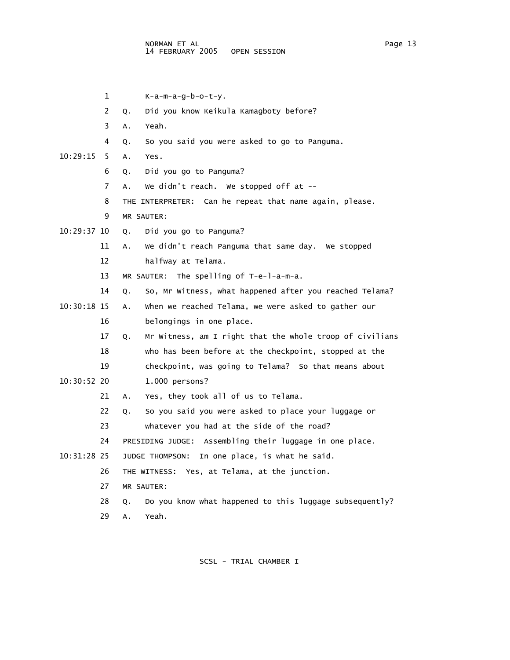$1$  K-a-m-a-g-b-o-t-y. 2 Q. Did you know Keikula Kamagboty before? 3 A. Yeah. 4 Q. So you said you were asked to go to Panguma. 10:29:15 5 A. Yes. 6 Q. Did you go to Panguma? 7 A. We didn't reach. We stopped off at -- 8 THE INTERPRETER: Can he repeat that name again, please. 9 MR SAUTER: 10:29:37 10 Q. Did you go to Panguma? 11 A. We didn't reach Panguma that same day. We stopped 12 halfway at Telama. 13 MR SAUTER: The spelling of T-e-l-a-m-a. 14 Q. So, Mr Witness, what happened after you reached Telama? 10:30:18 15 A. When we reached Telama, we were asked to gather our 16 belongings in one place. 17 Q. Mr Witness, am I right that the whole troop of civilians 18 who has been before at the checkpoint, stopped at the 19 checkpoint, was going to Telama? So that means about 10:30:52 20 1.000 persons? 21 A. Yes, they took all of us to Telama. 22 Q. So you said you were asked to place your luggage or 23 whatever you had at the side of the road? 24 PRESIDING JUDGE: Assembling their luggage in one place. 10:31:28 25 JUDGE THOMPSON: In one place, is what he said. 26 THE WITNESS: Yes, at Telama, at the junction. 27 MR SAUTER: 28 Q. Do you know what happened to this luggage subsequently? 29 A. Yeah.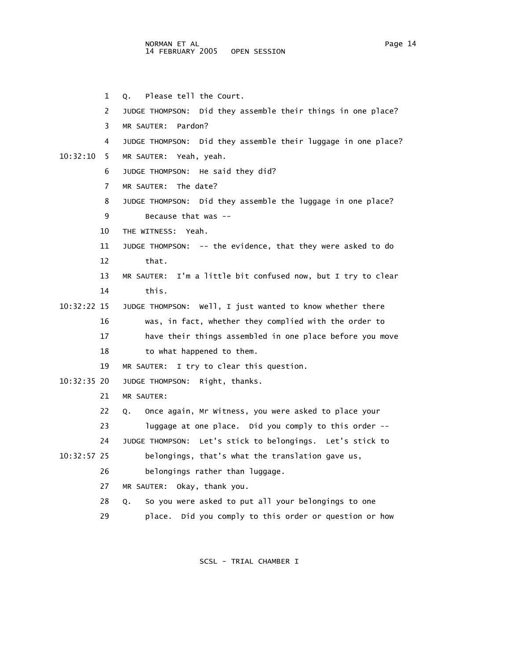|             | 1  | Please tell the Court.<br>Q.                                    |
|-------------|----|-----------------------------------------------------------------|
|             | 2  | Did they assemble their things in one place?<br>JUDGE THOMPSON: |
|             | 3  | MR SAUTER:<br>Pardon?                                           |
|             | 4  | JUDGE THOMPSON: Did they assemble their luggage in one place?   |
| 10:32:10    | 5  | MR SAUTER: Yeah, yeah.                                          |
|             | 6  | He said they did?<br>JUDGE THOMPSON:                            |
|             | 7  | The date?<br>MR SAUTER:                                         |
|             | 8  | Did they assemble the luggage in one place?<br>JUDGE THOMPSON:  |
|             | 9  | Because that was $-$                                            |
|             | 10 | THE WITNESS:<br>Yeah.                                           |
|             | 11 | JUDGE THOMPSON: -- the evidence, that they were asked to do     |
|             | 12 | that.                                                           |
|             | 13 | MR SAUTER: I'm a little bit confused now, but I try to clear    |
|             | 14 | this.                                                           |
| 10:32:22 15 |    | JUDGE THOMPSON: Well, I just wanted to know whether there       |
|             | 16 | was, in fact, whether they complied with the order to           |
|             | 17 | have their things assembled in one place before you move        |
|             | 18 | to what happened to them.                                       |
|             | 19 | I try to clear this question.<br>MR SAUTER:                     |
| 10:32:35 20 |    | Right, thanks.<br>JUDGE THOMPSON:                               |
|             | 21 | MR SAUTER:                                                      |
|             | 22 | Once again, Mr Witness, you were asked to place your<br>Q.      |
|             | 23 | luggage at one place. Did you comply to this order --           |
|             | 24 | Let's stick to belongings. Let's stick to<br>JUDGE THOMPSON:    |
| 10:32:57 25 |    | belongings, that's what the translation gave us,                |
|             | 26 | belongings rather than luggage.                                 |
|             | 27 | MR SAUTER: Okay, thank you.                                     |
|             | 28 | So you were asked to put all your belongings to one<br>Q.       |
|             | 29 | Did you comply to this order or question or how<br>place.       |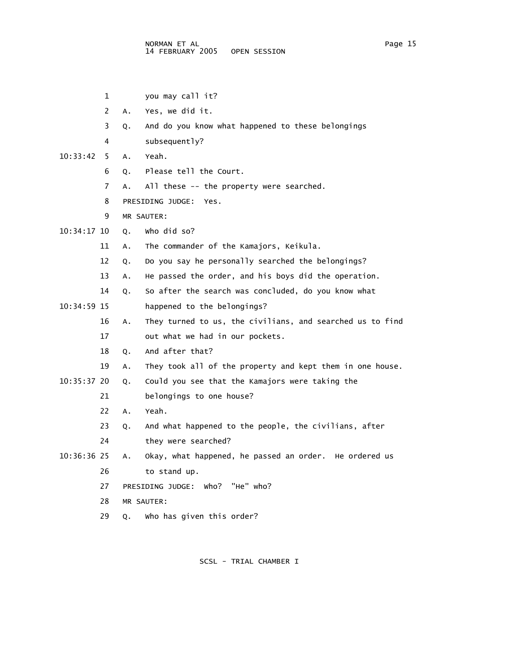- 1 you may call it?
- 2 A. Yes, we did it.
- 3 Q. And do you know what happened to these belongings
- 4 subsequently?
- 10:33:42 5 A. Yeah.
	- 6 Q. Please tell the Court.
	- 7 A. All these -- the property were searched.
	- 8 PRESIDING JUDGE: Yes.
	- 9 MR SAUTER:
- 10:34:17 10 Q. Who did so?
	- 11 A. The commander of the Kamajors, Keikula.
	- 12 Q. Do you say he personally searched the belongings?
	- 13 A. He passed the order, and his boys did the operation.
	- 14 Q. So after the search was concluded, do you know what
- 10:34:59 15 happened to the belongings?
	- 16 A. They turned to us, the civilians, and searched us to find 17 out what we had in our pockets.
	- 18 Q. And after that?
	- 19 A. They took all of the property and kept them in one house.
- 10:35:37 20 Q. Could you see that the Kamajors were taking the
	- 21 belongings to one house?
	- 22 A. Yeah.
	- 23 Q. And what happened to the people, the civilians, after

24 they were searched?

- 10:36:36 25 A. Okay, what happened, he passed an order. He ordered us 26 to stand up.
	- 27 PRESIDING JUDGE: Who? "He" who?
	- 28 MR SAUTER:
	- 29 Q. Who has given this order?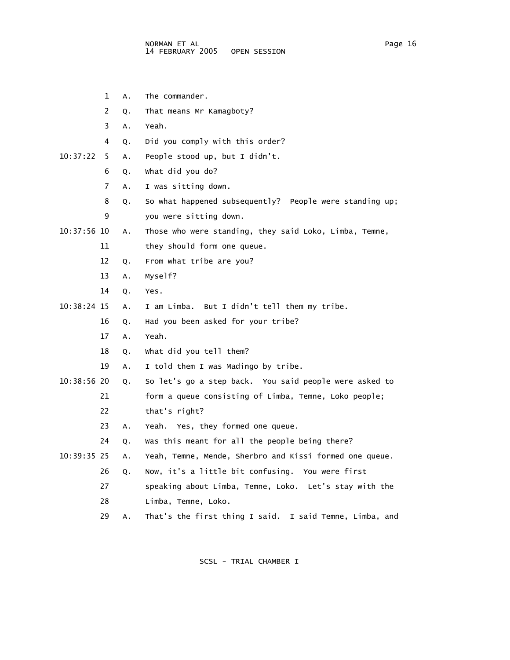- 1 A. The commander.
- 2 Q. That means Mr Kamagboty?
- 3 A. Yeah.
- 4 Q. Did you comply with this order?
- 10:37:22 5 A. People stood up, but I didn't.
	- 6 Q. What did you do?
	- 7 A. I was sitting down.
	- 8 Q. So what happened subsequently? People were standing up; 9 you were sitting down.
- 10:37:56 10 A. Those who were standing, they said Loko, Limba, Temne,
	- 11 they should form one queue.
	- 12 Q. From what tribe are you?
	- 13 A. Myself?
	- 14 Q. Yes.
- 10:38:24 15 A. I am Limba. But I didn't tell them my tribe.
	- 16 Q. Had you been asked for your tribe?
	- 17 A. Yeah.
	- 18 Q. What did you tell them?
	- 19 A. I told them I was Madingo by tribe.
- 10:38:56 20 Q. So let's go a step back. You said people were asked to 21 form a queue consisting of Limba, Temne, Loko people;
	- 22 that's right?
	- 23 A. Yeah. Yes, they formed one queue.
	- 24 Q. Was this meant for all the people being there?
- 10:39:35 25 A. Yeah, Temne, Mende, Sherbro and Kissi formed one queue.
	- 26 Q. Now, it's a little bit confusing. You were first
	- 27 speaking about Limba, Temne, Loko. Let's stay with the
	- 28 Limba, Temne, Loko.
	- 29 A. That's the first thing I said. I said Temne, Limba, and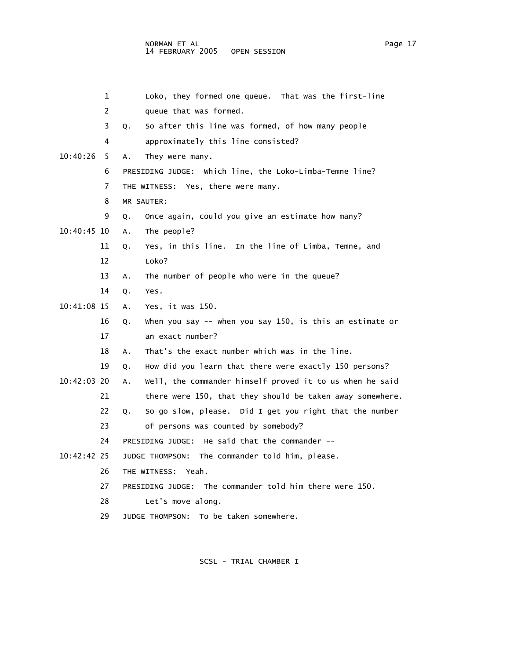| 1             | Loko, they formed one queue. That was the first-line            |
|---------------|-----------------------------------------------------------------|
| 2             | queue that was formed.                                          |
| 3             | So after this line was formed, of how many people<br>Q.         |
| 4             | approximately this line consisted?                              |
| 10:40:26<br>5 | They were many.<br>Α.                                           |
| 6             | PRESIDING JUDGE: Which line, the Loko-Limba-Temne line?         |
| 7             | THE WITNESS: Yes, there were many.                              |
| 8             | MR SAUTER:                                                      |
| 9             | Once again, could you give an estimate how many?<br>Q.          |
| $10:40:45$ 10 | The people?<br>Α.                                               |
| 11            | Yes, in this line. In the line of Limba, Temne, and<br>Q.       |
| 12            | Loko?                                                           |
| 13            | The number of people who were in the queue?<br>Α.               |
| 14            | Yes.<br>Q.                                                      |
| 10:41:08 15   | Yes, it was 150.<br>Α.                                          |
| 16            | When you say $-$ when you say 150, is this an estimate or<br>Q. |
| 17            | an exact number?                                                |
| 18            | That's the exact number which was in the line.<br>Α.            |
| 19            | How did you learn that there were exactly 150 persons?<br>Q.    |
| 10:42:03 20   | Well, the commander himself proved it to us when he said<br>Α.  |
| 21            | there were 150, that they should be taken away somewhere.       |
| 22            | So go slow, please. Did I get you right that the number<br>Q.   |
| 23            | of persons was counted by somebody?                             |
| 24            | PRESIDING JUDGE: He said that the commander --                  |
| 10:42:42 25   | JUDGE THOMPSON: The commander told him, please.                 |
| 26            | THE WITNESS: Yeah.                                              |
| 27            | PRESIDING JUDGE: The commander told him there were 150.         |
| 28            | Let's move along.                                               |
| 29            | JUDGE THOMPSON: To be taken somewhere.                          |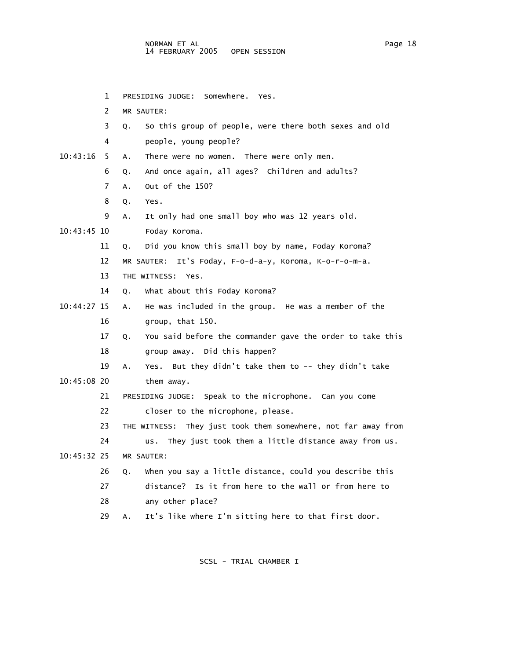1 PRESIDING JUDGE: Somewhere. Yes. 2 MR SAUTER: 3 Q. So this group of people, were there both sexes and old 4 people, young people? 10:43:16 5 A. There were no women. There were only men. 6 Q. And once again, all ages? Children and adults? 7 A. Out of the 150? 8 Q. Yes. 9 A. It only had one small boy who was 12 years old. 10:43:45 10 Foday Koroma. 11 Q. Did you know this small boy by name, Foday Koroma? 12 MR SAUTER: It's Foday, F-o-d-a-y, Koroma, K-o-r-o-m-a. 13 THE WITNESS: Yes. 14 Q. What about this Foday Koroma? 10:44:27 15 A. He was included in the group. He was a member of the 16 group, that 150. 17 Q. You said before the commander gave the order to take this 18 group away. Did this happen? 19 A. Yes. But they didn't take them to -- they didn't take 10:45:08 20 them away. 21 PRESIDING JUDGE: Speak to the microphone. Can you come 22 closer to the microphone, please. 23 THE WITNESS: They just took them somewhere, not far away from 24 us. They just took them a little distance away from us. 10:45:32 25 MR SAUTER: 26 Q. When you say a little distance, could you describe this 27 distance? Is it from here to the wall or from here to 28 any other place? 29 A. It's like where I'm sitting here to that first door.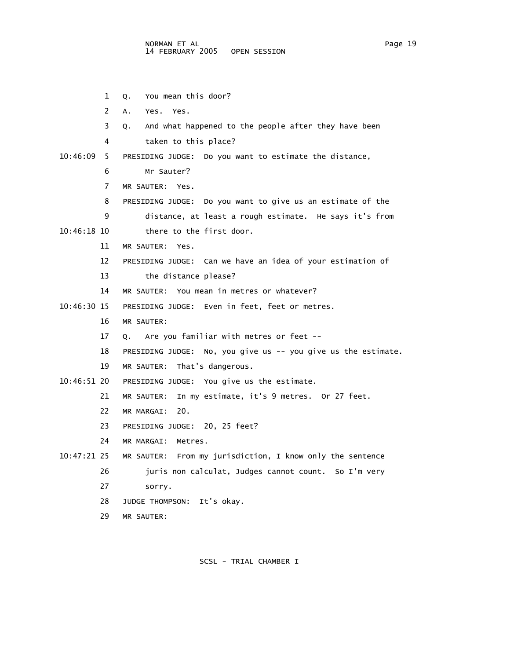1 Q. You mean this door?

2 A. Yes. Yes.

3 Q. And what happened to the people after they have been

4 taken to this place?

- 10:46:09 5 PRESIDING JUDGE: Do you want to estimate the distance,
	- 6 Mr Sauter?
	- 7 MR SAUTER: Yes.
	- 8 PRESIDING JUDGE: Do you want to give us an estimate of the
	- 9 distance, at least a rough estimate. He says it's from
- 10:46:18 10 there to the first door.
	- 11 MR SAUTER: Yes.
	- 12 PRESIDING JUDGE: Can we have an idea of your estimation of
	- 13 the distance please?
	- 14 MR SAUTER: You mean in metres or whatever?
- 10:46:30 15 PRESIDING JUDGE: Even in feet, feet or metres.
	- 16 MR SAUTER:
	- 17 Q. Are you familiar with metres or feet --
	- 18 PRESIDING JUDGE: No, you give us -- you give us the estimate.
	- 19 MR SAUTER: That's dangerous.
- 10:46:51 20 PRESIDING JUDGE: You give us the estimate.

21 MR SAUTER: In my estimate, it's 9 metres. Or 27 feet.

- 22 MR MARGAI: 20.
- 23 PRESIDING JUDGE: 20, 25 feet?
- 24 MR MARGAI: Metres.
- 10:47:21 25 MR SAUTER: From my jurisdiction, I know only the sentence

26 juris non calculat, Judges cannot count. So I'm very

- 27 sorry.
- 28 JUDGE THOMPSON: It's okay.
- 29 MR SAUTER: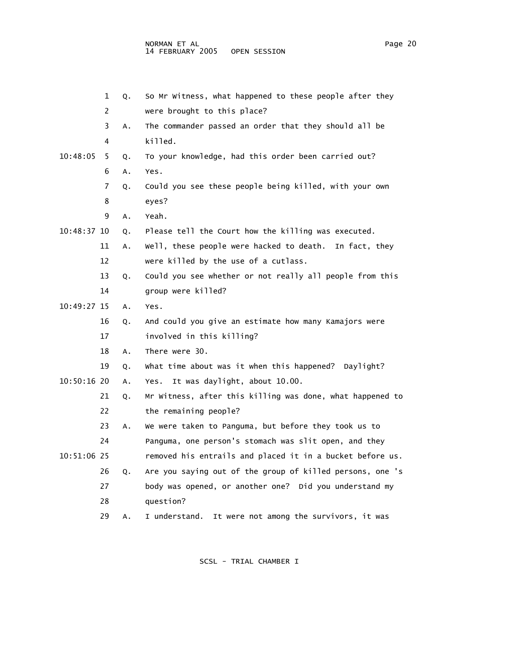|             | 1  | Q. | So Mr Witness, what happened to these people after they   |
|-------------|----|----|-----------------------------------------------------------|
|             | 2  |    | were brought to this place?                               |
|             | 3  | A. | The commander passed an order that they should all be     |
|             | 4  |    | killed.                                                   |
| 10:48:05    | 5  | Q. | To your knowledge, had this order been carried out?       |
|             | 6  | Α. | Yes.                                                      |
|             | 7  | Q. | Could you see these people being killed, with your own    |
|             | 8  |    | eyes?                                                     |
|             | 9  | Α. | Yeah.                                                     |
| 10:48:37 10 |    | Q. | Please tell the Court how the killing was executed.       |
|             | 11 | Α. | well, these people were hacked to death.<br>In fact, they |
|             | 12 |    | were killed by the use of a cutlass.                      |
|             | 13 | Q. | Could you see whether or not really all people from this  |
|             | 14 |    | group were killed?                                        |
| 10:49:27 15 |    | Α. | Yes.                                                      |
|             | 16 | Q. | And could you give an estimate how many Kamajors were     |
|             | 17 |    | involved in this killing?                                 |
|             | 18 | Α. | There were 30.                                            |
|             | 19 | Q. | what time about was it when this happened? Daylight?      |
| 10:50:16 20 |    | Α. | It was daylight, about 10.00.<br>Yes.                     |
|             | 21 | Q. | Mr Witness, after this killing was done, what happened to |
|             | 22 |    | the remaining people?                                     |
|             | 23 | Α. | We were taken to Panguma, but before they took us to      |
|             | 24 |    | Panguma, one person's stomach was slit open, and they     |
| 10:51:06 25 |    |    | removed his entrails and placed it in a bucket before us. |
|             | 26 | Q. | Are you saying out of the group of killed persons, one 's |
|             | 27 |    | body was opened, or another one? Did you understand my    |
|             | 28 |    | question?                                                 |
|             | 29 | A. | I understand.<br>It were not among the survivors, it was  |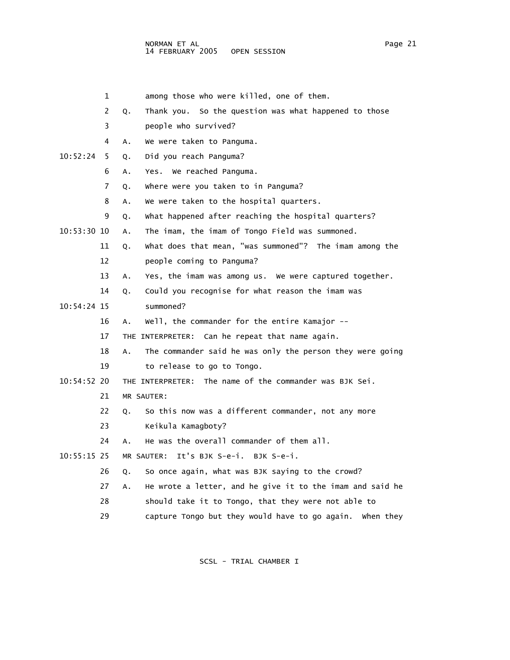- 
- 1 among those who were killed, one of them.
- 2 Q. Thank you. So the question was what happened to those
- 3 people who survived?
- 4 A. We were taken to Panguma.
- 10:52:24 5 Q. Did you reach Panguma?
	- 6 A. Yes. We reached Panguma.
	- 7 Q. Where were you taken to in Panguma?
	- 8 A. We were taken to the hospital quarters.
	- 9 Q. What happened after reaching the hospital quarters?
- 10:53:30 10 A. The imam, the imam of Tongo Field was summoned.
	- 11 Q. What does that mean, "was summoned"? The imam among the
	- 12 people coming to Panguma?
	- 13 A. Yes, the imam was among us. We were captured together.
	- 14 Q. Could you recognise for what reason the imam was
- 10:54:24 15 summoned?
	- 16 A. Well, the commander for the entire Kamajor --
	- 17 THE INTERPRETER: Can he repeat that name again.
	- 18 A. The commander said he was only the person they were going 19 to release to go to Tongo.
- 10:54:52 20 THE INTERPRETER: The name of the commander was BJK Sei.
	- 21 MR SAUTER:
	- 22 Q. So this now was a different commander, not any more
	- 23 Keikula Kamagboty?
	- 24 A. He was the overall commander of them all.
- 10:55:15 25 MR SAUTER: It's BJK S-e-i. BJK S-e-i.
	- 26 Q. So once again, what was BJK saying to the crowd?
	- 27 A. He wrote a letter, and he give it to the imam and said he
	- 28 should take it to Tongo, that they were not able to
	- 29 capture Tongo but they would have to go again. When they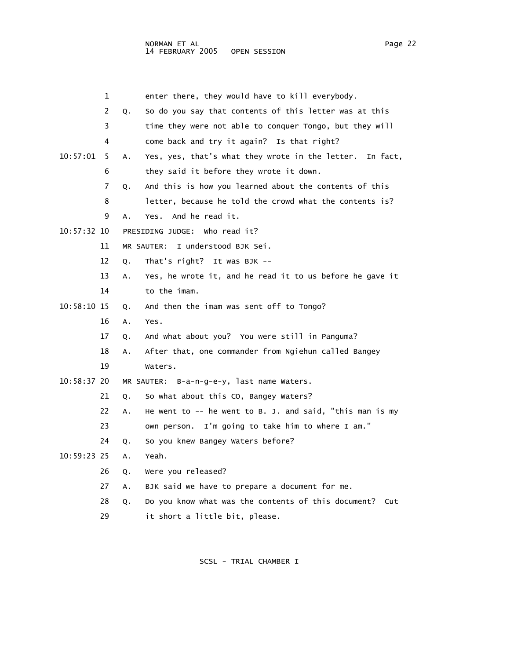|               | 1  |    | enter there, they would have to kill everybody.            |
|---------------|----|----|------------------------------------------------------------|
|               | 2  | Q. | So do you say that contents of this letter was at this     |
|               | 3  |    | time they were not able to conquer Tongo, but they will    |
|               | 4  |    | come back and try it again? Is that right?                 |
| 10:57:01      | 5  | Α. | Yes, yes, that's what they wrote in the letter. In fact,   |
|               | 6  |    | they said it before they wrote it down.                    |
|               | 7  | Q. | And this is how you learned about the contents of this     |
|               | 8  |    | letter, because he told the crowd what the contents is?    |
|               | 9  | Α. | And he read it.<br>Yes.                                    |
| 10:57:32 10   |    |    | PRESIDING JUDGE: Who read it?                              |
|               | 11 |    | MR SAUTER: I understood BJK Sei.                           |
|               | 12 | Q. | That's right? It was BJK --                                |
|               | 13 | Α. | Yes, he wrote it, and he read it to us before he gave it   |
|               | 14 |    | to the imam.                                               |
| 10:58:10 15   |    | Q. | And then the imam was sent off to Tongo?                   |
|               | 16 | Α. | Yes.                                                       |
|               | 17 | Q. | And what about you? You were still in Panguma?             |
|               | 18 | Α. | After that, one commander from Ngiehun called Bangey       |
|               | 19 |    | Waters.                                                    |
| $10:58:37$ 20 |    |    | MR SAUTER: B-a-n-g-e-y, last name Waters.                  |
|               | 21 | Q. | So what about this CO, Bangey Waters?                      |
|               | 22 | Α. | He went to $-$ he went to B. J. and said, "this man is my  |
|               | 23 |    | own person. I'm going to take him to where I am."          |
|               | 24 | Q. | So you knew Bangey Waters before?                          |
| 10:59:23 25   |    | A. | Yeah.                                                      |
|               | 26 | Q. | Were you released?                                         |
|               | 27 | Α. | BJK said we have to prepare a document for me.             |
|               | 28 | Q. | Do you know what was the contents of this document?<br>Cut |
|               | 29 |    | it short a little bit, please.                             |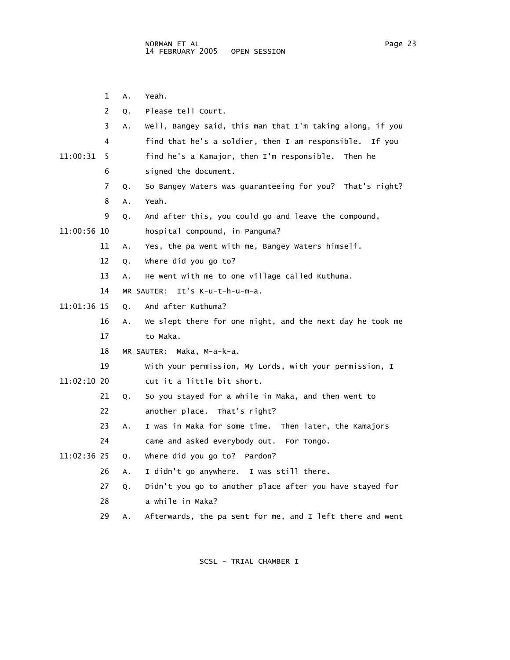1 A. Yeah. 2 Q. Please tell Court. 3 A. Well, Bangey said, this man that I'm taking along, if you 4 find that he's a soldier, then I am responsible. If you 11:00:31 5 find he's a Kamajor, then I'm responsible. Then he 6 signed the document. 7 Q. So Bangey Waters was guaranteeing for you? That's right? 8 A. Yeah. 9 Q. And after this, you could go and leave the compound, 11:00:56 10 hospital compound, in Panguma? 11 A. Yes, the pa went with me, Bangey Waters himself. 12 Q. Where did you go to? 13 A. He went with me to one village called Kuthuma. 14 MR SAUTER: It's K-u-t-h-u-m-a. 11:01:36 15 Q. And after Kuthuma? 16 A. We slept there for one night, and the next day he took me 17 to Maka. 18 MR SAUTER: Maka, M-a-k-a. 19 With your permission, My Lords, with your permission, I 11:02:10 20 cut it a little bit short. 21 Q. So you stayed for a while in Maka, and then went to 22 another place. That's right? 23 A. I was in Maka for some time. Then later, the Kamajors 24 came and asked everybody out. For Tongo. 11:02:36 25 Q. Where did you go to? Pardon? 26 A. I didn't go anywhere. I was still there. 27 Q. Didn't you go to another place after you have stayed for 28 a while in Maka? 29 A. Afterwards, the pa sent for me, and I left there and went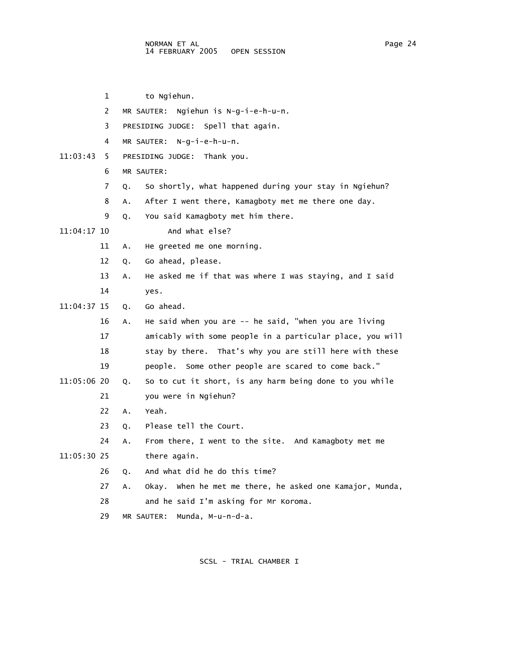1 to Ngiehun. 2 MR SAUTER: Ngiehun is N-g-i-e-h-u-n. 3 PRESIDING JUDGE: Spell that again. 4 MR SAUTER: N-g-i-e-h-u-n. 11:03:43 5 PRESIDING JUDGE: Thank you. 6 MR SAUTER: 7 Q. So shortly, what happened during your stay in Ngiehun? 8 A. After I went there, Kamagboty met me there one day. 9 Q. You said Kamagboty met him there. 11:04:17 10 And what else? 11 A. He greeted me one morning. 12 Q. Go ahead, please. 13 A. He asked me if that was where I was staying, and I said 14 yes. 11:04:37 15 Q. Go ahead. 16 A. He said when you are -- he said, "when you are living 17 amicably with some people in a particular place, you will 18 stay by there. That's why you are still here with these 19 people. Some other people are scared to come back." 11:05:06 20 Q. So to cut it short, is any harm being done to you while 21 you were in Ngiehun? 22 A. Yeah. 23 Q. Please tell the Court. 24 A. From there, I went to the site. And Kamagboty met me 11:05:30 25 there again. 26 Q. And what did he do this time? 27 A. Okay. When he met me there, he asked one Kamajor, Munda, 28 and he said I'm asking for Mr Koroma. 29 MR SAUTER: Munda, M-u-n-d-a.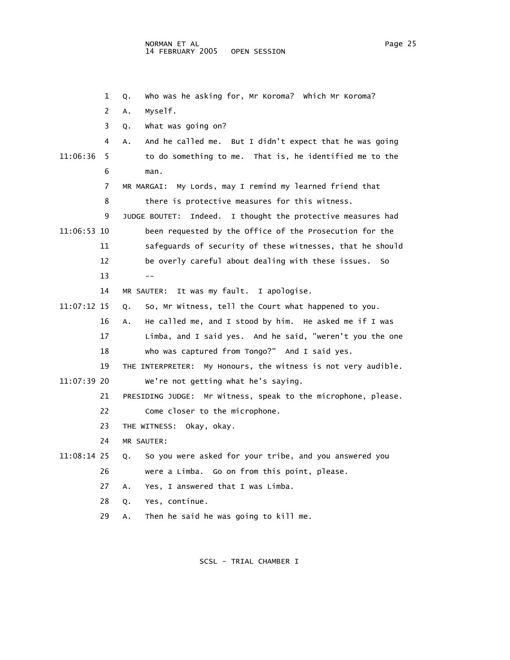1 Q. Who was he asking for, Mr Koroma? Which Mr Koroma? 2 A. Myself. 3 Q. What was going on? 4 A. And he called me. But I didn't expect that he was going 11:06:36 5 to do something to me. That is, he identified me to the 6 man. 7 MR MARGAI: My Lords, may I remind my learned friend that 8 there is protective measures for this witness. 9 JUDGE BOUTET: Indeed. I thought the protective measures had 11:06:53 10 been requested by the Office of the Prosecution for the 11 safeguards of security of these witnesses, that he should 12 be overly careful about dealing with these issues. So  $13 - -$  14 MR SAUTER: It was my fault. I apologise. 11:07:12 15 Q. So, Mr Witness, tell the Court what happened to you. 16 A. He called me, and I stood by him. He asked me if I was 17 Limba, and I said yes. And he said, "weren't you the one 18 who was captured from Tongo?" And I said yes. 19 THE INTERPRETER: My Honours, the witness is not very audible. 11:07:39 20 We're not getting what he's saying. 21 PRESIDING JUDGE: Mr Witness, speak to the microphone, please. 22 Come closer to the microphone. 23 THE WITNESS: Okay, okay. 24 MR SAUTER: 11:08:14 25 Q. So you were asked for your tribe, and you answered you 26 were a Limba. Go on from this point, please. 27 A. Yes, I answered that I was Limba. 28 Q. Yes, continue. 29 A. Then he said he was going to kill me.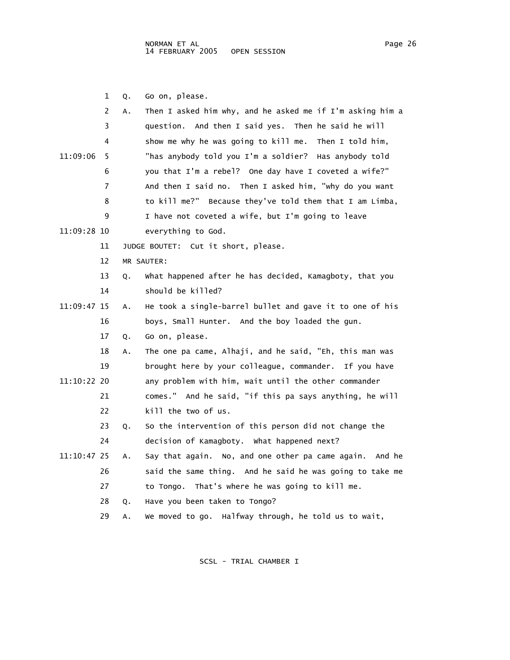1 Q. Go on, please.

|             | 2  | Α. | Then I asked him why, and he asked me if I'm asking him a |
|-------------|----|----|-----------------------------------------------------------|
|             | 3  |    | question. And then I said yes. Then he said he will       |
|             | 4  |    | show me why he was going to kill me. Then I told him,     |
| 11:09:06    | 5  |    | "has anybody told you I'm a soldier? Has anybody told     |
|             | 6  |    | you that I'm a rebel? One day have I coveted a wife?"     |
|             | 7  |    | And then I said no. Then I asked him, "why do you want    |
|             | 8  |    | to kill me?" Because they've told them that I am Limba,   |
|             | 9  |    | I have not coveted a wife, but I'm going to leave         |
| 11:09:28 10 |    |    | everything to God.                                        |
|             | 11 |    | JUDGE BOUTET: Cut it short, please.                       |
|             | 12 |    | MR SAUTER:                                                |
|             | 13 | Q. | What happened after he has decided, Kamagboty, that you   |
|             | 14 |    | should be killed?                                         |
| 11:09:47 15 |    | А. | He took a single-barrel bullet and gave it to one of his  |
|             | 16 |    | boys, Small Hunter. And the boy loaded the gun.           |
|             | 17 | Q. | Go on, please.                                            |
|             | 18 | А. | The one pa came, Alhaji, and he said, "Eh, this man was   |
|             | 19 |    | brought here by your colleague, commander. If you have    |
| 11:10:22 20 |    |    | any problem with him, wait until the other commander      |
|             | 21 |    | comes." And he said, "if this pa says anything, he will   |
|             | 22 |    | kill the two of us.                                       |
|             | 23 | Q. | So the intervention of this person did not change the     |
|             | 24 |    | decision of Kamagboty. What happened next?                |
| 11:10:47 25 |    | Α. | Say that again. No, and one other pa came again. And he   |
|             | 26 |    | said the same thing. And he said he was going to take me  |
|             | 27 |    | to Tongo. That's where he was going to kill me.           |
|             | 28 | Q. | Have you been taken to Tongo?                             |
|             | 29 | А. | We moved to go. Halfway through, he told us to wait,      |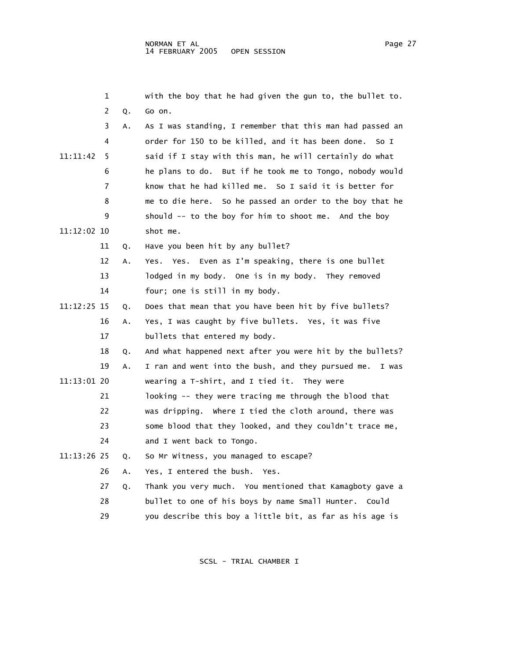|             | 1  |    | with the boy that he had given the gun to, the bullet to.   |
|-------------|----|----|-------------------------------------------------------------|
|             | 2  | Q. | Go on.                                                      |
|             | 3  | А. | As I was standing, I remember that this man had passed an   |
|             | 4  |    | order for 150 to be killed, and it has been done.<br>So I   |
| 11:11:42    | 5  |    | said if I stay with this man, he will certainly do what     |
|             | 6  |    | he plans to do. But if he took me to Tongo, nobody would    |
|             | 7  |    | know that he had killed me. So I said it is better for      |
|             | 8  |    | me to die here. So he passed an order to the boy that he    |
|             | 9  |    | should -- to the boy for him to shoot me. And the boy       |
| 11:12:02 10 |    |    | shot me.                                                    |
|             | 11 | Q. | Have you been hit by any bullet?                            |
|             | 12 | Α. | Yes. Yes. Even as I'm speaking, there is one bullet         |
|             | 13 |    | lodged in my body. One is in my body. They removed          |
|             | 14 |    | four; one is still in my body.                              |
| 11:12:25 15 |    | Q. | Does that mean that you have been hit by five bullets?      |
|             | 16 | А. | Yes, I was caught by five bullets. Yes, it was five         |
|             | 17 |    | bullets that entered my body.                               |
|             | 18 | Q. | And what happened next after you were hit by the bullets?   |
|             | 19 | Α. | I ran and went into the bush, and they pursued me.<br>I was |
| 11:13:01 20 |    |    | wearing a T-shirt, and I tied it. They were                 |
|             | 21 |    | looking -- they were tracing me through the blood that      |
|             | 22 |    | was dripping. Where I tied the cloth around, there was      |
|             | 23 |    | some blood that they looked, and they couldn't trace me,    |
|             | 24 |    | and I went back to Tongo.                                   |
| 11:13:26 25 |    | Q. | So Mr Witness, you managed to escape?                       |
|             | 26 | А. | Yes, I entered the bush.<br>Yes.                            |
|             | 27 | Q. | Thank you very much. You mentioned that Kamagboty gave a    |
|             | 28 |    | bullet to one of his boys by name Small Hunter. Could       |
|             | 29 |    | you describe this boy a little bit, as far as his age is    |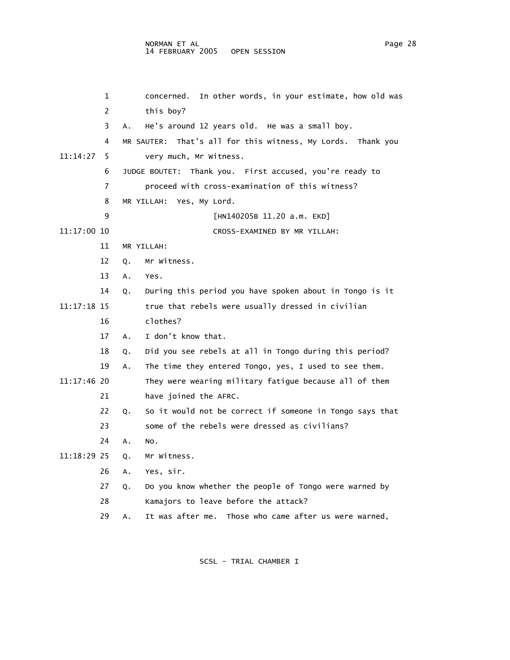## NORMAN ET AL Page 28 14 FEBRUARY 2005 OPEN SESSION

 1 concerned. In other words, in your estimate, how old was 2 this boy? 3 A. He's around 12 years old. He was a small boy. 4 MR SAUTER: That's all for this witness, My Lords. Thank you 11:14:27 5 very much, Mr Witness. 6 JUDGE BOUTET: Thank you. First accused, you're ready to 7 proceed with cross-examination of this witness? 8 MR YILLAH: Yes, My Lord. 9 [HN140205B 11.20 a.m. EKD] 11:17:00 10 CROSS-EXAMINED BY MR YILLAH: 11 MR YILLAH: 12 Q. Mr Witness. 13 A. Yes. 14 Q. During this period you have spoken about in Tongo is it 11:17:18 15 true that rebels were usually dressed in civilian 16 clothes? 17 A. I don't know that. 18 Q. Did you see rebels at all in Tongo during this period? 19 A. The time they entered Tongo, yes, I used to see them. 11:17:46 20 They were wearing military fatigue because all of them 21 have joined the AFRC. 22 Q. So it would not be correct if someone in Tongo says that 23 some of the rebels were dressed as civilians? 24 A. No. 11:18:29 25 Q. Mr Witness. 26 A. Yes, sir. 27 Q. Do you know whether the people of Tongo were warned by 28 Kamajors to leave before the attack? 29 A. It was after me. Those who came after us were warned,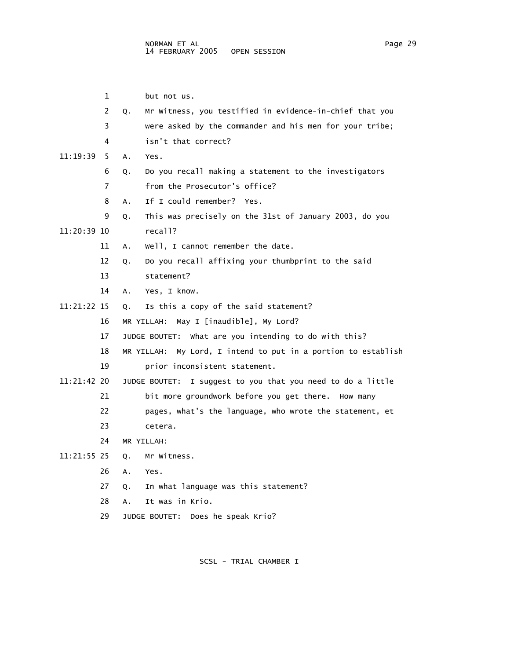|             | 1              | but not us.                                                      |
|-------------|----------------|------------------------------------------------------------------|
|             | $\overline{2}$ | Mr Witness, you testified in evidence-in-chief that you<br>Q.    |
|             | 3              | were asked by the commander and his men for your tribe;          |
|             | 4              | isn't that correct?                                              |
| 11:19:39    | 5.             | Yes.<br>Α.                                                       |
|             | 6              | Do you recall making a statement to the investigators<br>Q.      |
|             | 7              | from the Prosecutor's office?                                    |
|             | 8              | If I could remember? Yes.<br>A.                                  |
|             | 9              | This was precisely on the 31st of January 2003, do you<br>Q.     |
| 11:20:39 10 |                | recall?                                                          |
|             | 11             | well, I cannot remember the date.<br>Α.                          |
|             | 12             | Do you recall affixing your thumbprint to the said<br>Q.         |
|             | 13             | statement?                                                       |
|             | 14             | Yes, I know.<br>A.                                               |
| 11:21:22 15 |                | Is this a copy of the said statement?<br>Q.                      |
|             | 16             | MR YILLAH: May I [inaudible], My Lord?                           |
|             | 17             | JUDGE BOUTET: What are you intending to do with this?            |
|             | 18             | My Lord, I intend to put in a portion to establish<br>MR YILLAH: |
|             | 19             | prior inconsistent statement.                                    |
| 11:21:42 20 |                | I suggest to you that you need to do a little<br>JUDGE BOUTET:   |
|             | 21             | bit more groundwork before you get there. How many               |
|             | 22             | pages, what's the language, who wrote the statement, et          |
|             | 23             | cetera.                                                          |
|             | 24             | MR YILLAH:                                                       |
| 11:21:55 25 |                | Mr Witness.<br>Q.                                                |
|             | 26             | A.<br>Yes.                                                       |
|             | 27             | In what language was this statement?<br>Q.                       |
|             |                |                                                                  |

- 28 A. It was in Krio.
- 29 JUDGE BOUTET: Does he speak Krio?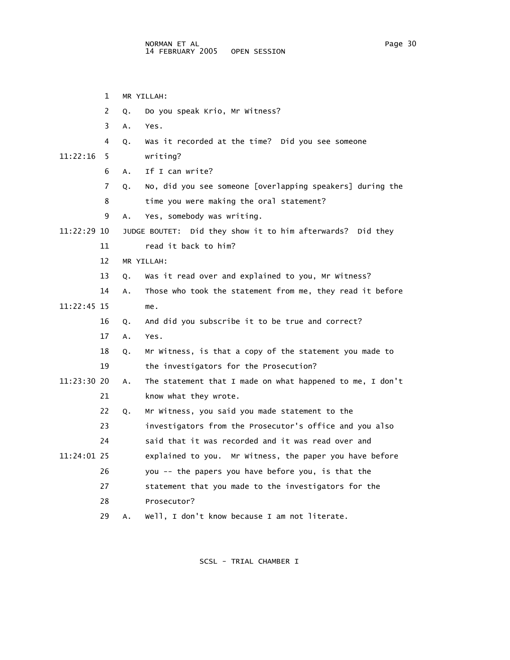1 MR YILLAH: 2 Q. Do you speak Krio, Mr Witness? 3 A. Yes. 4 Q. Was it recorded at the time? Did you see someone 11:22:16 5 writing? 6 A. If I can write? 7 Q. No, did you see someone [overlapping speakers] during the 8 time you were making the oral statement? 9 A. Yes, somebody was writing. 11:22:29 10 JUDGE BOUTET: Did they show it to him afterwards? Did they 11 read it back to him? 12 MR YILLAH: 13 Q. Was it read over and explained to you, Mr Witness? 14 A. Those who took the statement from me, they read it before 11:22:45 15 me. 16 Q. And did you subscribe it to be true and correct? 17 A. Yes. 18 Q. Mr Witness, is that a copy of the statement you made to 19 the investigators for the Prosecution? 11:23:30 20 A. The statement that I made on what happened to me, I don't 21 know what they wrote. 22 Q. Mr Witness, you said you made statement to the 23 investigators from the Prosecutor's office and you also 24 said that it was recorded and it was read over and 11:24:01 25 explained to you. Mr Witness, the paper you have before 26 you -- the papers you have before you, is that the 27 statement that you made to the investigators for the 28 Prosecutor? 29 A. Well, I don't know because I am not literate.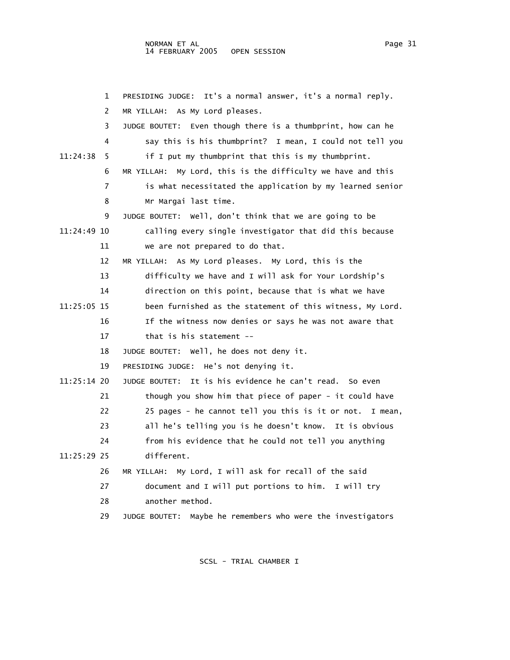1 PRESIDING JUDGE: It's a normal answer, it's a normal reply. 2 MR YILLAH: As My Lord pleases. 3 JUDGE BOUTET: Even though there is a thumbprint, how can he 4 say this is his thumbprint? I mean, I could not tell you 11:24:38 5 if I put my thumbprint that this is my thumbprint. 6 MR YILLAH: My Lord, this is the difficulty we have and this 7 is what necessitated the application by my learned senior 8 Mr Margai last time. 9 JUDGE BOUTET: Well, don't think that we are going to be 11:24:49 10 calling every single investigator that did this because 11 we are not prepared to do that. 12 MR YILLAH: As My Lord pleases. My Lord, this is the 13 difficulty we have and I will ask for Your Lordship's 14 direction on this point, because that is what we have 11:25:05 15 been furnished as the statement of this witness, My Lord. 16 If the witness now denies or says he was not aware that 17 that is his statement -- 18 JUDGE BOUTET: Well, he does not deny it. 19 PRESIDING JUDGE: He's not denying it. 11:25:14 20 JUDGE BOUTET: It is his evidence he can't read. So even 21 though you show him that piece of paper - it could have 22 25 pages - he cannot tell you this is it or not. I mean, 23 all he's telling you is he doesn't know. It is obvious 24 from his evidence that he could not tell you anything 11:25:29 25 different. 26 MR YILLAH: My Lord, I will ask for recall of the said 27 document and I will put portions to him. I will try 28 another method. 29 JUDGE BOUTET: Maybe he remembers who were the investigators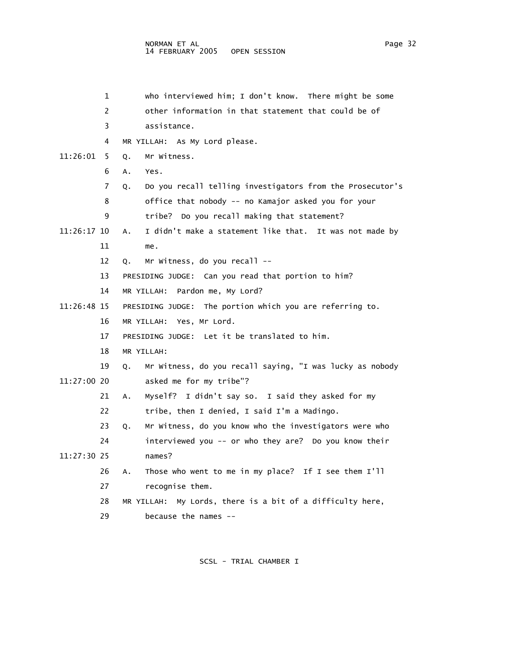1 who interviewed him; I don't know. There might be some 2 other information in that statement that could be of 3 assistance. 4 MR YILLAH: As My Lord please. 11:26:01 5 Q. Mr Witness. 6 A. Yes. 7 Q. Do you recall telling investigators from the Prosecutor's 8 office that nobody -- no Kamajor asked you for your 9 tribe? Do you recall making that statement? 11:26:17 10 A. I didn't make a statement like that. It was not made by 11 me. 12 Q. Mr Witness, do you recall -- 13 PRESIDING JUDGE: Can you read that portion to him? 14 MR YILLAH: Pardon me, My Lord? 11:26:48 15 PRESIDING JUDGE: The portion which you are referring to. 16 MR YILLAH: Yes, Mr Lord. 17 PRESIDING JUDGE: Let it be translated to him. 18 MR YILLAH: 19 Q. Mr Witness, do you recall saying, "I was lucky as nobody 11:27:00 20 asked me for my tribe"? 21 A. Myself? I didn't say so. I said they asked for my 22 tribe, then I denied, I said I'm a Madingo. 23 Q. Mr Witness, do you know who the investigators were who 24 interviewed you -- or who they are? Do you know their 11:27:30 25 names? 26 A. Those who went to me in my place? If I see them I'll 27 recognise them. 28 MR YILLAH: My Lords, there is a bit of a difficulty here, 29 because the names --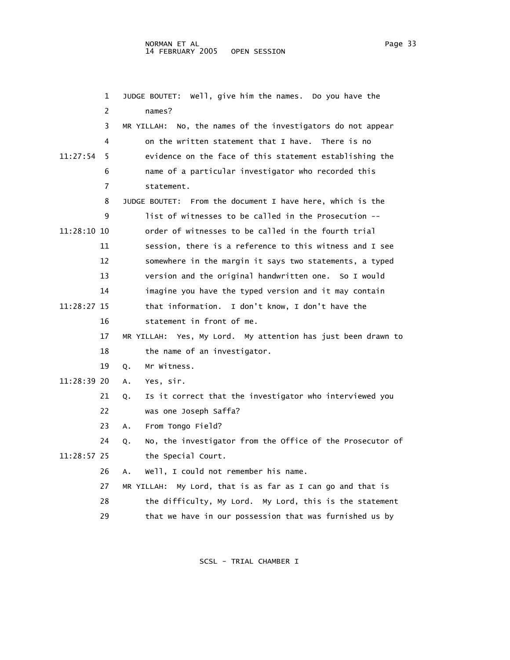1 JUDGE BOUTET: Well, give him the names. Do you have the 2 names? 3 MR YILLAH: No, the names of the investigators do not appear 4 on the written statement that I have. There is no 11:27:54 5 evidence on the face of this statement establishing the 6 name of a particular investigator who recorded this 7 statement. 8 JUDGE BOUTET: From the document I have here, which is the 9 list of witnesses to be called in the Prosecution -- 11:28:10 10 order of witnesses to be called in the fourth trial 11 session, there is a reference to this witness and I see 12 somewhere in the margin it says two statements, a typed 13 version and the original handwritten one. So I would 14 imagine you have the typed version and it may contain 11:28:27 15 that information. I don't know, I don't have the 16 statement in front of me. 17 MR YILLAH: Yes, My Lord. My attention has just been drawn to 18 the name of an investigator. 19 Q. Mr Witness. 11:28:39 20 A. Yes, sir. 21 Q. Is it correct that the investigator who interviewed you 22 was one Joseph Saffa? 23 A. From Tongo Field? 24 Q. No, the investigator from the Office of the Prosecutor of 11:28:57 25 the Special Court. 26 A. Well, I could not remember his name. 27 MR YILLAH: My Lord, that is as far as I can go and that is 28 the difficulty, My Lord. My Lord, this is the statement 29 that we have in our possession that was furnished us by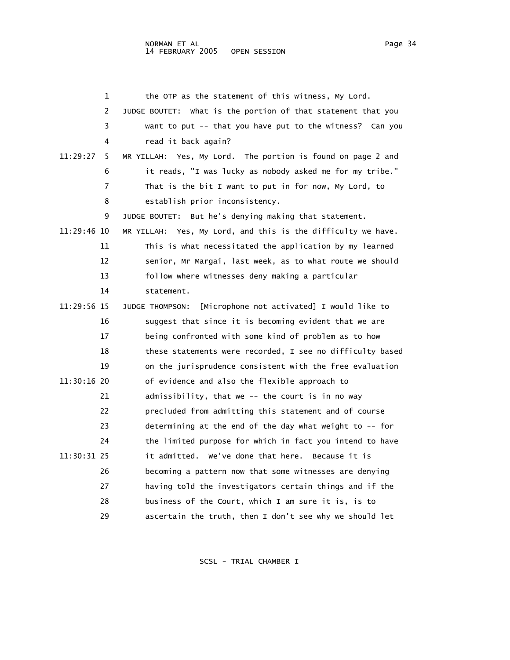|             | 1  | the OTP as the statement of this witness, My Lord.                   |
|-------------|----|----------------------------------------------------------------------|
|             | 2  | JUDGE BOUTET: What is the portion of that statement that you         |
|             | 3  | want to put -- that you have put to the witness? Can you             |
|             | 4  | read it back again?                                                  |
| 11:29:27    | 5  | MR YILLAH: Yes, My Lord. The portion is found on page 2 and          |
|             | 6  | it reads, "I was lucky as nobody asked me for my tribe."             |
|             | 7  | That is the bit I want to put in for now, My Lord, to                |
|             | 8  | establish prior inconsistency.                                       |
|             | 9  | JUDGE BOUTET: But he's denying making that statement.                |
| 11:29:46 10 |    | MR YILLAH: Yes, My Lord, and this is the difficulty we have.         |
|             | 11 | This is what necessitated the application by my learned              |
|             | 12 | senior, Mr Margai, last week, as to what route we should             |
|             | 13 | follow where witnesses deny making a particular                      |
|             | 14 | statement.                                                           |
| 11:29:56 15 |    | [Microphone not activated] I would like to<br><b>JUDGE THOMPSON:</b> |
|             | 16 | suggest that since it is becoming evident that we are                |
|             | 17 | being confronted with some kind of problem as to how                 |
|             | 18 | these statements were recorded, I see no difficulty based            |
|             | 19 | on the jurisprudence consistent with the free evaluation             |
| 11:30:16 20 |    | of evidence and also the flexible approach to                        |
|             | 21 | admissibility, that we -- the court is in no way                     |
|             | 22 | precluded from admitting this statement and of course                |
|             | 23 | determining at the end of the day what weight to -- for              |
|             | 24 | the limited purpose for which in fact you intend to have             |
| 11:30:31 25 |    | it admitted.  We've done that here.  Because it is                   |
|             | 26 | becoming a pattern now that some witnesses are denying               |
|             | 27 | having told the investigators certain things and if the              |
|             | 28 | business of the Court, which I am sure it is, is to                  |
|             | 29 | ascertain the truth, then I don't see why we should let              |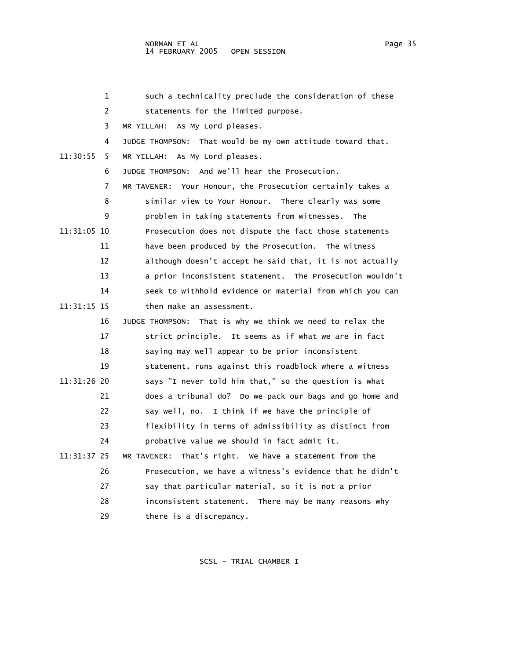1 such a technicality preclude the consideration of these 2 statements for the limited purpose. 3 MR YILLAH: As My Lord pleases. 4 JUDGE THOMPSON: That would be my own attitude toward that. 11:30:55 5 MR YILLAH: As My Lord pleases. 6 JUDGE THOMPSON: And we'll hear the Prosecution. 7 MR TAVENER: Your Honour, the Prosecution certainly takes a 8 similar view to Your Honour. There clearly was some 9 problem in taking statements from witnesses. The 11:31:05 10 Prosecution does not dispute the fact those statements 11 have been produced by the Prosecution. The witness 12 although doesn't accept he said that, it is not actually 13 a prior inconsistent statement. The Prosecution wouldn't 14 seek to withhold evidence or material from which you can 11:31:15 15 then make an assessment. 16 JUDGE THOMPSON: That is why we think we need to relax the 17 strict principle. It seems as if what we are in fact 18 saying may well appear to be prior inconsistent 19 statement, runs against this roadblock where a witness 11:31:26 20 says "I never told him that," so the question is what 21 does a tribunal do? Do we pack our bags and go home and 22 say well, no. I think if we have the principle of 23 flexibility in terms of admissibility as distinct from 24 probative value we should in fact admit it. 11:31:37 25 MR TAVENER: That's right. We have a statement from the 26 Prosecution, we have a witness's evidence that he didn't 27 say that particular material, so it is not a prior 28 inconsistent statement. There may be many reasons why 29 there is a discrepancy.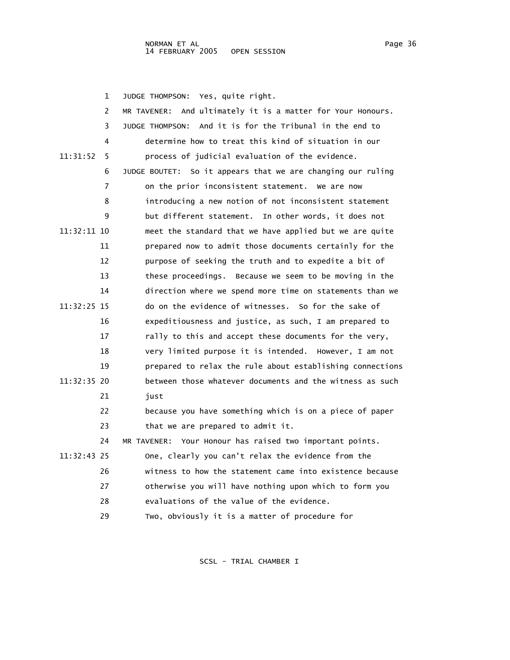1 JUDGE THOMPSON: Yes, quite right. 2 MR TAVENER: And ultimately it is a matter for Your Honours. 3 JUDGE THOMPSON: And it is for the Tribunal in the end to 4 determine how to treat this kind of situation in our 11:31:52 5 process of judicial evaluation of the evidence. 6 JUDGE BOUTET: So it appears that we are changing our ruling 7 on the prior inconsistent statement. We are now 8 introducing a new notion of not inconsistent statement 9 but different statement. In other words, it does not 11:32:11 10 meet the standard that we have applied but we are quite 11 prepared now to admit those documents certainly for the 12 purpose of seeking the truth and to expedite a bit of 13 these proceedings. Because we seem to be moving in the 14 direction where we spend more time on statements than we 11:32:25 15 do on the evidence of witnesses. So for the sake of 16 expeditiousness and justice, as such, I am prepared to 17 rally to this and accept these documents for the very, 18 very limited purpose it is intended. However, I am not 19 prepared to relax the rule about establishing connections 11:32:35 20 between those whatever documents and the witness as such 21 iust 22 because you have something which is on a piece of paper 23 that we are prepared to admit it. 24 MR TAVENER: Your Honour has raised two important points. 11:32:43 25 One, clearly you can't relax the evidence from the 26 witness to how the statement came into existence because 27 otherwise you will have nothing upon which to form you 28 evaluations of the value of the evidence. 29 Two, obviously it is a matter of procedure for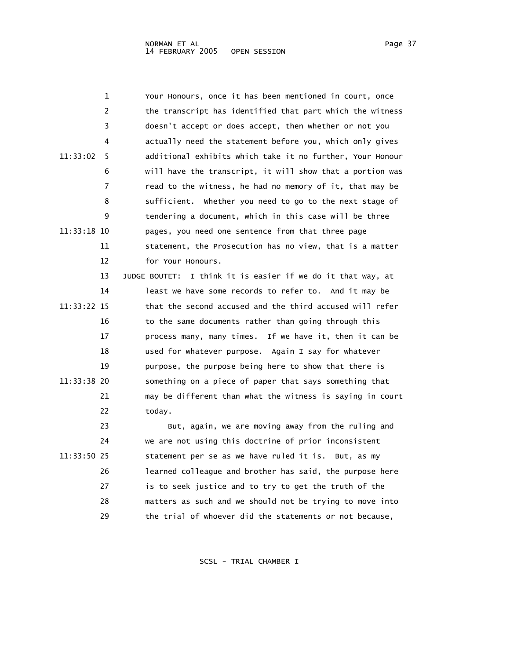|             | 1  | Your Honours, once it has been mentioned in court, once        |
|-------------|----|----------------------------------------------------------------|
|             | 2  | the transcript has identified that part which the witness      |
|             | 3  | doesn't accept or does accept, then whether or not you         |
|             | 4  | actually need the statement before you, which only gives       |
| 11:33:02    | 5  | additional exhibits which take it no further, Your Honour      |
|             | 6  | will have the transcript, it will show that a portion was      |
|             | 7  | read to the witness, he had no memory of it, that may be       |
|             | 8  | sufficient. Whether you need to go to the next stage of        |
|             | 9  | tendering a document, which in this case will be three         |
| 11:33:18 10 |    | pages, you need one sentence from that three page              |
|             | 11 | statement, the Prosecution has no view, that is a matter       |
|             | 12 | for Your Honours.                                              |
|             | 13 | I think it is easier if we do it that way, at<br>JUDGE BOUTET: |
|             | 14 | least we have some records to refer to. And it may be          |
| 11:33:22 15 |    | that the second accused and the third accused will refer       |
|             | 16 | to the same documents rather than going through this           |
|             | 17 | process many, many times. If we have it, then it can be        |
|             | 18 | used for whatever purpose. Again I say for whatever            |
|             | 19 | purpose, the purpose being here to show that there is          |
| 11:33:38 20 |    | something on a piece of paper that says something that         |
|             | 21 | may be different than what the witness is saying in court      |
|             | 22 | today.                                                         |
|             | 23 | But, again, we are moving away from the ruling and             |
|             | 24 | we are not using this doctrine of prior inconsistent           |
| 11:33:50 25 |    | statement per se as we have ruled it is. But, as my            |
|             | 26 | learned colleague and brother has said, the purpose here       |
|             | 27 | is to seek justice and to try to get the truth of the          |
|             | 28 | matters as such and we should not be trying to move into       |

29 the trial of whoever did the statements or not because,

- 
- 
- 
-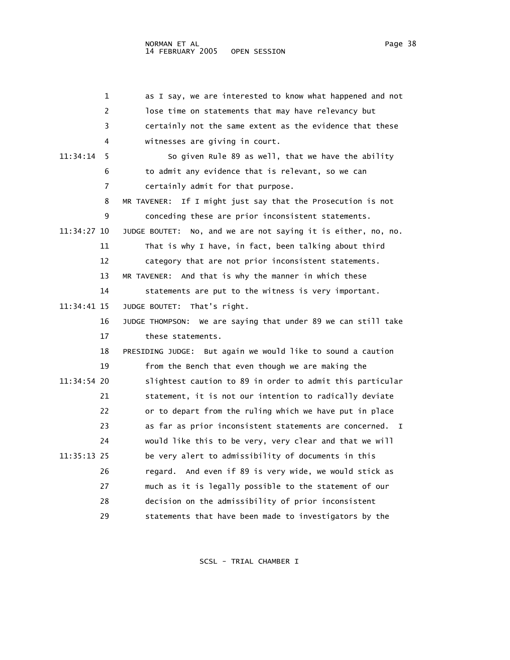1 as I say, we are interested to know what happened and not 2 lose time on statements that may have relevancy but 3 certainly not the same extent as the evidence that these 4 witnesses are giving in court. 11:34:14 5 So given Rule 89 as well, that we have the ability 6 to admit any evidence that is relevant, so we can 7 certainly admit for that purpose. 8 MR TAVENER: If I might just say that the Prosecution is not 9 conceding these are prior inconsistent statements. 11:34:27 10 JUDGE BOUTET: No, and we are not saying it is either, no, no.

11 That is why I have, in fact, been talking about third

12 category that are not prior inconsistent statements.

13 MR TAVENER: And that is why the manner in which these

 14 statements are put to the witness is very important. 11:34:41 15 JUDGE BOUTET: That's right.

> 16 JUDGE THOMPSON: We are saying that under 89 we can still take 17 these statements.

 18 PRESIDING JUDGE: But again we would like to sound a caution 19 from the Bench that even though we are making the 11:34:54 20 slightest caution to 89 in order to admit this particular 21 statement, it is not our intention to radically deviate 22 or to depart from the ruling which we have put in place 23 as far as prior inconsistent statements are concerned. I 24 would like this to be very, very clear and that we will 11:35:13 25 be very alert to admissibility of documents in this 26 regard. And even if 89 is very wide, we would stick as 27 much as it is legally possible to the statement of our 28 decision on the admissibility of prior inconsistent 29 statements that have been made to investigators by the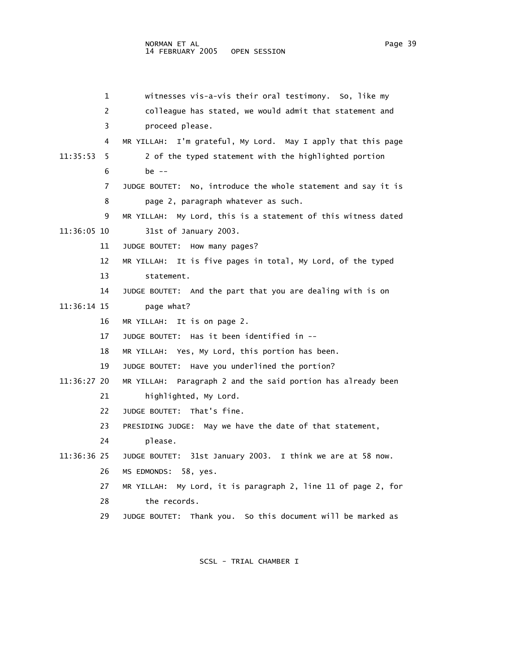| 1              | witnesses vis-a-vis their oral testimony. So, like my         |
|----------------|---------------------------------------------------------------|
| $\overline{c}$ | colleague has stated, we would admit that statement and       |
| 3              | proceed please.                                               |
| 4              | MR YILLAH: I'm grateful, My Lord. May I apply that this page  |
| 11:35:53<br>5. | 2 of the typed statement with the highlighted portion         |
| 6              | be $-$                                                        |
| 7              | JUDGE BOUTET: No, introduce the whole statement and say it is |
| 8              | page 2, paragraph whatever as such.                           |
| 9              | MR YILLAH: My Lord, this is a statement of this witness dated |
| 11:36:05 10    | 31st of January 2003.                                         |
| 11             | JUDGE BOUTET: How many pages?                                 |
| 12             | MR YILLAH: It is five pages in total, My Lord, of the typed   |
| 13             | statement.                                                    |
| 14             | JUDGE BOUTET: And the part that you are dealing with is on    |
| 11:36:14 15    | page what?                                                    |
| 16             | MR YILLAH:<br>It is on page 2.                                |
| 17             | JUDGE BOUTET: Has it been identified in --                    |
| 18             | MR YILLAH: Yes, My Lord, this portion has been.               |
| 19             | JUDGE BOUTET: Have you underlined the portion?                |
| 11:36:27 20    | MR YILLAH: Paragraph 2 and the said portion has already been  |
| 21             | highlighted, My Lord.                                         |
| 22             | JUDGE BOUTET: That's fine.                                    |
| 23             | PRESIDING JUDGE: May we have the date of that statement,      |
| 24             | please.                                                       |
| 11:36:36 25    | JUDGE BOUTET: 31st January 2003. I think we are at 58 now.    |
| 26             | MS EDMONDS: 58, yes.                                          |
| 27             | MR YILLAH: My Lord, it is paragraph 2, line 11 of page 2, for |
| 28             | the records.                                                  |
| 29             | JUDGE BOUTET: Thank you. So this document will be marked as   |
|                |                                                               |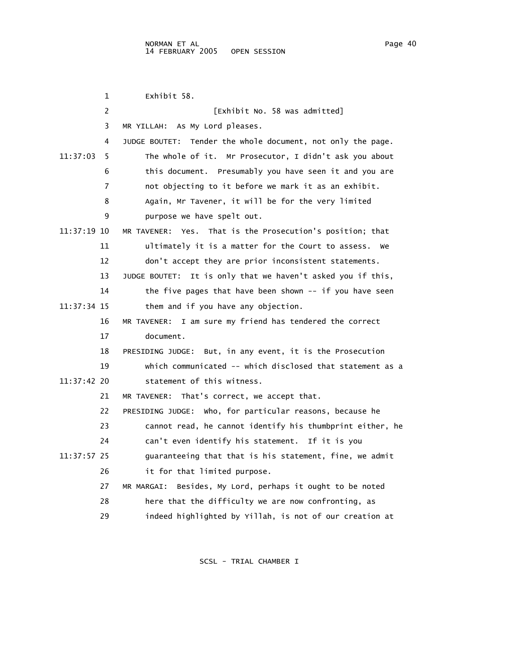1 Exhibit 58. 2 **[Exhibit No. 58 was admitted]**  3 MR YILLAH: As My Lord pleases. 4 JUDGE BOUTET: Tender the whole document, not only the page. 11:37:03 5 The whole of it. Mr Prosecutor, I didn't ask you about 6 this document. Presumably you have seen it and you are 7 not objecting to it before we mark it as an exhibit. 8 Again, Mr Tavener, it will be for the very limited 9 purpose we have spelt out. 11:37:19 10 MR TAVENER: Yes. That is the Prosecution's position; that 11 ultimately it is a matter for the Court to assess. We 12 don't accept they are prior inconsistent statements. 13 JUDGE BOUTET: It is only that we haven't asked you if this, 14 the five pages that have been shown -- if you have seen 11:37:34 15 them and if you have any objection. 16 MR TAVENER: I am sure my friend has tendered the correct 17 document. 18 PRESIDING JUDGE: But, in any event, it is the Prosecution 19 which communicated -- which disclosed that statement as a 11:37:42 20 statement of this witness. 21 MR TAVENER: That's correct, we accept that. 22 PRESIDING JUDGE: Who, for particular reasons, because he 23 cannot read, he cannot identify his thumbprint either, he 24 can't even identify his statement. If it is you 11:37:57 25 guaranteeing that that is his statement, fine, we admit 26 it for that limited purpose. 27 MR MARGAI: Besides, My Lord, perhaps it ought to be noted 28 here that the difficulty we are now confronting, as 29 indeed highlighted by Yillah, is not of our creation at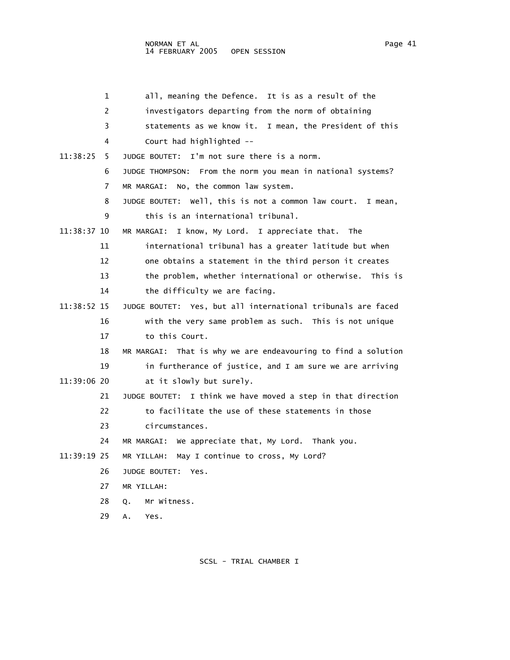| 1             | all, meaning the Defence. It is as a result of the            |
|---------------|---------------------------------------------------------------|
| 2             | investigators departing from the norm of obtaining            |
| 3             | statements as we know it. I mean, the President of this       |
| 4             | Court had highlighted --                                      |
| 11:38:25<br>5 | I'm not sure there is a norm.<br>JUDGE BOUTET:                |
| 6             | JUDGE THOMPSON: From the norm you mean in national systems?   |
| 7             | MR MARGAI: No, the common law system.                         |
| 8             | JUDGE BOUTET: Well, this is not a common law court. I mean,   |
| 9             | this is an international tribunal.                            |
| 11:38:37 10   | MR MARGAI: I know, My Lord. I appreciate that. The            |
| 11            | international tribunal has a greater latitude but when        |
| 12            | one obtains a statement in the third person it creates        |
| 13            | the problem, whether international or otherwise.<br>This is   |
| 14            | the difficulty we are facing.                                 |
| 11:38:52 15   | JUDGE BOUTET: Yes, but all international tribunals are faced  |
| 16            | with the very same problem as such. This is not unique        |
| 17            | to this Court.                                                |
| 18            | MR MARGAI: That is why we are endeavouring to find a solution |
| 19            | in furtherance of justice, and I am sure we are arriving      |
| 11:39:06 20   | at it slowly but surely.                                      |
| 21            | JUDGE BOUTET: I think we have moved a step in that direction  |
| 22            | to facilitate the use of these statements in those            |
| 23            | circumstances.                                                |
| 24            | MR MARGAI: We appreciate that, My Lord. Thank you.            |
| 11:39:19 25   | May I continue to cross, My Lord?<br>MR YILLAH:               |
| 26            | JUDGE BOUTET:<br>Yes.                                         |
| 27            | MR YILLAH:                                                    |
| 28            | Mr Witness.<br>Q.                                             |
| 29            | А.<br>Yes.                                                    |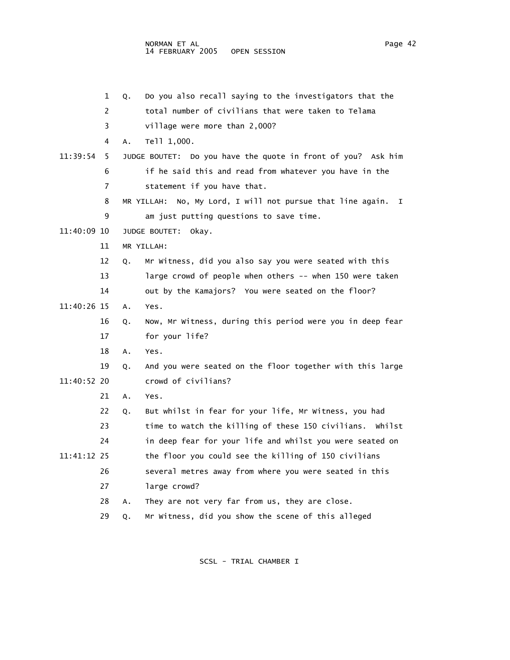1 Q. Do you also recall saying to the investigators that the 2 total number of civilians that were taken to Telama 3 village were more than 2,000? 4 A. Tell 1,000. 11:39:54 5 JUDGE BOUTET: Do you have the quote in front of you? Ask him 6 if he said this and read from whatever you have in the 7 statement if you have that. 8 MR YILLAH: No, My Lord, I will not pursue that line again. I 9 am just putting questions to save time. 11:40:09 10 JUDGE BOUTET: Okay. 11 MR YILLAH: 12 Q. Mr Witness, did you also say you were seated with this 13 large crowd of people when others -- when 150 were taken 14 out by the Kamajors? You were seated on the floor? 11:40:26 15 A. Yes. 16 Q. Now, Mr Witness, during this period were you in deep fear 17 for your life? 18 A. Yes. 19 Q. And you were seated on the floor together with this large 11:40:52 20 crowd of civilians? 21 A. Yes. 22 Q. But whilst in fear for your life, Mr Witness, you had 23 time to watch the killing of these 150 civilians. Whilst 24 in deep fear for your life and whilst you were seated on 11:41:12 25 the floor you could see the killing of 150 civilians 26 several metres away from where you were seated in this 27 large crowd? 28 A. They are not very far from us, they are close. 29 Q. Mr Witness, did you show the scene of this alleged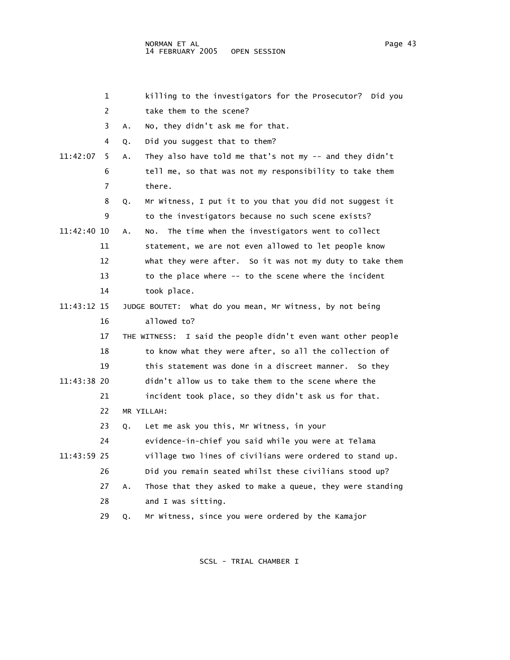|             | 1              |    | killing to the investigators for the Prosecutor? Did you        |
|-------------|----------------|----|-----------------------------------------------------------------|
|             | $\overline{2}$ |    | take them to the scene?                                         |
|             | 3              | Α. | No, they didn't ask me for that.                                |
|             | 4              | Q. | Did you suggest that to them?                                   |
| 11:42:07    | 5              | Α. | They also have told me that's not my $-$ and they didn't        |
|             | 6              |    | tell me, so that was not my responsibility to take them         |
|             | 7              |    | there.                                                          |
|             | 8              | Q. | Mr Witness, I put it to you that you did not suggest it         |
|             | 9              |    | to the investigators because no such scene exists?              |
| 11:42:40 10 |                | Α. | No. The time when the investigators went to collect             |
|             | 11             |    | statement, we are not even allowed to let people know           |
|             | 12             |    | what they were after. So it was not my duty to take them        |
|             | 13             |    | to the place where -- to the scene where the incident           |
|             | 14             |    | took place.                                                     |
| 11:43:12 15 |                |    | JUDGE BOUTET: What do you mean, Mr Witness, by not being        |
|             | 16             |    | allowed to?                                                     |
|             | 17             |    | I said the people didn't even want other people<br>THE WITNESS: |
|             | 18             |    | to know what they were after, so all the collection of          |
|             | 19             |    | this statement was done in a discreet manner. So they           |
| 11:43:38 20 |                |    | didn't allow us to take them to the scene where the             |
|             | 21             |    | incident took place, so they didn't ask us for that.            |
|             | 22             |    | MR YILLAH:                                                      |
|             | 23             | Q. | Let me ask you this, Mr Witness, in your                        |
|             | 24             |    | evidence-in-chief you said while you were at Telama             |
| 11:43:59 25 |                |    | village two lines of civilians were ordered to stand up.        |
|             | 26             |    | Did you remain seated whilst these civilians stood up?          |
|             | 27             | Α. | Those that they asked to make a queue, they were standing       |
|             | 28             |    | and I was sitting.                                              |
|             | 29             | Q. | Mr Witness, since you were ordered by the Kamajor               |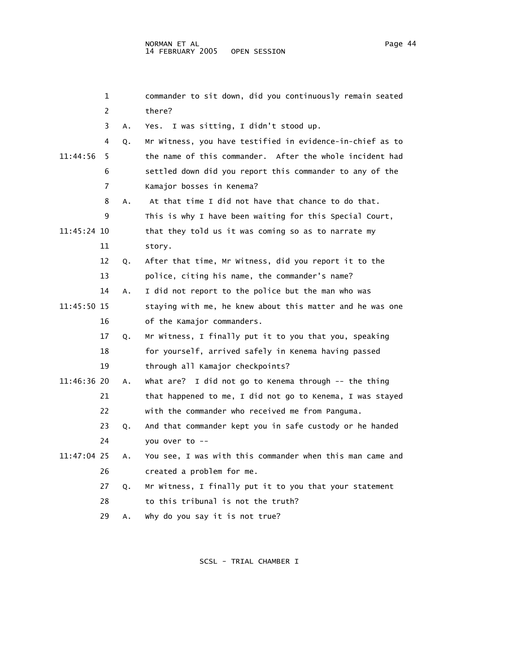|             | 1  |    | commander to sit down, did you continuously remain seated |
|-------------|----|----|-----------------------------------------------------------|
|             | 2  |    | there?                                                    |
|             | 3  | Α. | Yes. I was sitting, I didn't stood up.                    |
|             | 4  | Q. | Mr Witness, you have testified in evidence-in-chief as to |
| 11:44:56    | 5  |    | the name of this commander. After the whole incident had  |
|             | 6  |    | settled down did you report this commander to any of the  |
|             | 7  |    | Kamajor bosses in Kenema?                                 |
|             | 8  | Α. | At that time I did not have that chance to do that.       |
|             | 9  |    | This is why I have been waiting for this Special Court,   |
| 11:45:24 10 |    |    | that they told us it was coming so as to narrate my       |
|             | 11 |    | story.                                                    |
|             | 12 | Q. | After that time, Mr Witness, did you report it to the     |
|             | 13 |    | police, citing his name, the commander's name?            |
|             | 14 | Α. | I did not report to the police but the man who was        |
| 11:45:50 15 |    |    | staying with me, he knew about this matter and he was one |
|             | 16 |    | of the Kamajor commanders.                                |
|             | 17 | Q. | Mr Witness, I finally put it to you that you, speaking    |
|             | 18 |    | for yourself, arrived safely in Kenema having passed      |
|             | 19 |    | through all Kamajor checkpoints?                          |
| 11:46:36 20 |    | Α. | What are? I did not go to Kenema through -- the thing     |
|             | 21 |    | that happened to me, I did not go to Kenema, I was stayed |
|             | 22 |    | with the commander who received me from Panguma.          |
|             | 23 | Q. | And that commander kept you in safe custody or he handed  |
|             | 24 |    | you over to --                                            |
| 11:47:04 25 |    | Α. | You see, I was with this commander when this man came and |
|             | 26 |    | created a problem for me.                                 |
|             | 27 | Q. | Mr Witness, I finally put it to you that your statement   |
|             | 28 |    | to this tribunal is not the truth?                        |
|             | 29 | Α. | why do you say it is not true?                            |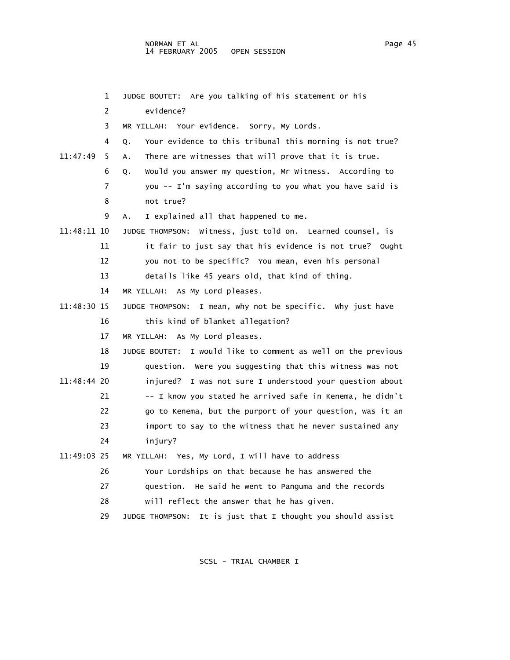|             | 1  | JUDGE BOUTET: Are you talking of his statement or his            |
|-------------|----|------------------------------------------------------------------|
|             | 2  | evidence?                                                        |
|             | 3  | MR YILLAH: Your evidence. Sorry, My Lords.                       |
|             | 4  | Your evidence to this tribunal this morning is not true?<br>Q.   |
| 11:47:49    | 5  | There are witnesses that will prove that it is true.<br>A.       |
|             | 6  | Would you answer my question, Mr Witness. According to<br>Q.     |
|             | 7  | you -- I'm saying according to you what you have said is         |
|             | 8  | not true?                                                        |
|             | 9  | I explained all that happened to me.<br>А.                       |
| 11:48:11 10 |    | JUDGE THOMPSON: Witness, just told on. Learned counsel, is       |
|             | 11 | it fair to just say that his evidence is not true? Ought         |
|             | 12 | you not to be specific? You mean, even his personal              |
|             | 13 | details like 45 years old, that kind of thing.                   |
|             | 14 | MR YILLAH: As My Lord pleases.                                   |
| 11:48:30 15 |    | JUDGE THOMPSON: I mean, why not be specific. Why just have       |
|             | 16 | this kind of blanket allegation?                                 |
|             | 17 | MR YILLAH: As My Lord pleases.                                   |
|             | 18 | I would like to comment as well on the previous<br>JUDGE BOUTET: |
|             | 19 | question. Were you suggesting that this witness was not          |
| 11:48:44 20 |    | injured? I was not sure I understood your question about         |
|             | 21 | -- I know you stated he arrived safe in Kenema, he didn't        |
|             | 22 | go to Kenema, but the purport of your question, was it an        |
|             | 23 | import to say to the witness that he never sustained any         |
|             | 24 | injury?                                                          |
| 11:49:03 25 |    | MR YILLAH: Yes, My Lord, I will have to address                  |
|             | 26 | Your Lordships on that because he has answered the               |
|             | 27 | question. He said he went to Panguma and the records             |
|             | 28 | will reflect the answer that he has given.                       |
|             | 29 | It is just that I thought you should assist<br>JUDGE THOMPSON:   |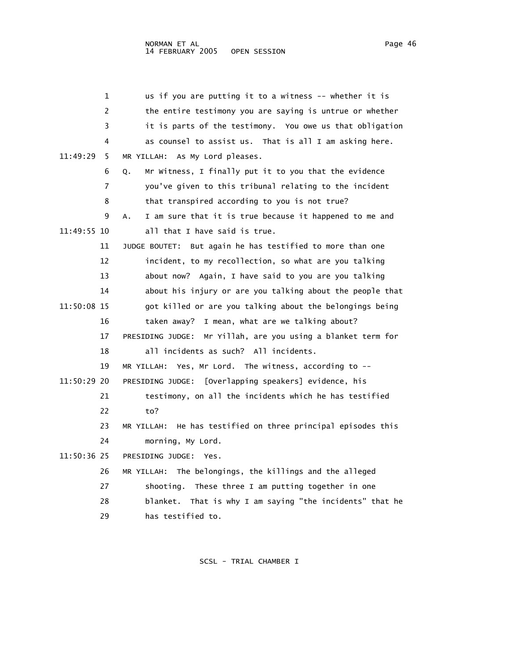| 1              | us if you are putting it to a witness -- whether it is          |
|----------------|-----------------------------------------------------------------|
| 2              | the entire testimony you are saying is untrue or whether        |
| 3              | it is parts of the testimony. You owe us that obligation        |
| 4              | as counsel to assist us. That is all I am asking here.          |
| 11:49:29<br>5. | MR YILLAH: As My Lord pleases.                                  |
| 6              | Mr Witness, I finally put it to you that the evidence<br>Q.     |
| 7              | you've given to this tribunal relating to the incident          |
| 8              | that transpired according to you is not true?                   |
| 9              | I am sure that it is true because it happened to me and<br>А.   |
| 11:49:55 10    | all that I have said is true.                                   |
| 11             | But again he has testified to more than one<br>JUDGE BOUTET:    |
| 12             | incident, to my recollection, so what are you talking           |
| 13             | about now? Again, I have said to you are you talking            |
| 14             | about his injury or are you talking about the people that       |
| 11:50:08 15    | got killed or are you talking about the belongings being        |
| 16             | I mean, what are we talking about?<br>taken away?               |
| 17             | Mr Yillah, are you using a blanket term for<br>PRESIDING JUDGE: |
| 18             | all incidents as such? All incidents.                           |
| 19             | MR YILLAH: Yes, Mr Lord. The witness, according to --           |
| 11:50:29 20    | PRESIDING JUDGE: [Overlapping speakers] evidence, his           |
| 21             | testimony, on all the incidents which he has testified          |
| 22             | to?                                                             |
| 23             | MR YILLAH: He has testified on three principal episodes this    |
| 24             | morning, My Lord.                                               |
| 11:50:36 25    | PRESIDING JUDGE:<br>Yes.                                        |
| 26             | MR YILLAH: The belongings, the killings and the alleged         |
| 27             | These three I am putting together in one<br>shooting.           |
| 28             | blanket.<br>That is why I am saying "the incidents" that he     |
| 29             | has testified to.                                               |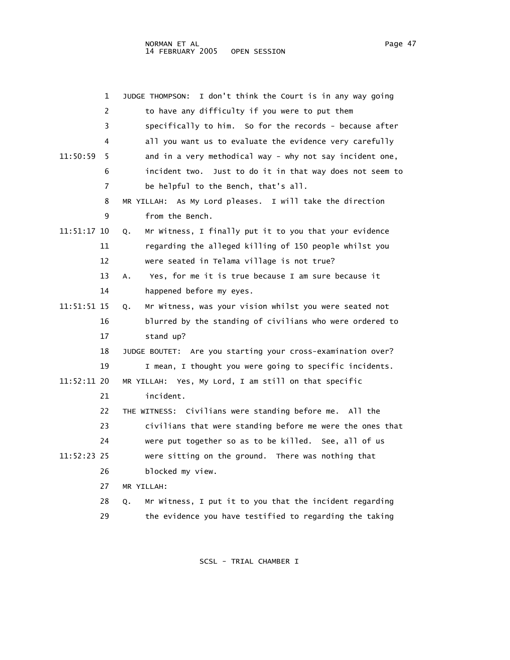|             | 1              | I don't think the Court is in any way going<br>JUDGE THOMPSON: |
|-------------|----------------|----------------------------------------------------------------|
|             | 2              | to have any difficulty if you were to put them                 |
|             | 3              | specifically to him. So for the records - because after        |
|             | 4              | all you want us to evaluate the evidence very carefully        |
| 11:50:59    | 5.             | and in a very methodical way - why not say incident one,       |
|             | 6              | incident two. Just to do it in that way does not seem to       |
|             | $\overline{7}$ | be helpful to the Bench, that's all.                           |
|             | 8              | MR YILLAH: As My Lord pleases. I will take the direction       |
|             | 9              | from the Bench.                                                |
| 11:51:17 10 |                | Mr Witness, I finally put it to you that your evidence<br>Q.   |
|             | 11             | regarding the alleged killing of 150 people whilst you         |
|             | 12             | were seated in Telama village is not true?                     |
|             | 13             | Yes, for me it is true because I am sure because it<br>Α.      |
|             | 14             | happened before my eyes.                                       |
| 11:51:51 15 |                | Mr Witness, was your vision whilst you were seated not<br>Q.   |
|             | 16             | blurred by the standing of civilians who were ordered to       |
|             | 17             | stand up?                                                      |
|             | 18             | JUDGE BOUTET: Are you starting your cross-examination over?    |
|             | 19             | I mean, I thought you were going to specific incidents.        |
| 11:52:11 20 |                | MR YILLAH: Yes, My Lord, I am still on that specific           |
|             | 21             | incident.                                                      |
|             | 22             | THE WITNESS: Civilians were standing before me. All the        |
|             | 23             | civilians that were standing before me were the ones that      |
|             | 24             | were put together so as to be killed. See, all of us           |
| 11:52:23 25 |                | were sitting on the ground. There was nothing that             |
|             | 26             | blocked my view.                                               |
|             | 27             | MR YILLAH:                                                     |
|             | 28             | Mr Witness, I put it to you that the incident regarding<br>Q.  |
|             | 29             | the evidence you have testified to regarding the taking        |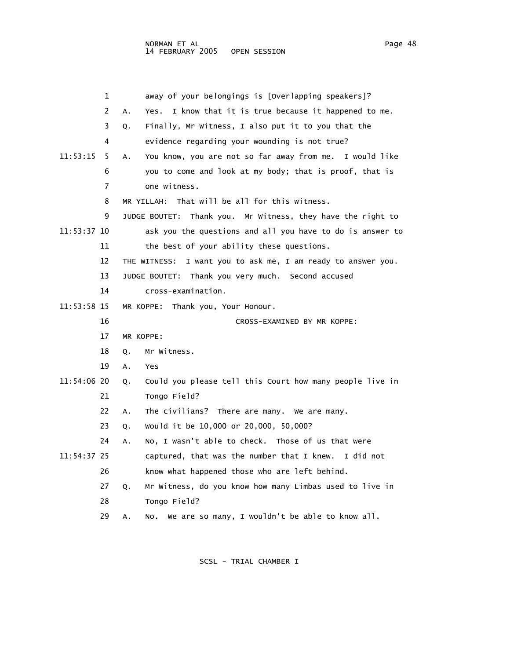|             | 1  | away of your belongings is [Overlapping speakers]?              |
|-------------|----|-----------------------------------------------------------------|
|             | 2  | I know that it is true because it happened to me.<br>Α.<br>Yes. |
|             | 3  | Finally, Mr Witness, I also put it to you that the<br>Q.        |
|             | 4  | evidence regarding your wounding is not true?                   |
| 11:53:15    | 5  | You know, you are not so far away from me. I would like<br>Α.   |
|             | 6  | you to come and look at my body; that is proof, that is         |
|             | 7  | one witness.                                                    |
|             | 8  | That will be all for this witness.<br>MR YILLAH:                |
|             | 9  | Thank you. Mr Witness, they have the right to<br>JUDGE BOUTET:  |
| 11:53:37 10 |    | ask you the questions and all you have to do is answer to       |
|             | 11 | the best of your ability these questions.                       |
|             | 12 | THE WITNESS:<br>I want you to ask me, I am ready to answer you. |
|             | 13 | JUDGE BOUTET: Thank you very much. Second accused               |
|             | 14 | cross-examination.                                              |
| 11:53:58 15 |    | MR KOPPE: Thank you, Your Honour.                               |
|             | 16 | CROSS-EXAMINED BY MR KOPPE:                                     |
|             | 17 | MR KOPPE:                                                       |
|             | 18 | Mr Witness.<br>Q.                                               |
|             | 19 | Α.<br><b>Yes</b>                                                |
| 11:54:06 20 |    | Could you please tell this Court how many people live in<br>Q.  |
|             | 21 | Tongo Field?                                                    |
|             | 22 | The civilians? There are many. We are many.<br>Α.               |
|             | 23 | would it be 10,000 or 20,000, 50,000?<br>Q.                     |
|             | 24 | No, I wasn't able to check. Those of us that were<br>Α.         |
| 11:54:37 25 |    | captured, that was the number that I knew. I did not            |
|             | 26 | know what happened those who are left behind.                   |
|             | 27 | Mr Witness, do you know how many Limbas used to live in<br>Q.   |
|             | 28 | Tongo Field?                                                    |
|             | 29 | We are so many, I wouldn't be able to know all.<br>Α.<br>No.    |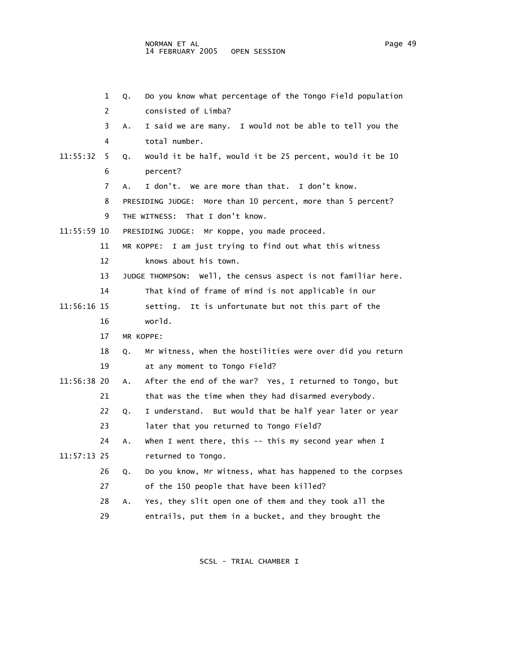|             | 1  | Do you know what percentage of the Tongo Field population<br>Q. |
|-------------|----|-----------------------------------------------------------------|
|             | 2  | consisted of Limba?                                             |
|             | 3  | I said we are many. I would not be able to tell you the<br>А.   |
|             | 4  | total number.                                                   |
| 11:55:32    | 5. | would it be half, would it be 25 percent, would it be 10<br>Q.  |
|             | 6  | percent?                                                        |
|             | 7  | I don't. We are more than that. I don't know.<br>А.             |
|             | 8  | More than 10 percent, more than 5 percent?<br>PRESIDING JUDGE:  |
|             | 9  | THE WITNESS: That I don't know.                                 |
| 11:55:59 10 |    | PRESIDING JUDGE: Mr Koppe, you made proceed.                    |
|             | 11 | MR KOPPE: I am just trying to find out what this witness        |
|             | 12 | knows about his town.                                           |
|             | 13 | JUDGE THOMPSON: Well, the census aspect is not familiar here.   |
|             | 14 | That kind of frame of mind is not applicable in our             |
| 11:56:16 15 |    | setting. It is unfortunate but not this part of the             |
|             | 16 | world.                                                          |
|             | 17 | MR KOPPE:                                                       |
|             | 18 | Mr Witness, when the hostilities were over did you return<br>Q. |
|             | 19 | at any moment to Tongo Field?                                   |
| 11:56:38 20 |    | After the end of the war? Yes, I returned to Tongo, but<br>Α.   |
|             | 21 | that was the time when they had disarmed everybody.             |
|             | 22 | I understand. But would that be half year later or year<br>Q.   |
|             | 23 | later that you returned to Tongo Field?                         |
|             | 24 | When I went there, this $--$ this my second year when I<br>А.   |
| 11:57:13 25 |    | returned to Tongo.                                              |
|             | 26 | Do you know, Mr Witness, what has happened to the corpses<br>Q. |
|             | 27 | of the 150 people that have been killed?                        |
|             | 28 | Yes, they slit open one of them and they took all the<br>Α.     |
|             | 29 | entrails, put them in a bucket, and they brought the            |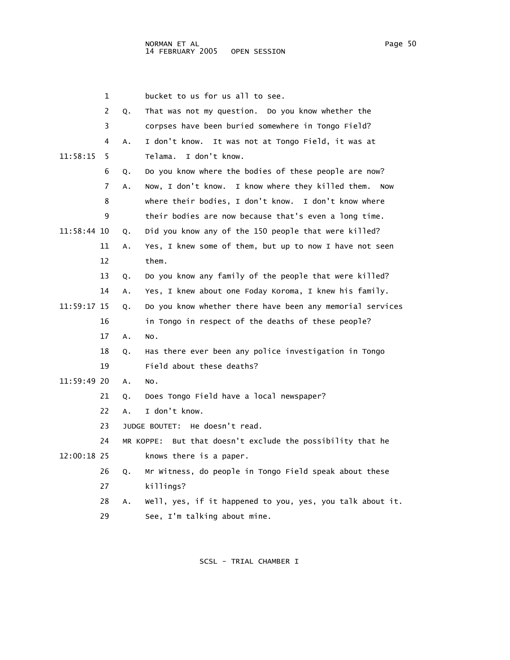1 bucket to us for us all to see. 2 Q. That was not my question. Do you know whether the 3 corpses have been buried somewhere in Tongo Field? 4 A. I don't know. It was not at Tongo Field, it was at 11:58:15 5 Telama. I don't know. 6 Q. Do you know where the bodies of these people are now? 7 A. Now, I don't know. I know where they killed them. Now 8 where their bodies, I don't know. I don't know where 9 their bodies are now because that's even a long time. 11:58:44 10 Q. Did you know any of the 150 people that were killed? 11 A. Yes, I knew some of them, but up to now I have not seen 12 them. 13 Q. Do you know any family of the people that were killed? 14 A. Yes, I knew about one Foday Koroma, I knew his family. 11:59:17 15 Q. Do you know whether there have been any memorial services 16 in Tongo in respect of the deaths of these people? 17 A. No. 18 Q. Has there ever been any police investigation in Tongo 19 Field about these deaths? 11:59:49 20 A. No. 21 Q. Does Tongo Field have a local newspaper? 22 A. I don't know. 23 JUDGE BOUTET: He doesn't read. 24 MR KOPPE: But that doesn't exclude the possibility that he 12:00:18 25 knows there is a paper. 26 Q. Mr Witness, do people in Tongo Field speak about these 27 killings? 28 A. Well, yes, if it happened to you, yes, you talk about it.

29 See, I'm talking about mine.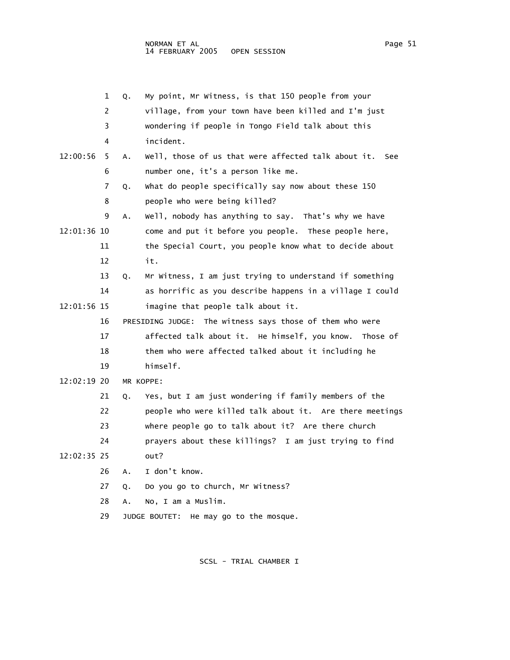|             | 1  | Q. | My point, Mr Witness, is that 150 people from your          |
|-------------|----|----|-------------------------------------------------------------|
|             | 2  |    | village, from your town have been killed and I'm just       |
|             | 3  |    | wondering if people in Tongo Field talk about this          |
|             | 4  |    | incident.                                                   |
| 12:00:56    | 5  | Α. | Well, those of us that were affected talk about it.<br>See  |
|             | 6  |    | number one, it's a person like me.                          |
|             | 7  | Q. | What do people specifically say now about these 150         |
|             | 8  |    | people who were being killed?                               |
|             | 9  | Α. | Well, nobody has anything to say. That's why we have        |
| 12:01:36 10 |    |    | come and put it before you people. These people here,       |
|             | 11 |    | the Special Court, you people know what to decide about     |
|             | 12 |    | it.                                                         |
|             | 13 | Q. | Mr Witness, I am just trying to understand if something     |
|             | 14 |    | as horrific as you describe happens in a village I could    |
| 12:01:56 15 |    |    | imagine that people talk about it.                          |
|             | 16 |    | PRESIDING JUDGE:<br>The witness says those of them who were |
|             | 17 |    | affected talk about it. He himself, you know.<br>Those of   |
|             | 18 |    | them who were affected talked about it including he         |
|             | 19 |    | himself.                                                    |
| 12:02:19 20 |    |    | MR KOPPE:                                                   |
|             | 21 | Q. | Yes, but I am just wondering if family members of the       |
|             | 22 |    | people who were killed talk about it. Are there meetings    |
|             | 23 |    | where people go to talk about it? Are there church          |
|             | 24 |    | prayers about these killings? I am just trying to find      |
| 12:02:35 25 |    |    | out?                                                        |
|             | 26 | Α. | I don't know.                                               |
|             | 27 | Q. | Do you go to church, Mr Witness?                            |
|             | 28 | А. | No, I am a Muslim.                                          |
|             | 29 |    | He may go to the mosque.<br>JUDGE BOUTET:                   |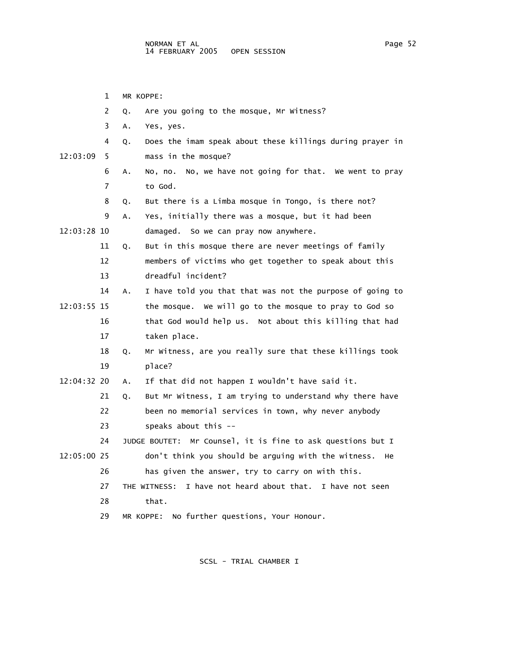1 MR KOPPE: 2 Q. Are you going to the mosque, Mr Witness? 3 A. Yes, yes. 4 Q. Does the imam speak about these killings during prayer in 12:03:09 5 mass in the mosque? 6 A. No, no. No, we have not going for that. We went to pray 7 to God. 8 Q. But there is a Limba mosque in Tongo, is there not? 9 A. Yes, initially there was a mosque, but it had been 12:03:28 10 damaged. So we can pray now anywhere. 11 Q. But in this mosque there are never meetings of family 12 members of victims who get together to speak about this 13 dreadful incident? 14 A. I have told you that that was not the purpose of going to 12:03:55 15 the mosque. We will go to the mosque to pray to God so 16 that God would help us. Not about this killing that had 17 taken place. 18 Q. Mr Witness, are you really sure that these killings took 19 place? 12:04:32 20 A. If that did not happen I wouldn't have said it. 21 Q. But Mr Witness, I am trying to understand why there have 22 been no memorial services in town, why never anybody 23 speaks about this -- 24 JUDGE BOUTET: Mr Counsel, it is fine to ask questions but I 12:05:00 25 don't think you should be arguing with the witness. He 26 has given the answer, try to carry on with this. 27 THE WITNESS: I have not heard about that. I have not seen 28 that. 29 MR KOPPE: No further questions, Your Honour.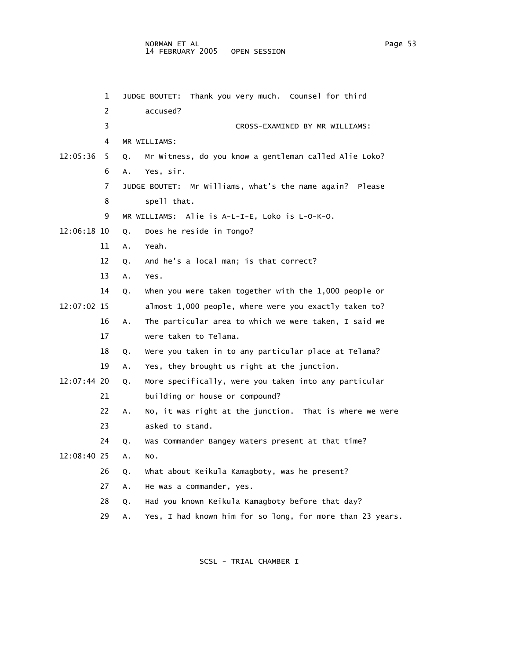| 1             |    | JUDGE BOUTET: Thank you very much. Counsel for third      |
|---------------|----|-----------------------------------------------------------|
| 2             |    | accused?                                                  |
| 3             |    | CROSS-EXAMINED BY MR WILLIAMS:                            |
| 4             |    | MR WILLIAMS:                                              |
| 12:05:36<br>5 | Q. | Mr Witness, do you know a gentleman called Alie Loko?     |
| 6             | Α. | Yes, sir.                                                 |
| 7             |    | JUDGE BOUTET: Mr Williams, what's the name again? Please  |
| 8             |    | spell that.                                               |
| 9             |    | MR WILLIAMS: Alie is A-L-I-E, Loko is L-O-K-O.            |
| 12:06:18 10   | Q. | Does he reside in Tongo?                                  |
| 11            | Α. | Yeah.                                                     |
| 12            | Q. | And he's a local man; is that correct?                    |
| 13            | Α. | Yes.                                                      |
| 14            | Q. | when you were taken together with the 1,000 people or     |
| 12:07:02 15   |    | almost 1,000 people, where were you exactly taken to?     |
| 16            | Α. | The particular area to which we were taken, I said we     |
| 17            |    | were taken to Telama.                                     |
| 18            | Q. | Were you taken in to any particular place at Telama?      |
| 19            | Α. | Yes, they brought us right at the junction.               |
| 12:07:44 20   | Q. | More specifically, were you taken into any particular     |
| 21            |    | building or house or compound?                            |
| 22            | Α. | No, it was right at the junction. That is where we were   |
| 23            |    | asked to stand.                                           |
| 24            | Q. | Was Commander Bangey Waters present at that time?         |
| 12:08:40 25   | Α. | NO.                                                       |
| 26            | Q. | What about Keikula Kamagboty, was he present?             |
| 27            | Α. | He was a commander, yes.                                  |
| 28            | Q. | Had you known Keikula Kamagboty before that day?          |
| 29            | Α. | Yes, I had known him for so long, for more than 23 years. |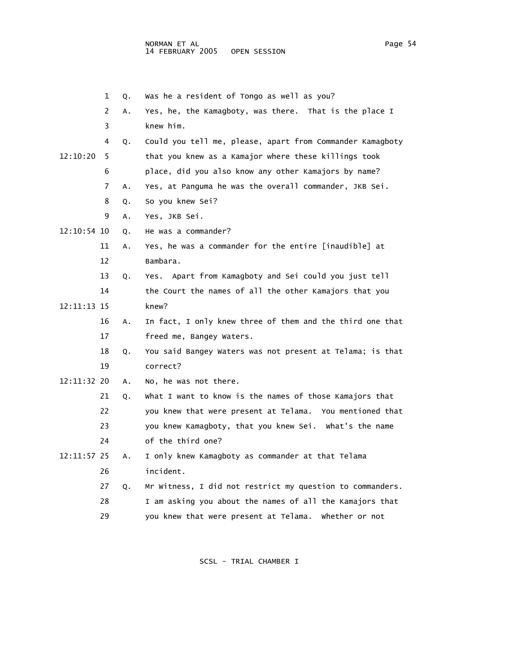1 Q. Was he a resident of Tongo as well as you? 2 A. Yes, he, the Kamagboty, was there. That is the place I 3 knew him. 4 Q. Could you tell me, please, apart from Commander Kamagboty 12:10:20 5 that you knew as a Kamajor where these killings took 6 place, did you also know any other Kamajors by name? 7 A. Yes, at Panguma he was the overall commander, JKB Sei. 8 Q. So you knew Sei? 9 A. Yes, JKB Sei. 12:10:54 10 Q. He was a commander? 11 A. Yes, he was a commander for the entire [inaudible] at 12 Bambara. 13 Q. Yes. Apart from Kamagboty and Sei could you just tell 14 the Court the names of all the other Kamajors that you 12:11:13 15 knew? 16 A. In fact, I only knew three of them and the third one that 17 freed me, Bangey Waters. 18 Q. You said Bangey Waters was not present at Telama; is that 19 correct? 12:11:32 20 A. No, he was not there. 21 Q. What I want to know is the names of those Kamajors that 22 you knew that were present at Telama. You mentioned that 23 you knew Kamagboty, that you knew Sei. What's the name 24 of the third one? 12:11:57 25 A. I only knew Kamagboty as commander at that Telama 26 incident. 27 Q. Mr Witness, I did not restrict my question to commanders. 28 I am asking you about the names of all the Kamajors that

SCSL - TRIAL CHAMBER I

29 you knew that were present at Telama. Whether or not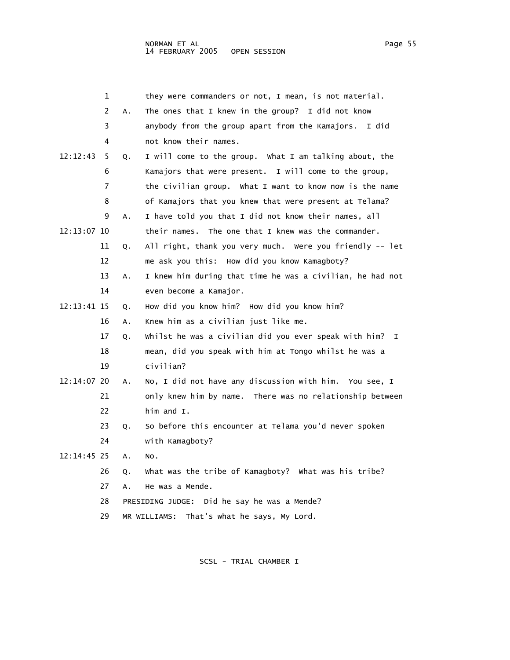|             | 1  |    | they were commanders or not, I mean, is not material.       |
|-------------|----|----|-------------------------------------------------------------|
|             | 2  | Α. | The ones that I knew in the group? I did not know           |
|             | 3  |    | anybody from the group apart from the Kamajors. I did       |
|             | 4  |    | not know their names.                                       |
| 12:12:43    | 5  | Q. | I will come to the group. What I am talking about, the      |
|             | 6  |    | Kamajors that were present. I will come to the group,       |
|             | 7  |    | the civilian group. What I want to know now is the name     |
|             | 8  |    | of Kamajors that you knew that were present at Telama?      |
|             | 9  | А. | I have told you that I did not know their names, all        |
| 12:13:07 10 |    |    | their names. The one that I knew was the commander.         |
|             | 11 | Q. | All right, thank you very much. Were you friendly -- let    |
|             | 12 |    | me ask you this: How did you know Kamagboty?                |
|             | 13 | A. | I knew him during that time he was a civilian, he had not   |
|             | 14 |    | even become a Kamajor.                                      |
| 12:13:41 15 |    | Q. | How did you know him? How did you know him?                 |
|             | 16 | Α. | Knew him as a civilian just like me.                        |
|             | 17 | Q. | Whilst he was a civilian did you ever speak with him?<br>I. |
|             | 18 |    | mean, did you speak with him at Tongo whilst he was a       |
|             | 19 |    | civilian?                                                   |
| 12:14:07 20 |    | Α. | No, I did not have any discussion with him. You see, I      |
|             | 21 |    | only knew him by name. There was no relationship between    |
|             | 22 |    | him and $I$ .                                               |
|             | 23 | Q. | So before this encounter at Telama you'd never spoken       |
|             | 24 |    | with Kamagboty?                                             |
| 12:14:45 25 |    | A. | NO.                                                         |
|             | 26 | Q. | What was the tribe of Kamagboty? What was his tribe?        |
|             | 27 | A. | He was a Mende.                                             |
|             | 28 |    | PRESIDING JUDGE: Did he say he was a Mende?                 |
|             | 29 |    | That's what he says, My Lord.<br>MR WILLIAMS:               |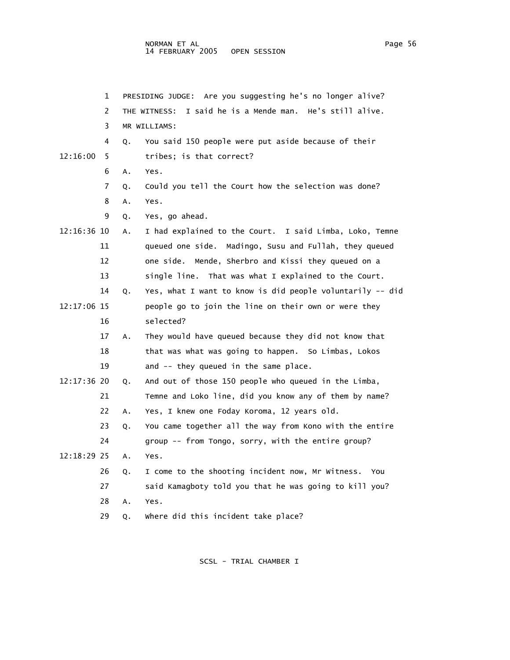|             | 1  | PRESIDING JUDGE: Are you suggesting he's no longer alive? |                                                             |  |
|-------------|----|-----------------------------------------------------------|-------------------------------------------------------------|--|
|             | 2  |                                                           | I said he is a Mende man. He's still alive.<br>THE WITNESS: |  |
|             | 3  |                                                           | MR WILLIAMS:                                                |  |
|             | 4  | Q.                                                        | You said 150 people were put aside because of their         |  |
| 12:16:00    | 5  |                                                           | tribes; is that correct?                                    |  |
|             | 6  | Α.                                                        | Yes.                                                        |  |
|             | 7  | Q.                                                        | Could you tell the Court how the selection was done?        |  |
|             | 8  | Α.                                                        | Yes.                                                        |  |
|             | 9  | Q.                                                        | Yes, go ahead.                                              |  |
| 12:16:36 10 |    | Α.                                                        | I had explained to the Court. I said Limba, Loko, Temne     |  |
|             | 11 |                                                           | queued one side. Madingo, Susu and Fullah, they queued      |  |
|             | 12 |                                                           | one side. Mende, Sherbro and Kissi they queued on a         |  |
|             | 13 |                                                           | single line. That was what I explained to the Court.        |  |
|             | 14 | Q.                                                        | Yes, what I want to know is did people voluntarily -- did   |  |
| 12:17:06 15 |    |                                                           | people go to join the line on their own or were they        |  |
|             | 16 |                                                           | selected?                                                   |  |
|             | 17 | A.                                                        | They would have queued because they did not know that       |  |
|             | 18 |                                                           | that was what was going to happen. So Limbas, Lokos         |  |
|             | 19 |                                                           | and -- they queued in the same place.                       |  |
| 12:17:36 20 |    | Q.                                                        | And out of those 150 people who queued in the Limba,        |  |
|             | 21 |                                                           | Temne and Loko line, did you know any of them by name?      |  |
|             | 22 | A.                                                        | Yes, I knew one Foday Koroma, 12 years old.                 |  |
|             | 23 | Q.                                                        | You came together all the way from Kono with the entire     |  |
|             | 24 |                                                           | group -- from Tongo, sorry, with the entire group?          |  |
| 12:18:29 25 |    | Α.                                                        | Yes.                                                        |  |
|             | 26 | Q.                                                        | I come to the shooting incident now, Mr Witness.<br>You     |  |
|             | 27 |                                                           | said Kamagboty told you that he was going to kill you?      |  |
|             | 28 | Α.                                                        | Yes.                                                        |  |
|             | 29 | Q.                                                        | where did this incident take place?                         |  |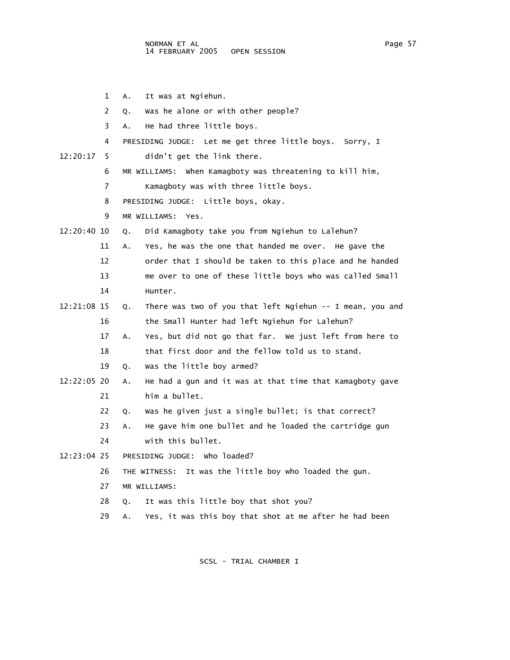1 A. It was at Ngiehun.

2 Q. Was he alone or with other people?

- 3 A. He had three little boys.
- 4 PRESIDING JUDGE: Let me get three little boys. Sorry, I
- 12:20:17 5 didn't get the link there.
	- 6 MR WILLIAMS: When Kamagboty was threatening to kill him,
	- 7 Kamagboty was with three little boys.

8 PRESIDING JUDGE: Little boys, okay.

- 9 MR WILLIAMS: Yes.
- 12:20:40 10 Q. Did Kamagboty take you from Ngiehun to Lalehun?
	- 11 A. Yes, he was the one that handed me over. He gave the 12 order that I should be taken to this place and he handed 13 me over to one of these little boys who was called Small
	- 14 Hunter.
- 12:21:08 15 Q. There was two of you that left Ngiehun -- I mean, you and 16 the Small Hunter had left Ngiehun for Lalehun?

 17 A. Yes, but did not go that far. We just left from here to 18 that first door and the fellow told us to stand.

- 19 Q. Was the little boy armed?
- 12:22:05 20 A. He had a gun and it was at that time that Kamagboty gave 21 him a bullet.
	- 22 Q. Was he given just a single bullet; is that correct?
	- 23 A. He gave him one bullet and he loaded the cartridge gun

24 with this bullet.

12:23:04 25 PRESIDING JUDGE: Who loaded?

- 26 THE WITNESS: It was the little boy who loaded the gun.
- 27 MR WILLIAMS:
- 28 Q. It was this little boy that shot you?
- 29 A. Yes, it was this boy that shot at me after he had been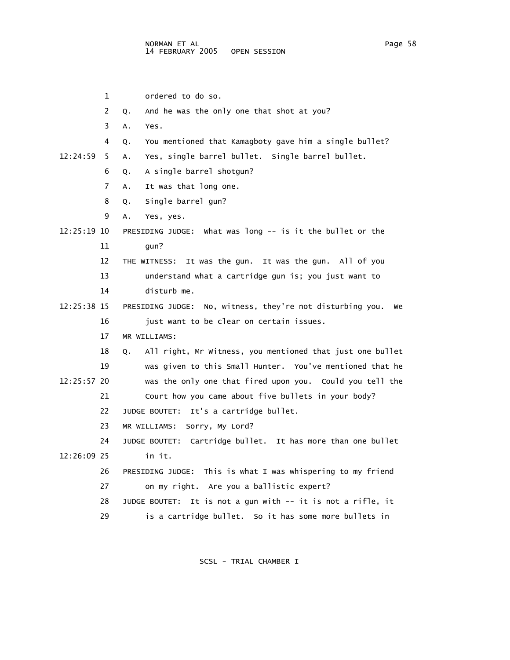1 ordered to do so. 2 Q. And he was the only one that shot at you? 3 A. Yes. 4 Q. You mentioned that Kamagboty gave him a single bullet? 12:24:59 5 A. Yes, single barrel bullet. Single barrel bullet. 6 Q. A single barrel shotgun? 7 A. It was that long one. 8 Q. Single barrel gun? 9 A. Yes, yes. 12:25:19 10 PRESIDING JUDGE: What was long -- is it the bullet or the 11 gun? 12 THE WITNESS: It was the gun. It was the gun. All of you 13 understand what a cartridge gun is; you just want to 14 disturb me. 12:25:38 15 PRESIDING JUDGE: No, witness, they're not disturbing you. We 16 just want to be clear on certain issues. 17 MR WILLIAMS: 18 Q. All right, Mr Witness, you mentioned that just one bullet 19 was given to this Small Hunter. You've mentioned that he 12:25:57 20 was the only one that fired upon you. Could you tell the 21 Court how you came about five bullets in your body? 22 JUDGE BOUTET: It's a cartridge bullet. 23 MR WILLIAMS: Sorry, My Lord? 24 JUDGE BOUTET: Cartridge bullet. It has more than one bullet 12:26:09 25 in it. 26 PRESIDING JUDGE: This is what I was whispering to my friend 27 on my right. Are you a ballistic expert? 28 JUDGE BOUTET: It is not a gun with -- it is not a rifle, it 29 is a cartridge bullet. So it has some more bullets in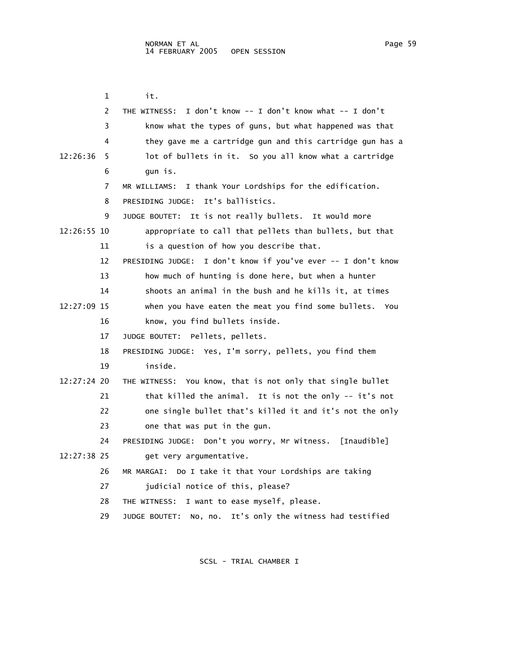1 it. 2 THE WITNESS: I don't know -- I don't know what -- I don't 3 know what the types of guns, but what happened was that 4 they gave me a cartridge gun and this cartridge gun has a 12:26:36 5 lot of bullets in it. So you all know what a cartridge 6 gun is. 7 MR WILLIAMS: I thank Your Lordships for the edification. 8 PRESIDING JUDGE: It's ballistics. 9 JUDGE BOUTET: It is not really bullets. It would more 12:26:55 10 appropriate to call that pellets than bullets, but that 11 is a question of how you describe that. 12 PRESIDING JUDGE: I don't know if you've ever -- I don't know 13 how much of hunting is done here, but when a hunter 14 shoots an animal in the bush and he kills it, at times 12:27:09 15 when you have eaten the meat you find some bullets. You 16 know, you find bullets inside. 17 JUDGE BOUTET: Pellets, pellets. 18 PRESIDING JUDGE: Yes, I'm sorry, pellets, you find them 19 inside. 12:27:24 20 THE WITNESS: You know, that is not only that single bullet 21 that killed the animal. It is not the only -- it's not 22 one single bullet that's killed it and it's not the only 23 one that was put in the gun. 24 PRESIDING JUDGE: Don't you worry, Mr Witness. [Inaudible] 12:27:38 25 get very argumentative. 26 MR MARGAI: Do I take it that Your Lordships are taking 27 judicial notice of this, please? 28 THE WITNESS: I want to ease myself, please. 29 JUDGE BOUTET: No, no. It's only the witness had testified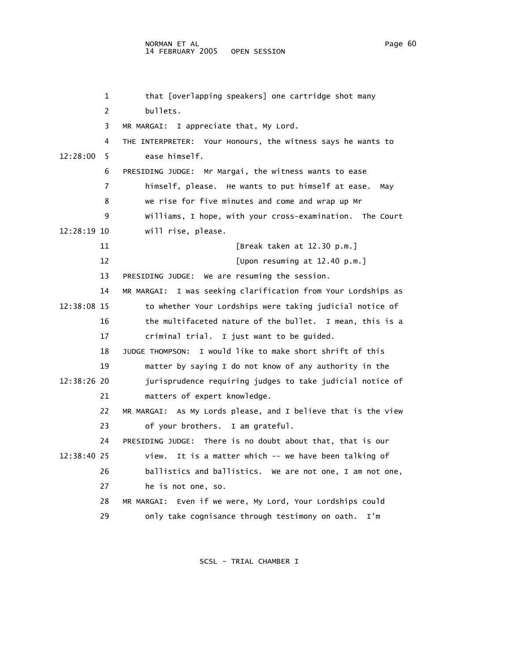## NORMAN ET AL Page 60 14 FEBRUARY 2005

 1 that [overlapping speakers] one cartridge shot many 2 bullets. 3 MR MARGAI: I appreciate that, My Lord. 4 THE INTERPRETER: Your Honours, the witness says he wants to 12:28:00 5 ease himself. 6 PRESIDING JUDGE: Mr Margai, the witness wants to ease 7 himself, please. He wants to put himself at ease. May 8 we rise for five minutes and come and wrap up Mr 9 Williams, I hope, with your cross-examination. The Court 12:28:19 10 will rise, please. 11 [Break taken at 12.30 p.m.] 12 [Upon resuming at 12.40 p.m.] 13 PRESIDING JUDGE: We are resuming the session. 14 MR MARGAI: I was seeking clarification from Your Lordships as 12:38:08 15 to whether Your Lordships were taking judicial notice of 16 the multifaceted nature of the bullet. I mean, this is a 17 criminal trial. I just want to be guided. 18 JUDGE THOMPSON: I would like to make short shrift of this 19 matter by saying I do not know of any authority in the 12:38:26 20 jurisprudence requiring judges to take judicial notice of 21 matters of expert knowledge. 22 MR MARGAI: As My Lords please, and I believe that is the view 23 of your brothers. I am grateful. 24 PRESIDING JUDGE: There is no doubt about that, that is our 12:38:40 25 view. It is a matter which -- we have been talking of 26 ballistics and ballistics. We are not one, I am not one, 27 he is not one, so. 28 MR MARGAI: Even if we were, My Lord, Your Lordships could 29 only take cognisance through testimony on oath. I'm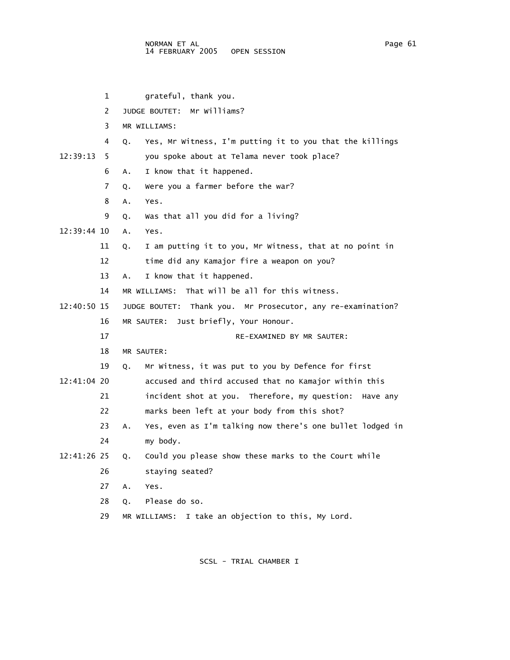1 grateful, thank you. 2 JUDGE BOUTET: Mr Williams? 3 MR WILLIAMS: 4 Q. Yes, Mr Witness, I'm putting it to you that the killings 12:39:13 5 you spoke about at Telama never took place? 6 A. I know that it happened. 7 Q. Were you a farmer before the war? 8 A. Yes. 9 Q. Was that all you did for a living? 12:39:44 10 A. Yes. 11 Q. I am putting it to you, Mr Witness, that at no point in 12 time did any Kamajor fire a weapon on you? 13 A. I know that it happened. 14 MR WILLIAMS: That will be all for this witness. 12:40:50 15 JUDGE BOUTET: Thank you. Mr Prosecutor, any re-examination? 16 MR SAUTER: Just briefly, Your Honour. 17 RE-EXAMINED BY MR SAUTER: 18 MR SAUTER: 19 Q. Mr Witness, it was put to you by Defence for first 12:41:04 20 accused and third accused that no Kamajor within this 21 incident shot at you. Therefore, my question: Have any 22 marks been left at your body from this shot? 23 A. Yes, even as I'm talking now there's one bullet lodged in 24 my body. 12:41:26 25 Q. Could you please show these marks to the Court while 26 staying seated? 27 A. Yes. 28 Q. Please do so. 29 MR WILLIAMS: I take an objection to this, My Lord.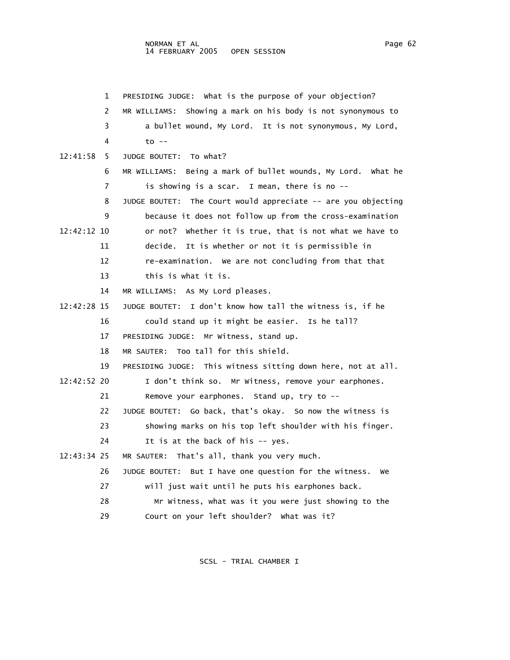1 PRESIDING JUDGE: What is the purpose of your objection? 2 MR WILLIAMS: Showing a mark on his body is not synonymous to 3 a bullet wound, My Lord. It is not synonymous, My Lord, 4 to -- 12:41:58 5 JUDGE BOUTET: To what? 6 MR WILLIAMS: Being a mark of bullet wounds, My Lord. What he 7 is showing is a scar. I mean, there is no -- 8 JUDGE BOUTET: The Court would appreciate -- are you objecting 9 because it does not follow up from the cross-examination 12:42:12 10 or not? Whether it is true, that is not what we have to 11 decide. It is whether or not it is permissible in 12 re-examination. We are not concluding from that that 13 this is what it is. 14 MR WILLIAMS: As My Lord pleases. 12:42:28 15 JUDGE BOUTET: I don't know how tall the witness is, if he 16 could stand up it might be easier. Is he tall? 17 PRESIDING JUDGE: Mr Witness, stand up. 18 MR SAUTER: Too tall for this shield. 19 PRESIDING JUDGE: This witness sitting down here, not at all. 12:42:52 20 I don't think so. Mr Witness, remove your earphones. 21 Remove your earphones. Stand up, try to -- 22 JUDGE BOUTET: Go back, that's okay. So now the witness is 23 showing marks on his top left shoulder with his finger. 24 It is at the back of his -- yes. 12:43:34 25 MR SAUTER: That's all, thank you very much. 26 JUDGE BOUTET: But I have one question for the witness. We 27 will just wait until he puts his earphones back. 28 Mr Witness, what was it you were just showing to the 29 Court on your left shoulder? What was it?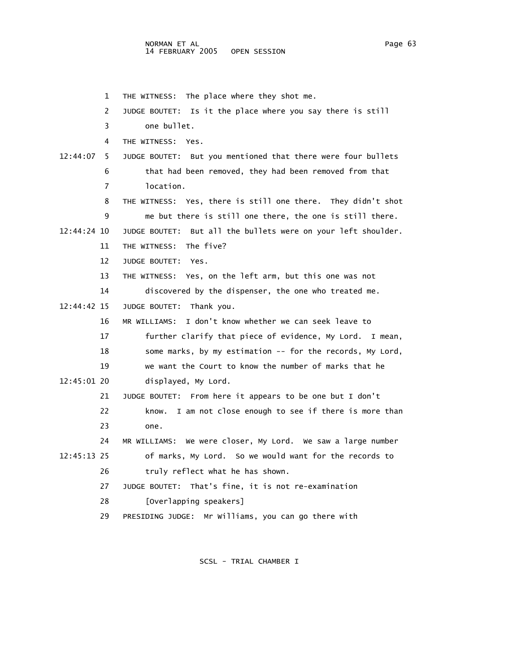1 THE WITNESS: The place where they shot me. 2 JUDGE BOUTET: Is it the place where you say there is still 3 one bullet. 4 THE WITNESS: Yes. 12:44:07 5 JUDGE BOUTET: But you mentioned that there were four bullets 6 that had been removed, they had been removed from that 7 location. 8 THE WITNESS: Yes, there is still one there. They didn't shot 9 me but there is still one there, the one is still there. 12:44:24 10 JUDGE BOUTET: But all the bullets were on your left shoulder. 11 THE WITNESS: The five? 12 JUDGE BOUTET: Yes. 13 THE WITNESS: Yes, on the left arm, but this one was not 14 discovered by the dispenser, the one who treated me. 12:44:42 15 JUDGE BOUTET: Thank you. 16 MR WILLIAMS: I don't know whether we can seek leave to 17 further clarify that piece of evidence, My Lord. I mean, 18 some marks, by my estimation -- for the records, My Lord, 19 we want the Court to know the number of marks that he 12:45:01 20 displayed, My Lord. 21 JUDGE BOUTET: From here it appears to be one but I don't 22 know. I am not close enough to see if there is more than 23 one. 24 MR WILLIAMS: We were closer, My Lord. We saw a large number 12:45:13 25 of marks, My Lord. So we would want for the records to 26 truly reflect what he has shown. 27 JUDGE BOUTET: That's fine, it is not re-examination 28 [Overlapping speakers] 29 PRESIDING JUDGE: Mr Williams, you can go there with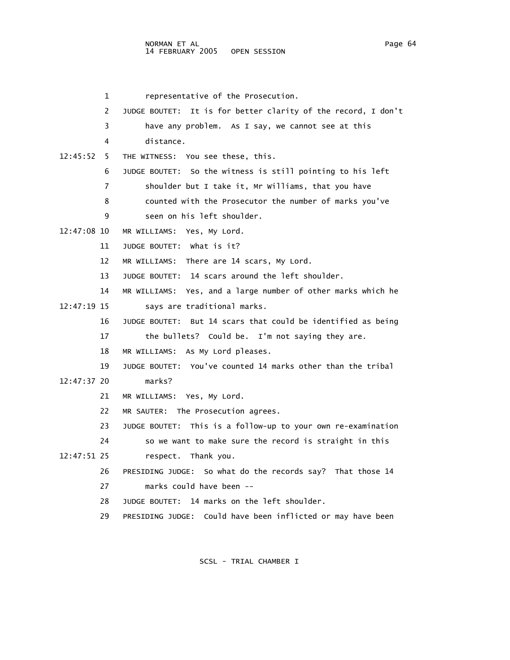1 representative of the Prosecution. 2 JUDGE BOUTET: It is for better clarity of the record, I don't 3 have any problem. As I say, we cannot see at this 4 distance. 12:45:52 5 THE WITNESS: You see these, this. 6 JUDGE BOUTET: So the witness is still pointing to his left 7 shoulder but I take it, Mr Williams, that you have 8 counted with the Prosecutor the number of marks you've 9 seen on his left shoulder. 12:47:08 10 MR WILLIAMS: Yes, My Lord. 11 JUDGE BOUTET: What is it? 12 MR WILLIAMS: There are 14 scars, My Lord. 13 JUDGE BOUTET: 14 scars around the left shoulder. 14 MR WILLIAMS: Yes, and a large number of other marks which he 12:47:19 15 says are traditional marks. 16 JUDGE BOUTET: But 14 scars that could be identified as being 17 the bullets? Could be. I'm not saying they are. 18 MR WILLIAMS: As My Lord pleases. 19 JUDGE BOUTET: You've counted 14 marks other than the tribal 12:47:37 20 marks? 21 MR WILLIAMS: Yes, My Lord. 22 MR SAUTER: The Prosecution agrees. 23 JUDGE BOUTET: This is a follow-up to your own re-examination 24 so we want to make sure the record is straight in this 12:47:51 25 respect. Thank you. 26 PRESIDING JUDGE: So what do the records say? That those 14 27 marks could have been -- 28 JUDGE BOUTET: 14 marks on the left shoulder. 29 PRESIDING JUDGE: Could have been inflicted or may have been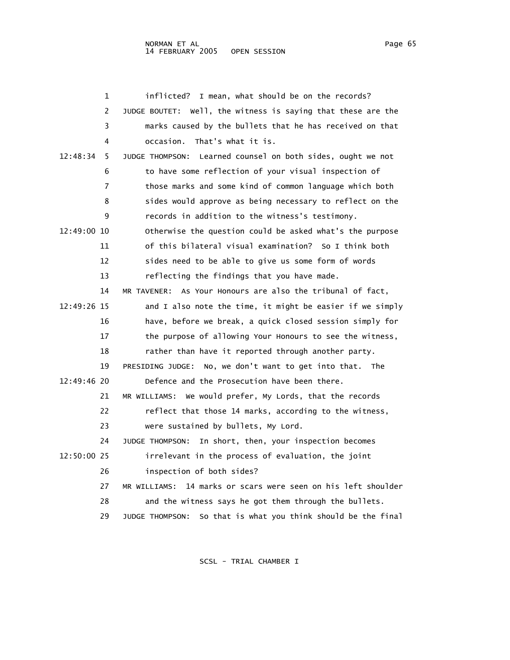|             | inflicted? I mean, what should be on the records?<br>1            |
|-------------|-------------------------------------------------------------------|
|             | 2<br>JUDGE BOUTET: Well, the witness is saying that these are the |
|             | marks caused by the bullets that he has received on that<br>3     |
|             | That's what it is.<br>occasion.<br>4                              |
| 12:48:34    | 5<br>JUDGE THOMPSON: Learned counsel on both sides, ought we not  |
|             | to have some reflection of your visual inspection of<br>6         |
|             | those marks and some kind of common language which both<br>7      |
|             | 8<br>sides would approve as being necessary to reflect on the     |
|             | records in addition to the witness's testimony.<br>9              |
| 12:49:00 10 | Otherwise the question could be asked what's the purpose          |
| 11          | of this bilateral visual examination? So I think both             |
| 12          | sides need to be able to give us some form of words               |
| 13          | reflecting the findings that you have made.                       |
| 14          | MR TAVENER: As Your Honours are also the tribunal of fact,        |
| 12:49:26 15 | and I also note the time, it might be easier if we simply         |
| 16          | have, before we break, a quick closed session simply for          |
| 17          | the purpose of allowing Your Honours to see the witness,          |
| 18          | rather than have it reported through another party.               |
| 19          | PRESIDING JUDGE: No, we don't want to get into that. The          |
| 12:49:46 20 | Defence and the Prosecution have been there.                      |
| 21          | MR WILLIAMS: We would prefer, My Lords, that the records          |
| 22          | reflect that those 14 marks, according to the witness,            |
| 23          | were sustained by bullets, My Lord.                               |
| 24          | JUDGE THOMPSON: In short, then, your inspection becomes           |
| 12:50:00 25 | irrelevant in the process of evaluation, the joint                |
| 26          | inspection of both sides?                                         |
| 27          | MR WILLIAMS: 14 marks or scars were seen on his left shoulder     |
| 28          | and the witness says he got them through the bullets.             |
| 29          | So that is what you think should be the final<br>JUDGE THOMPSON:  |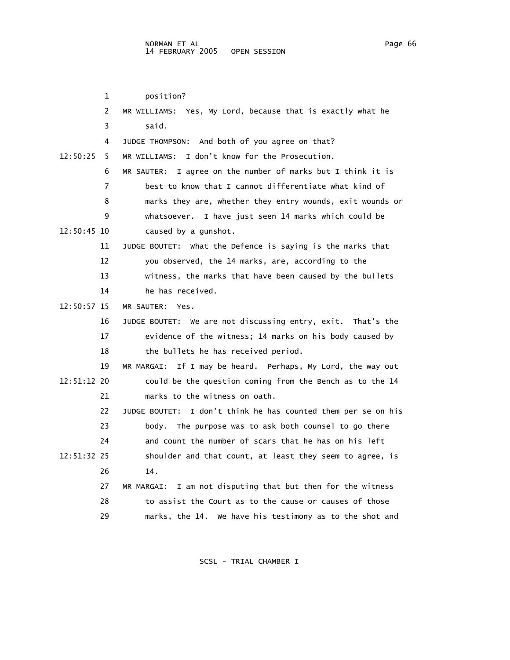1 position? 2 MR WILLIAMS: Yes, My Lord, because that is exactly what he 3 said. 4 JUDGE THOMPSON: And both of you agree on that? 12:50:25 5 MR WILLIAMS: I don't know for the Prosecution. 6 MR SAUTER: I agree on the number of marks but I think it is 7 best to know that I cannot differentiate what kind of 8 marks they are, whether they entry wounds, exit wounds or 9 whatsoever. I have just seen 14 marks which could be 12:50:45 10 caused by a gunshot. 11 JUDGE BOUTET: What the Defence is saying is the marks that 12 you observed, the 14 marks, are, according to the 13 witness, the marks that have been caused by the bullets 14 he has received. 12:50:57 15 MR SAUTER: Yes. 16 JUDGE BOUTET: We are not discussing entry, exit. That's the 17 evidence of the witness; 14 marks on his body caused by 18 the bullets he has received period. 19 MR MARGAI: If I may be heard. Perhaps, My Lord, the way out 12:51:12 20 could be the question coming from the Bench as to the 14 21 marks to the witness on oath. 22 JUDGE BOUTET: I don't think he has counted them per se on his 23 body. The purpose was to ask both counsel to go there 24 and count the number of scars that he has on his left 12:51:32 25 shoulder and that count, at least they seem to agree, is 26 14. 27 MR MARGAI: I am not disputing that but then for the witness 28 to assist the Court as to the cause or causes of those 29 marks, the 14. We have his testimony as to the shot and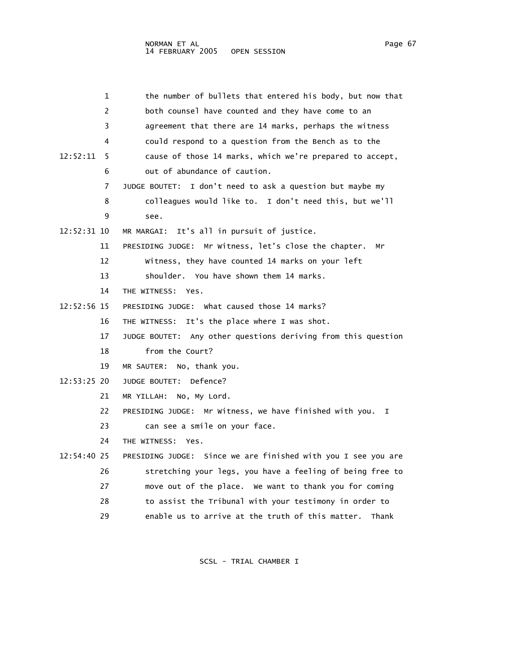| 1             | the number of bullets that entered his body, but now that      |
|---------------|----------------------------------------------------------------|
| 2             | both counsel have counted and they have come to an             |
| 3             | agreement that there are 14 marks, perhaps the witness         |
| 4             | could respond to a question from the Bench as to the           |
| 12:52:11<br>5 | cause of those 14 marks, which we're prepared to accept,       |
| 6             | out of abundance of caution.                                   |
| 7             | JUDGE BOUTET: I don't need to ask a question but maybe my      |
| 8             | colleagues would like to. I don't need this, but we'll         |
| 9             | see.                                                           |
| 12:52:31 10   | It's all in pursuit of justice.<br>MR MARGAI:                  |
| 11            | Mr Witness, let's close the chapter.<br>PRESIDING JUDGE:<br>Мr |
| 12            | Witness, they have counted 14 marks on your left               |
| 13            | shoulder. You have shown them 14 marks.                        |
| 14            | THE WITNESS: Yes.                                              |
| 12:52:56 15   | PRESIDING JUDGE: What caused those 14 marks?                   |
| 16            | It's the place where I was shot.<br>THE WITNESS:               |
| 17            | JUDGE BOUTET: Any other questions deriving from this question  |
| 18            | from the Court?                                                |
| 19            | No, thank you.<br>MR SAUTER:                                   |
| $12:53:25$ 20 | Defence?<br>JUDGE BOUTET:                                      |
| 21            | MR YILLAH:<br>No, My Lord.                                     |
| 22            | PRESIDING JUDGE: Mr Witness, we have finished with you.<br>I.  |
| 23            | can see a smile on your face.                                  |
| 24            | THE WITNESS:<br>Yes.                                           |
| $12:54:40$ 25 | PRESIDING JUDGE: Since we are finished with you I see you are  |
| 26            | stretching your legs, you have a feeling of being free to      |
| 27            | move out of the place. We want to thank you for coming         |
| 28            | to assist the Tribunal with your testimony in order to         |
| 29            | enable us to arrive at the truth of this matter.<br>Thank      |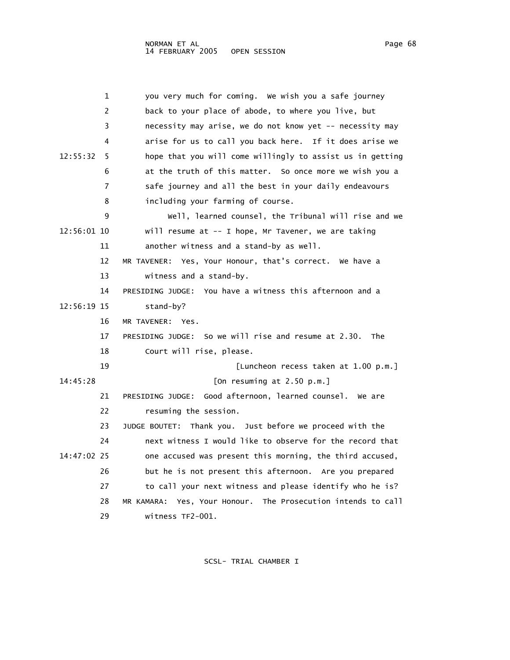1 you very much for coming. We wish you a safe journey 2 back to your place of abode, to where you live, but 3 necessity may arise, we do not know yet -- necessity may 4 arise for us to call you back here. If it does arise we 12:55:32 5 hope that you will come willingly to assist us in getting 6 at the truth of this matter. So once more we wish you a 7 safe journey and all the best in your daily endeavours 8 including your farming of course. 9 Well, learned counsel, the Tribunal will rise and we 12:56:01 10 will resume at -- I hope, Mr Tavener, we are taking 11 another witness and a stand-by as well. 12 MR TAVENER: Yes, Your Honour, that's correct. We have a 13 witness and a stand-by. 14 PRESIDING JUDGE: You have a witness this afternoon and a 12:56:19 15 stand-by? 16 MR TAVENER: Yes. 17 PRESIDING JUDGE: So we will rise and resume at 2.30. The 18 Court will rise, please. 19 [Luncheon recess taken at 1.00 p.m.] 14:45:28 [On resuming at 2.50 p.m.] 21 PRESIDING JUDGE: Good afternoon, learned counsel. We are 22 resuming the session. 23 JUDGE BOUTET: Thank you. Just before we proceed with the 24 next witness I would like to observe for the record that 14:47:02 25 one accused was present this morning, the third accused, 26 but he is not present this afternoon. Are you prepared 27 to call your next witness and please identify who he is? 28 MR KAMARA: Yes, Your Honour. The Prosecution intends to call 29 witness TF2-001.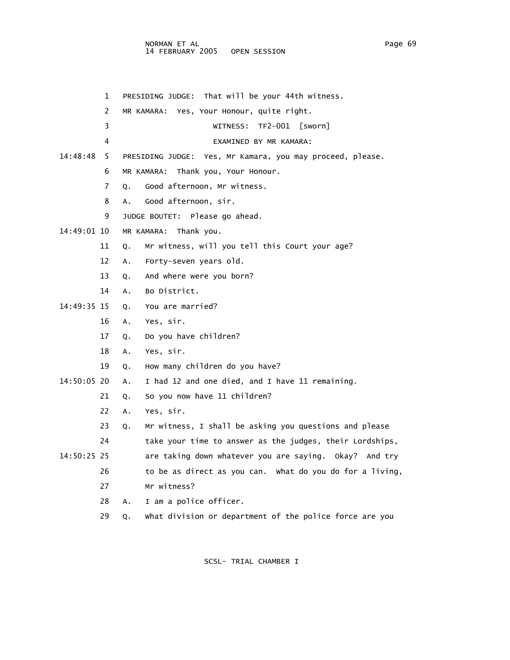## NORMAN ET AL Page 69 14 FEBRUARY 2005 OPEN SESSION

 1 PRESIDING JUDGE: That will be your 44th witness. 2 MR KAMARA: Yes, Your Honour, quite right. 3 WITNESS: TF2-001 [sworn] 4 EXAMINED BY MR KAMARA: 14:48:48 5 PRESIDING JUDGE: Yes, Mr Kamara, you may proceed, please. 6 MR KAMARA: Thank you, Your Honour. 7 Q. Good afternoon, Mr witness. 8 A. Good afternoon, sir. 9 JUDGE BOUTET: Please go ahead. 14:49:01 10 MR KAMARA: Thank you. 11 Q. Mr witness, will you tell this Court your age? 12 A. Forty-seven years old. 13 Q. And where were you born? 14 A. Bo District. 14:49:35 15 Q. You are married? 16 A. Yes, sir. 17 Q. Do you have children? 18 A. Yes, sir. 19 Q. How many children do you have? 14:50:05 20 A. I had 12 and one died, and I have 11 remaining. 21 Q. So you now have 11 children? 22 A. Yes, sir. 23 Q. Mr witness, I shall be asking you questions and please 24 take your time to answer as the judges, their Lordships, 14:50:25 25 are taking down whatever you are saying. Okay? And try 26 to be as direct as you can. What do you do for a living, 27 Mr witness? 28 A. I am a police officer. 29 Q. What division or department of the police force are you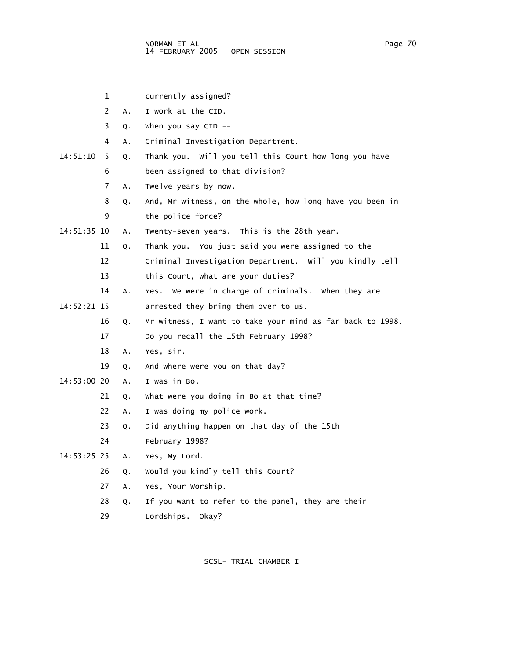- 1 currently assigned?
- 2 A. I work at the CID.
- 3 Q. When you say CID --
- 4 A. Criminal Investigation Department.
- 14:51:10 5 Q. Thank you. Will you tell this Court how long you have 6 been assigned to that division?
	- 7 A. Twelve years by now.
	- 8 Q. And, Mr witness, on the whole, how long have you been in 9 the police force?
- 14:51:35 10 A. Twenty-seven years. This is the 28th year.
	- 11 Q. Thank you. You just said you were assigned to the
	- 12 Criminal Investigation Department. Will you kindly tell
	- 13 this Court, what are your duties?
	- 14 A. Yes. We were in charge of criminals. When they are
- 14:52:21 15 arrested they bring them over to us.
	- 16 Q. Mr witness, I want to take your mind as far back to 1998.
	- 17 Do you recall the 15th February 1998?
	- 18 A. Yes, sir.
	- 19 Q. And where were you on that day?
- 14:53:00 20 A. I was in Bo.
	- 21 Q. What were you doing in Bo at that time?
	- 22 A. I was doing my police work.
	- 23 Q. Did anything happen on that day of the 15th
	- 24 February 1998?
- 14:53:25 25 A. Yes, My Lord.
	- 26 Q. Would you kindly tell this Court?
	- 27 A. Yes, Your Worship.
	- 28 Q. If you want to refer to the panel, they are their
	- 29 Lordships. Okay?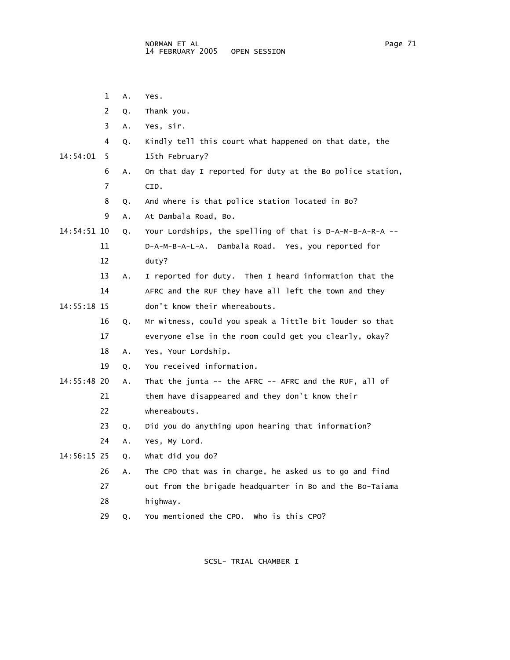- 1 A. Yes. 2 Q. Thank you. 3 A. Yes, sir. 4 Q. Kindly tell this court what happened on that date, the 14:54:01 5 15th February? 6 A. On that day I reported for duty at the Bo police station, 7 CID. 8 Q. And where is that police station located in Bo? 9 A. At Dambala Road, Bo. 14:54:51 10 Q. Your Lordships, the spelling of that is D-A-M-B-A-R-A -- 11 D-A-M-B-A-L-A. Dambala Road. Yes, you reported for 12 duty? 13 A. I reported for duty. Then I heard information that the 14 AFRC and the RUF they have all left the town and they 14:55:18 15 don't know their whereabouts. 16 Q. Mr witness, could you speak a little bit louder so that 17 everyone else in the room could get you clearly, okay? 18 A. Yes, Your Lordship. 19 Q. You received information. 14:55:48 20 A. That the junta -- the AFRC -- AFRC and the RUF, all of 21 them have disappeared and they don't know their 22 whereabouts. 23 Q. Did you do anything upon hearing that information? 24 A. Yes, My Lord. 14:56:15 25 Q. What did you do? 26 A. The CPO that was in charge, he asked us to go and find 27 out from the brigade headquarter in Bo and the Bo-Taiama
	- 28 highway.

29 Q. You mentioned the CPO. Who is this CPO?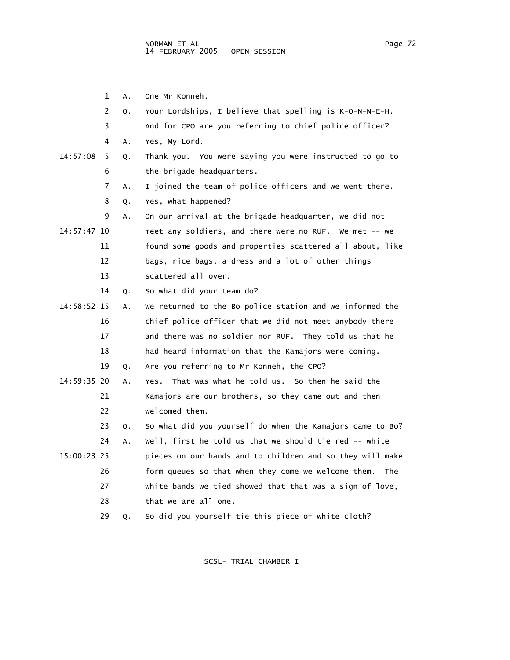1 A. One Mr Konneh. 2 Q. Your Lordships, I believe that spelling is K-O-N-N-E-H. 3 And for CPO are you referring to chief police officer? 4 A. Yes, My Lord. 14:57:08 5 Q. Thank you. You were saying you were instructed to go to 6 the brigade headquarters. 7 A. I joined the team of police officers and we went there. 8 Q. Yes, what happened? 9 A. On our arrival at the brigade headquarter, we did not 14:57:47 10 meet any soldiers, and there were no RUF. We met -- we 11 found some goods and properties scattered all about, like 12 bags, rice bags, a dress and a lot of other things 13 scattered all over. 14 Q. So what did your team do? 14:58:52 15 A. We returned to the Bo police station and we informed the 16 chief police officer that we did not meet anybody there 17 and there was no soldier nor RUF. They told us that he 18 had heard information that the Kamajors were coming. 19 Q. Are you referring to Mr Konneh, the CPO? 14:59:35 20 A. Yes. That was what he told us. So then he said the 21 Kamajors are our brothers, so they came out and then 22 welcomed them. 23 Q. So what did you yourself do when the Kamajors came to Bo? 24 A. Well, first he told us that we should tie red -- white 15:00:23 25 pieces on our hands and to children and so they will make 26 form queues so that when they come we welcome them. The 27 white bands we tied showed that that was a sign of love, 28 that we are all one. 29 Q. So did you yourself tie this piece of white cloth?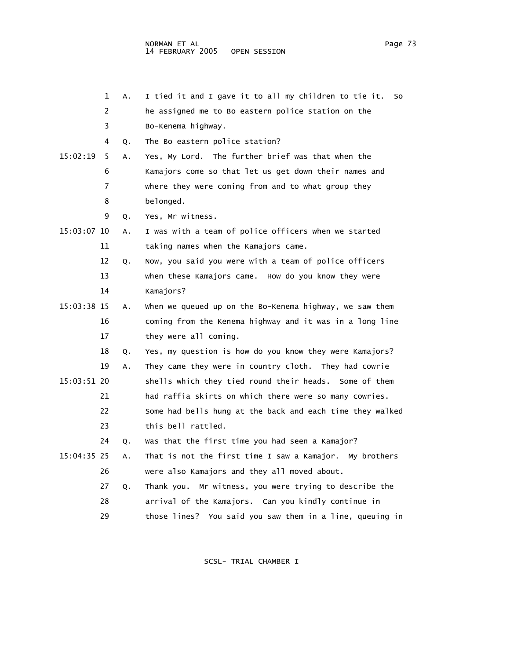```
 2 he assigned me to Bo eastern police station on the
```
3 Bo-Kenema highway.

4 Q. The Bo eastern police station?

 15:02:19 5 A. Yes, My Lord. The further brief was that when the 6 Kamajors come so that let us get down their names and 7 where they were coming from and to what group they 8 belonged.

9 Q. Yes, Mr witness.

 15:03:07 10 A. I was with a team of police officers when we started 11 taking names when the Kamajors came.

> 12 Q. Now, you said you were with a team of police officers 13 when these Kamajors came. How do you know they were

14 Kamajors?

 15:03:38 15 A. When we queued up on the Bo-Kenema highway, we saw them 16 coming from the Kenema highway and it was in a long line 17 they were all coming.

18 Q. Yes, my question is how do you know they were Kamajors?

- 19 A. They came they were in country cloth. They had cowrie 15:03:51 20 shells which they tied round their heads. Some of them 21 had raffia skirts on which there were so many cowries.
	- 22 Some had bells hung at the back and each time they walked 23 this bell rattled.
	- 24 Q. Was that the first time you had seen a Kamajor?
- 15:04:35 25 A. That is not the first time I saw a Kamajor. My brothers 26 were also Kamajors and they all moved about.

27 Q. Thank you. Mr witness, you were trying to describe the

- 28 arrival of the Kamajors. Can you kindly continue in
- 29 those lines? You said you saw them in a line, queuing in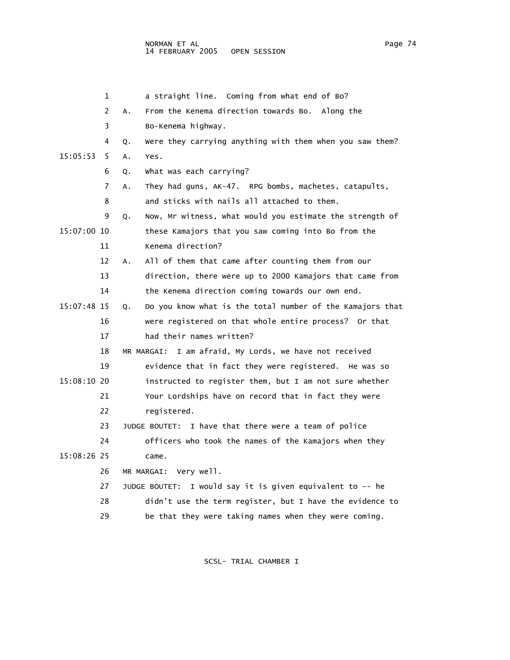## NORMAN ET AL Page 74 14 FEBRUARY 2005

 1 a straight line. Coming from what end of Bo? 2 A. From the Kenema direction towards Bo. Along the 3 Bo-Kenema highway. 4 Q. Were they carrying anything with them when you saw them? 15:05:53 5 A. Yes. 6 Q. What was each carrying? 7 A. They had guns, AK-47. RPG bombs, machetes, catapults, 8 and sticks with nails all attached to them. 9 Q. Now, Mr witness, what would you estimate the strength of 15:07:00 10 these Kamajors that you saw coming into Bo from the 11 Kenema direction? 12 A. All of them that came after counting them from our 13 direction, there were up to 2000 Kamajors that came from 14 the Kenema direction coming towards our own end. 15:07:48 15 Q. Do you know what is the total number of the Kamajors that 16 were registered on that whole entire process? Or that 17 had their names written? 18 MR MARGAI: I am afraid, My Lords, we have not received 19 evidence that in fact they were registered. He was so 15:08:10 20 instructed to register them, but I am not sure whether 21 Your Lordships have on record that in fact they were 22 registered. 23 JUDGE BOUTET: I have that there were a team of police 24 officers who took the names of the Kamajors when they 15:08:26 25 came. 26 MR MARGAI: Very well. 27 JUDGE BOUTET: I would say it is given equivalent to -- he 28 didn't use the term register, but I have the evidence to 29 be that they were taking names when they were coming.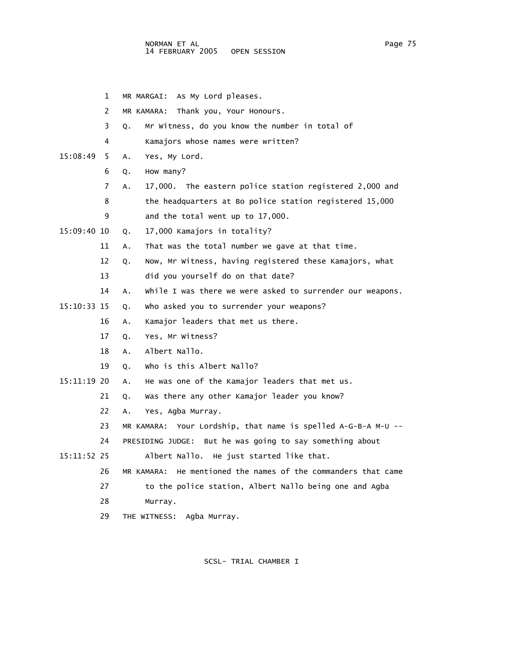- 1 MR MARGAI: As My Lord pleases.
- 2 MR KAMARA: Thank you, Your Honours.
- 3 Q. Mr Witness, do you know the number in total of
- 4 Kamajors whose names were written?
- 15:08:49 5 A. Yes, My Lord.
	- 6 Q. How many?
	- 7 A. 17,000. The eastern police station registered 2,000 and
	- 8 the headquarters at Bo police station registered 15,000
	- 9 and the total went up to 17,000.
- 15:09:40 10 Q. 17,000 Kamajors in totality?
	- 11 A. That was the total number we gave at that time.
	- 12 Q. Now, Mr Witness, having registered these Kamajors, what
	- 13 did you yourself do on that date?
	- 14 A. While I was there we were asked to surrender our weapons.
- 15:10:33 15 Q. Who asked you to surrender your weapons?
	- 16 A. Kamajor leaders that met us there.
	- 17 Q. Yes, Mr Witness?
	- 18 A. Albert Nallo.
	- 19 Q. Who is this Albert Nallo?
- 15:11:19 20 A. He was one of the Kamajor leaders that met us.
	- 21 Q. Was there any other Kamajor leader you know?
	- 22 A. Yes, Agba Murray.
	- 23 MR KAMARA: Your Lordship, that name is spelled A-G-B-A M-U --
	- 24 PRESIDING JUDGE: But he was going to say something about
- 15:11:52 25 Albert Nallo. He just started like that.
	- 26 MR KAMARA: He mentioned the names of the commanders that came
	- 27 to the police station, Albert Nallo being one and Agba
	- 28 Murray.
	- 29 THE WITNESS: Agba Murray.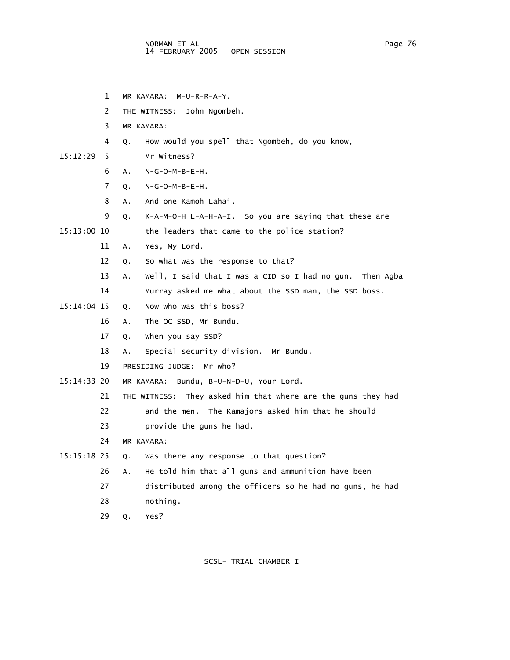- 1 MR KAMARA: M-U-R-R-A-Y.
- 2 THE WITNESS: John Ngombeh.
- 3 MR KAMARA:
- 4 Q. How would you spell that Ngombeh, do you know,
- 15:12:29 5 Mr Witness?
	- 6 A. N-G-O-M-B-E-H.
	- 7 Q. N-G-O-M-B-E-H.
	- 8 A. And one Kamoh Lahai.
	- 9 Q. K-A-M-O-H L-A-H-A-I. So you are saying that these are

15:13:00 10 the leaders that came to the police station?

- 11 A. Yes, My Lord.
- 12 Q. So what was the response to that?
- 13 A. Well, I said that I was a CID so I had no gun. Then Agba
- 14 Murray asked me what about the SSD man, the SSD boss.
- 15:14:04 15 Q. Now who was this boss?
	- 16 A. The OC SSD, Mr Bundu.
	- 17 Q. When you say SSD?
	- 18 A. Special security division. Mr Bundu.
	- 19 PRESIDING JUDGE: Mr who?
- 15:14:33 20 MR KAMARA: Bundu, B-U-N-D-U, Your Lord.
	- 21 THE WITNESS: They asked him that where are the guns they had
	- 22 and the men. The Kamajors asked him that he should
	- 23 provide the guns he had.
	- 24 MR KAMARA:
- 15:15:18 25 Q. Was there any response to that question?
	- 26 A. He told him that all guns and ammunition have been
	- 27 distributed among the officers so he had no guns, he had
	- 28 nothing.
	- 29 Q. Yes?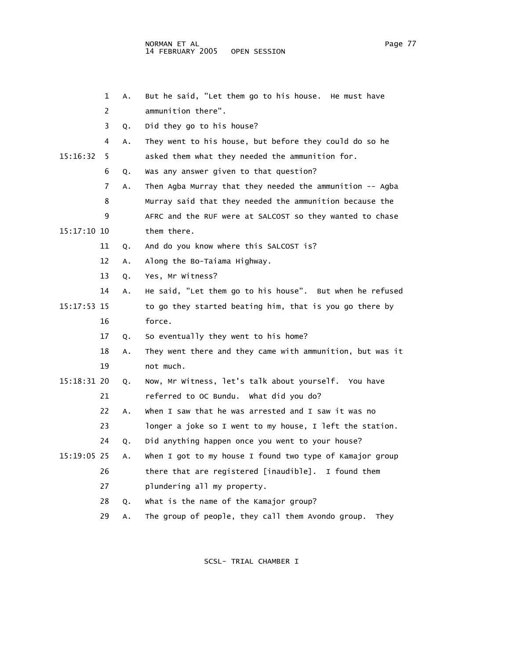|             | 1  | Α. | But he said, "Let them go to his house. He must have      |
|-------------|----|----|-----------------------------------------------------------|
|             | 2  |    | ammunition there".                                        |
|             | 3  | Q. | Did they go to his house?                                 |
|             | 4  | Α. | They went to his house, but before they could do so he    |
| 15:16:32    | 5  |    | asked them what they needed the ammunition for.           |
|             | 6  | Q. | Was any answer given to that question?                    |
|             | 7  | A. | Then Agba Murray that they needed the ammunition -- Agba  |
|             | 8  |    | Murray said that they needed the ammunition because the   |
|             | 9  |    | AFRC and the RUF were at SALCOST so they wanted to chase  |
| 15:17:10 10 |    |    | them there.                                               |
|             | 11 | Q. | And do you know where this SALCOST is?                    |
|             | 12 | Α. | Along the Bo-Taiama Highway.                              |
|             | 13 | Q. | Yes, Mr Witness?                                          |
|             | 14 | Α. | He said, "Let them go to his house". But when he refused  |
| 15:17:53 15 |    |    | to go they started beating him, that is you go there by   |
|             | 16 |    | force.                                                    |
|             | 17 | Q. | So eventually they went to his home?                      |
|             | 18 | Α. | They went there and they came with ammunition, but was it |
|             | 19 |    | not much.                                                 |
| 15:18:31 20 |    | Q. | Now, Mr Witness, let's talk about yourself. You have      |
|             | 21 |    | referred to OC Bundu. What did you do?                    |
|             | 22 | Α. | When I saw that he was arrested and I saw it was no       |
|             | 23 |    | longer a joke so I went to my house, I left the station.  |
|             | 24 | Q. | Did anything happen once you went to your house?          |
| 15:19:05 25 |    | Α. | When I got to my house I found two type of Kamajor group  |
|             | 26 |    | there that are registered [inaudible]. I found them       |
|             | 27 |    | plundering all my property.                               |
|             | 28 | Q. | What is the name of the Kamajor group?                    |
|             | 29 | А. | The group of people, they call them Avondo group.<br>They |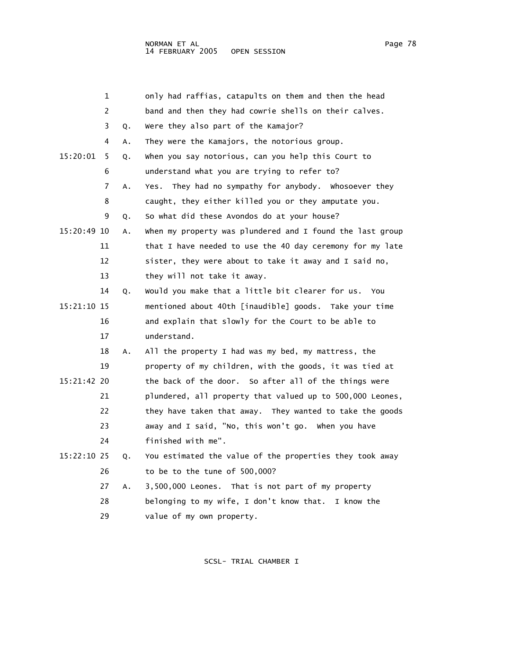|                      | 1  |    | only had raffias, catapults on them and then the head     |
|----------------------|----|----|-----------------------------------------------------------|
|                      | 2  |    | band and then they had cowrie shells on their calves.     |
|                      | 3  | Q. | Were they also part of the Kamajor?                       |
|                      | 4  | А. | They were the Kamajors, the notorious group.              |
| 15:20:01             | 5  | Q. | when you say notorious, can you help this Court to        |
|                      | 6  |    | understand what you are trying to refer to?               |
|                      | 7  | А. | Yes. They had no sympathy for anybody. Whosoever they     |
|                      | 8  |    | caught, they either killed you or they amputate you.      |
|                      | 9  | Q. | So what did these Avondos do at your house?               |
| 15:20:49 10          |    | А. | when my property was plundered and I found the last group |
|                      | 11 |    | that I have needed to use the 40 day ceremony for my late |
|                      | 12 |    | sister, they were about to take it away and I said no,    |
|                      | 13 |    | they will not take it away.                               |
|                      | 14 | Q. | Would you make that a little bit clearer for us.<br>You   |
| 15:21:10 15          |    |    | mentioned about 40th [inaudible] goods. Take your time    |
|                      | 16 |    | and explain that slowly for the Court to be able to       |
|                      | 17 |    | understand.                                               |
|                      | 18 | А. | All the property I had was my bed, my mattress, the       |
|                      | 19 |    | property of my children, with the goods, it was tied at   |
| 15:21:42 20          |    |    | the back of the door. So after all of the things were     |
|                      | 21 |    | plundered, all property that valued up to 500,000 Leones, |
|                      | 22 |    | they have taken that away. They wanted to take the goods  |
|                      | 23 |    | away and I said, "No, this won't go. When you have        |
|                      | 24 |    | finished with me".                                        |
| 1 F . DD . 1 A . D F |    |    | فارتدمك مماجسة ومقصوم مطح كماميا آمرد مطحا المجدوسة جمما  |

 15:22:10 25 Q. You estimated the value of the properties they took away 26 to be to the tune of 500,000?

> 27 A. 3,500,000 Leones. That is not part of my property 28 belonging to my wife, I don't know that. I know the 29 value of my own property.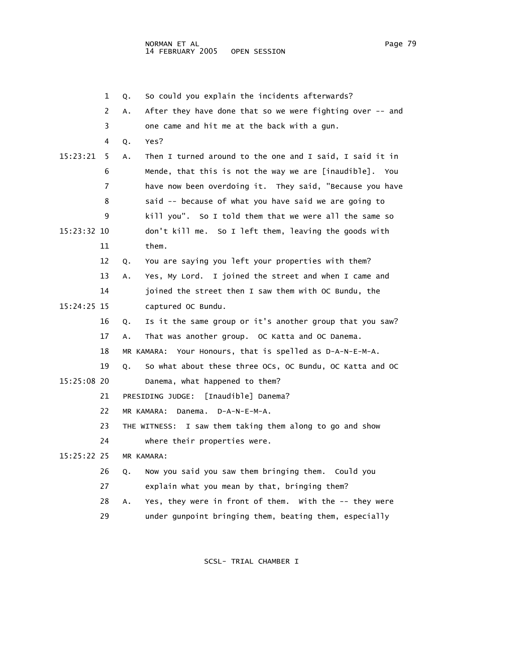1 Q. So could you explain the incidents afterwards? 2 A. After they have done that so we were fighting over -- and 3 one came and hit me at the back with a gun. 4 Q. Yes? 15:23:21 5 A. Then I turned around to the one and I said, I said it in 6 Mende, that this is not the way we are [inaudible]. You 7 have now been overdoing it. They said, "Because you have 8 said -- because of what you have said we are going to 9 kill you". So I told them that we were all the same so 15:23:32 10 don't kill me. So I left them, leaving the goods with 11 them. 12 Q. You are saying you left your properties with them? 13 A. Yes, My Lord. I joined the street and when I came and 14 joined the street then I saw them with OC Bundu, the 15:24:25 15 captured OC Bundu. 16 Q. Is it the same group or it's another group that you saw? 17 A. That was another group. OC Katta and OC Danema. 18 MR KAMARA: Your Honours, that is spelled as D-A-N-E-M-A. 19 Q. So what about these three OCs, OC Bundu, OC Katta and OC 15:25:08 20 Danema, what happened to them? 21 PRESIDING JUDGE: [Inaudible] Danema? 22 MR KAMARA: Danema. D-A-N-E-M-A. 23 THE WITNESS: I saw them taking them along to go and show 24 where their properties were. 15:25:22 25 MR KAMARA: 26 Q. Now you said you saw them bringing them. Could you 27 explain what you mean by that, bringing them? 28 A. Yes, they were in front of them. With the -- they were 29 under gunpoint bringing them, beating them, especially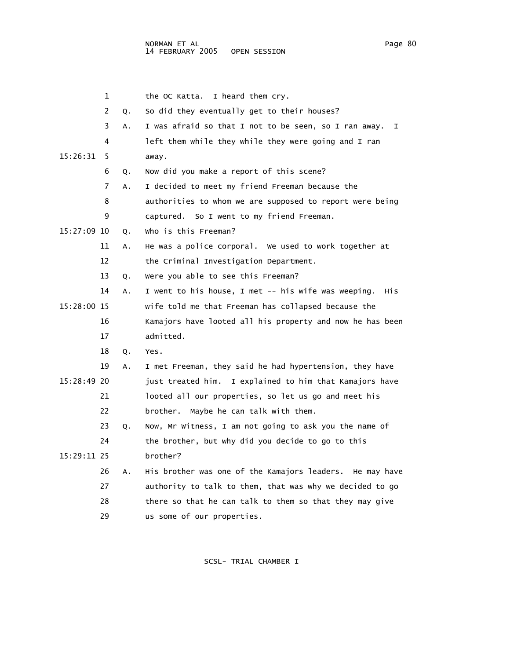|             | 1  |    | I heard them cry.<br>the OC Katta.                         |
|-------------|----|----|------------------------------------------------------------|
|             | 2  | Q. | So did they eventually get to their houses?                |
|             | 3  | Α. | I was afraid so that I not to be seen, so I ran away.<br>I |
|             | 4  |    | left them while they while they were going and I ran       |
| 15:26:31    | 5  |    | away.                                                      |
|             | 6  | Q. | Now did you make a report of this scene?                   |
|             | 7  | Α. | I decided to meet my friend Freeman because the            |
|             | 8  |    | authorities to whom we are supposed to report were being   |
|             | 9  |    | captured. So I went to my friend Freeman.                  |
| 15:27:09 10 |    | Q. | who is this Freeman?                                       |
|             | 11 | Α. | He was a police corporal. We used to work together at      |
|             | 12 |    | the Criminal Investigation Department.                     |
|             | 13 | Q. | Were you able to see this Freeman?                         |
|             | 14 | Α. | I went to his house, I met -- his wife was weeping.<br>His |
| 15:28:00 15 |    |    | wife told me that Freeman has collapsed because the        |
|             | 16 |    | Kamajors have looted all his property and now he has been  |
|             | 17 |    | admitted.                                                  |
|             | 18 | Q. | Yes.                                                       |
|             | 19 | Α. | I met Freeman, they said he had hypertension, they have    |
| 15:28:49 20 |    |    | just treated him. I explained to him that Kamajors have    |
|             | 21 |    | looted all our properties, so let us go and meet his       |
|             | 22 |    | brother. Maybe he can talk with them.                      |
|             | 23 | Q. | Now, Mr Witness, I am not going to ask you the name of     |
|             | 24 |    | the brother, but why did you decide to go to this          |
| 15:29:11 25 |    |    | brother?                                                   |
|             | 26 | А. | His brother was one of the Kamajors leaders. He may have   |
|             | 27 |    | authority to talk to them, that was why we decided to go   |
|             | 28 |    | there so that he can talk to them so that they may give    |
|             | 29 |    | us some of our properties.                                 |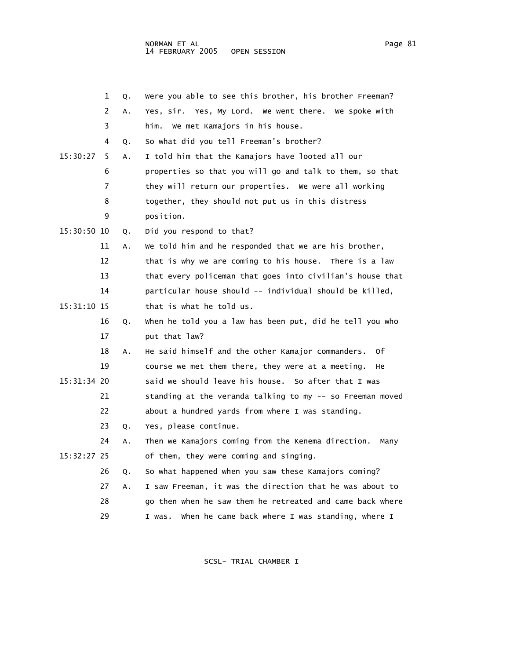1 Q. Were you able to see this brother, his brother Freeman? 2 A. Yes, sir. Yes, My Lord. We went there. We spoke with 3 him. We met Kamajors in his house. 4 Q. So what did you tell Freeman's brother? 15:30:27 5 A. I told him that the Kamajors have looted all our 6 properties so that you will go and talk to them, so that 7 they will return our properties. We were all working 8 together, they should not put us in this distress 9 position. 15:30:50 10 Q. Did you respond to that? 11 A. We told him and he responded that we are his brother, 12 that is why we are coming to his house. There is a law 13 that every policeman that goes into civilian's house that 14 particular house should -- individual should be killed,  $15:31:10$   $15$  that is what he told us. 16 Q. When he told you a law has been put, did he tell you who 17 put that law? 18 A. He said himself and the other Kamajor commanders. Of 19 course we met them there, they were at a meeting. He 15:31:34 20 said we should leave his house. So after that I was 21 standing at the veranda talking to my -- so Freeman moved 22 about a hundred yards from where I was standing. 23 Q. Yes, please continue. 24 A. Then we Kamajors coming from the Kenema direction. Many 15:32:27 25 of them, they were coming and singing. 26 Q. So what happened when you saw these Kamajors coming? 27 A. I saw Freeman, it was the direction that he was about to 28 go then when he saw them he retreated and came back where

29 I was. When he came back where I was standing, where I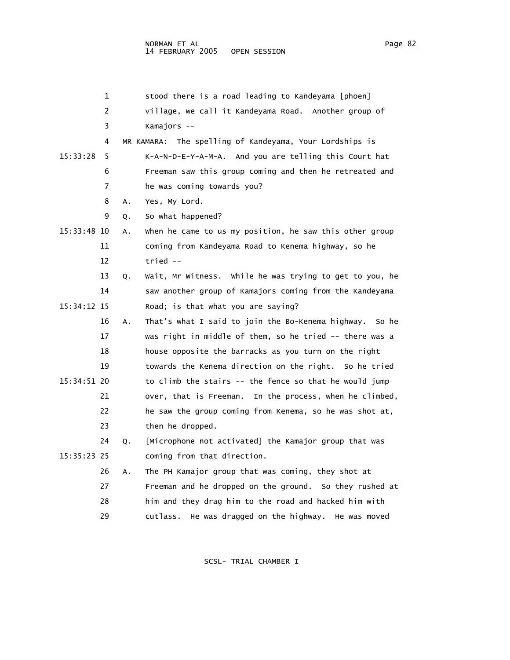|             | 1        |                   |                                    | stood there is a road leading to Kandeyama [phoen]         |
|-------------|----------|-------------------|------------------------------------|------------------------------------------------------------|
|             | 2        |                   |                                    | village, we call it Kandeyama Road. Another group of       |
|             | 3        | Kamajors --       |                                    |                                                            |
|             | 4        |                   |                                    | MR KAMARA: The spelling of Kandeyama, Your Lordships is    |
| 15:33:28    | 5        |                   |                                    | K-A-N-D-E-Y-A-M-A. And you are telling this Court hat      |
|             | 6        |                   |                                    | Freeman saw this group coming and then he retreated and    |
|             | 7        |                   | he was coming towards you?         |                                                            |
|             | 8<br>А.  | Yes, My Lord.     |                                    |                                                            |
|             | 9<br>Q.  | So what happened? |                                    |                                                            |
| 15:33:48 10 | Α.       |                   |                                    | when he came to us my position, he saw this other group    |
|             | 11       |                   |                                    | coming from Kandeyama Road to Kenema highway, so he        |
|             | 12       | $tried -$         |                                    |                                                            |
|             | 13<br>Q. |                   |                                    | Wait, Mr Witness. While he was trying to get to you, he    |
|             | 14       |                   |                                    | saw another group of Kamajors coming from the Kandeyama    |
| 15:34:12 15 |          |                   | Road; is that what you are saying? |                                                            |
|             | 16<br>Α. |                   |                                    | That's what I said to join the Bo-Kenema highway.<br>so he |
|             | 17       |                   |                                    | was right in middle of them, so he tried -- there was a    |
|             | 18       |                   |                                    | house opposite the barracks as you turn on the right       |
|             | 19       |                   |                                    | towards the Kenema direction on the right. So he tried     |
| 15:34:51 20 |          |                   |                                    | to climb the stairs -- the fence so that he would jump     |
|             | 21       |                   | over, that is Freeman.             | In the process, when he climbed,                           |
|             | 22       |                   |                                    | he saw the group coming from Kenema, so he was shot at,    |
|             | 23       | then he dropped.  |                                    |                                                            |
|             | 24<br>Q. |                   |                                    | [Microphone not activated] the Kamajor group that was      |
| 15:35:23 25 |          |                   | coming from that direction.        |                                                            |
|             | 26<br>Α. |                   |                                    | The PH Kamajor group that was coming, they shot at         |
|             | 27       |                   |                                    | Freeman and he dropped on the ground. So they rushed at    |
|             | 28       |                   |                                    | him and they drag him to the road and hacked him with      |
|             | 29       | cutlass.          |                                    | He was dragged on the highway. He was moved                |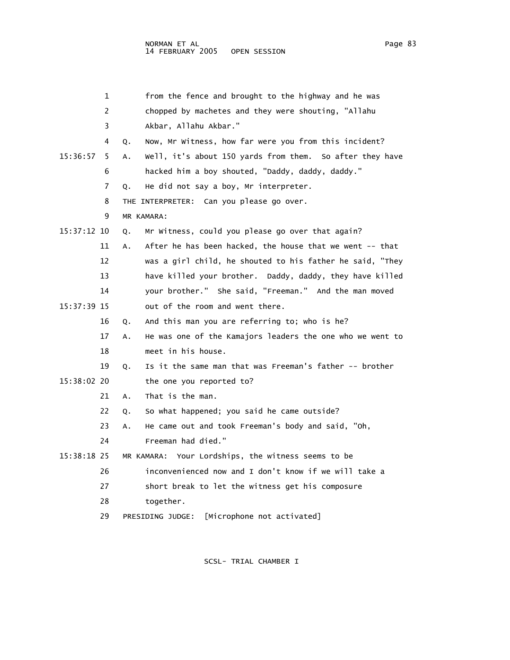|             | 1  | from the fence and brought to the highway and he was            |
|-------------|----|-----------------------------------------------------------------|
|             | 2  | chopped by machetes and they were shouting, "Allahu             |
|             | 3  | Akbar, Allahu Akbar."                                           |
|             | 4  | Now, Mr Witness, how far were you from this incident?<br>Q.     |
| 15:36:57    | 5  | well, it's about 150 yards from them. So after they have<br>А.  |
|             | 6  | hacked him a boy shouted, "Daddy, daddy, daddy."                |
|             | 7  | He did not say a boy, Mr interpreter.<br>Q.                     |
|             | 8  | THE INTERPRETER: Can you please go over.                        |
|             | 9  | MR KAMARA:                                                      |
| 15:37:12 10 |    | Mr Witness, could you please go over that again?<br>Q.          |
|             | 11 | After he has been hacked, the house that we went -- that<br>Α.  |
|             | 12 | was a girl child, he shouted to his father he said, "They       |
|             | 13 | have killed your brother. Daddy, daddy, they have killed        |
|             | 14 | your brother." She said, "Freeman." And the man moved           |
| 15:37:39 15 |    | out of the room and went there.                                 |
|             | 16 | And this man you are referring to; who is he?<br>Q.             |
|             | 17 | He was one of the Kamajors leaders the one who we went to<br>А. |
|             | 18 | meet in his house.                                              |
|             | 19 | Is it the same man that was Freeman's father -- brother<br>Q.   |
| 15:38:02 20 |    | the one you reported to?                                        |
|             | 21 | That is the man.<br>А.                                          |
|             | 22 | So what happened; you said he came outside?<br>Q.               |
|             | 23 | He came out and took Freeman's body and said, "Oh,<br>А.        |
|             | 24 | Freeman had died."                                              |
| 15:38:18 25 |    | MR KAMARA: Your Lordships, the witness seems to be              |
|             | 26 | inconvenienced now and I don't know if we will take a           |
|             | 27 | short break to let the witness get his composure                |
|             | 28 | together.                                                       |
|             | 29 | [Microphone not activated]<br>PRESIDING JUDGE:                  |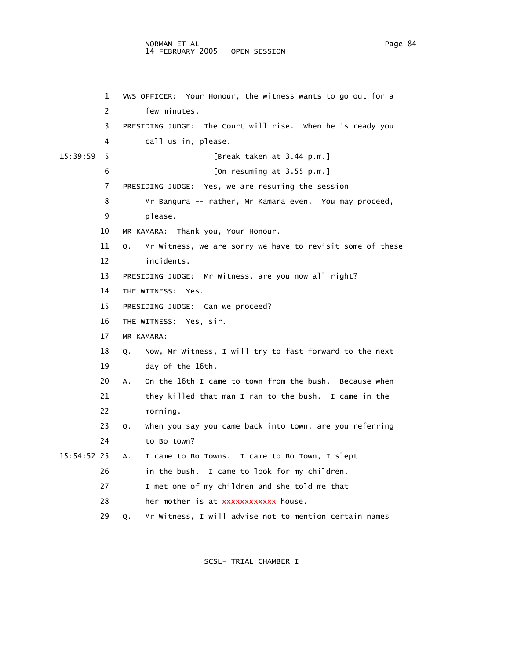## NORMAN ET AL Page 84 14 FEBRUARY 2005 OPEN SESSION

```
 1 VWS OFFICER: Your Honour, the witness wants to go out for a 
         2 few minutes. 
         3 PRESIDING JUDGE: The Court will rise. When he is ready you 
         4 call us in, please. 
15:39:59 5 [Break taken at 3.44 p.m.] 
         6 [On resuming at 3.55 p.m.] 
         7 PRESIDING JUDGE: Yes, we are resuming the session 
         8 Mr Bangura -- rather, Mr Kamara even. You may proceed, 
         9 please. 
        10 MR KAMARA: Thank you, Your Honour. 
        11 Q. Mr Witness, we are sorry we have to revisit some of these 
        12 incidents. 
        13 PRESIDING JUDGE: Mr Witness, are you now all right? 
        14 THE WITNESS: Yes. 
        15 PRESIDING JUDGE: Can we proceed? 
        16 THE WITNESS: Yes, sir. 
        17 MR KAMARA: 
        18 Q. Now, Mr Witness, I will try to fast forward to the next 
        19 day of the 16th. 
        20 A. On the 16th I came to town from the bush. Because when 
        21 they killed that man I ran to the bush. I came in the 
        22 morning. 
        23 Q. When you say you came back into town, are you referring 
        24 to Bo town? 
15:54:52 25 A. I came to Bo Towns. I came to Bo Town, I slept 
        26 in the bush. I came to look for my children. 
        27 I met one of my children and she told me that 
       28 her mother is at xxxxxxxxxxxx house.
        29 Q. Mr Witness, I will advise not to mention certain names
```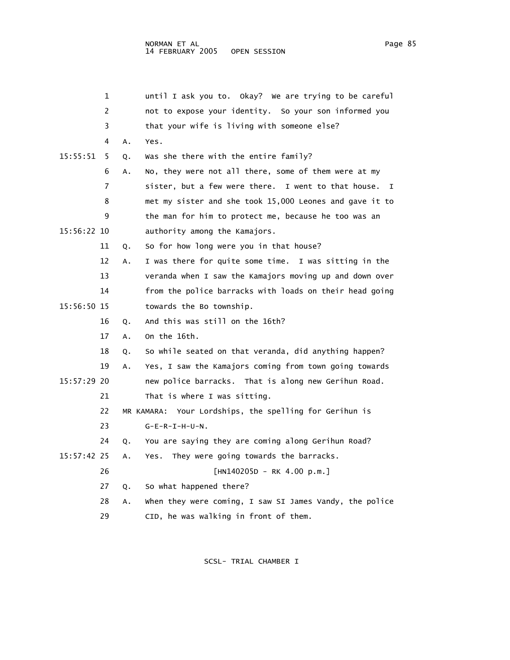|             | 1  |    | until I ask you to. Okay? We are trying to be careful     |
|-------------|----|----|-----------------------------------------------------------|
|             | 2  |    | not to expose your identity. So your son informed you     |
|             | 3  |    | that your wife is living with someone else?               |
|             | 4  | Α. | Yes.                                                      |
| 15:55:51    | 5. | Q. | Was she there with the entire family?                     |
|             | 6  | А. | No, they were not all there, some of them were at my      |
|             | 7  |    | sister, but a few were there. I went to that house.<br>I. |
|             | 8  |    | met my sister and she took 15,000 Leones and gave it to   |
|             | 9  |    | the man for him to protect me, because he too was an      |
| 15:56:22 10 |    |    | authority among the Kamajors.                             |
|             | 11 | Q. | So for how long were you in that house?                   |
|             | 12 | Α. | I was there for quite some time. I was sitting in the     |
|             | 13 |    | veranda when I saw the Kamajors moving up and down over   |
|             | 14 |    | from the police barracks with loads on their head going   |
| 15:56:50 15 |    |    | towards the Bo township.                                  |
|             | 16 | Q. | And this was still on the 16th?                           |
|             | 17 | Α. | On the 16th.                                              |
|             | 18 | Q. | So while seated on that veranda, did anything happen?     |
|             | 19 | Α. | Yes, I saw the Kamajors coming from town going towards    |
| 15:57:29 20 |    |    | new police barracks. That is along new Gerihun Road.      |
|             | 21 |    | That is where I was sitting.                              |
|             | 22 |    | MR KAMARA: Your Lordships, the spelling for Gerihun is    |
|             | 23 |    | $G-E-R-T-H-U-N$ .                                         |
|             | 24 | Q. | You are saying they are coming along Gerihun Road?        |
| 15:57:42 25 |    | Α. | They were going towards the barracks.<br>Yes.             |
|             | 26 |    | $[HN140205D - RK 4.00 p.m.]$                              |
|             | 27 | Q. | So what happened there?                                   |
|             | 28 | Α. | when they were coming, I saw SI James Vandy, the police   |
|             | 29 |    | CID, he was walking in front of them.                     |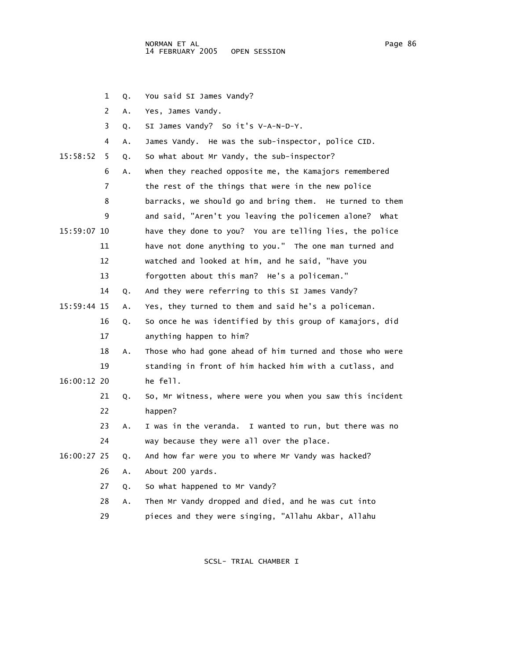1 Q. You said SI James Vandy? 2 A. Yes, James Vandy. 3 Q. SI James Vandy? So it's V-A-N-D-Y. 4 A. James Vandy. He was the sub-inspector, police CID. 15:58:52 5 Q. So what about Mr Vandy, the sub-inspector? 6 A. When they reached opposite me, the Kamajors remembered 7 the rest of the things that were in the new police 8 barracks, we should go and bring them. He turned to them 9 and said, "Aren't you leaving the policemen alone? What 15:59:07 10 have they done to you? You are telling lies, the police 11 have not done anything to you." The one man turned and 12 watched and looked at him, and he said, "have you 13 forgotten about this man? He's a policeman." 14 Q. And they were referring to this SI James Vandy? 15:59:44 15 A. Yes, they turned to them and said he's a policeman. 16 Q. So once he was identified by this group of Kamajors, did 17 anything happen to him? 18 A. Those who had gone ahead of him turned and those who were 19 standing in front of him hacked him with a cutlass, and 16:00:12 20 he fell. 21 Q. So, Mr Witness, where were you when you saw this incident 22 happen? 23 A. I was in the veranda. I wanted to run, but there was no 24 way because they were all over the place. 16:00:27 25 Q. And how far were you to where Mr Vandy was hacked? 26 A. About 200 yards. 27 Q. So what happened to Mr Vandy? 28 A. Then Mr Vandy dropped and died, and he was cut into 29 pieces and they were singing, "Allahu Akbar, Allahu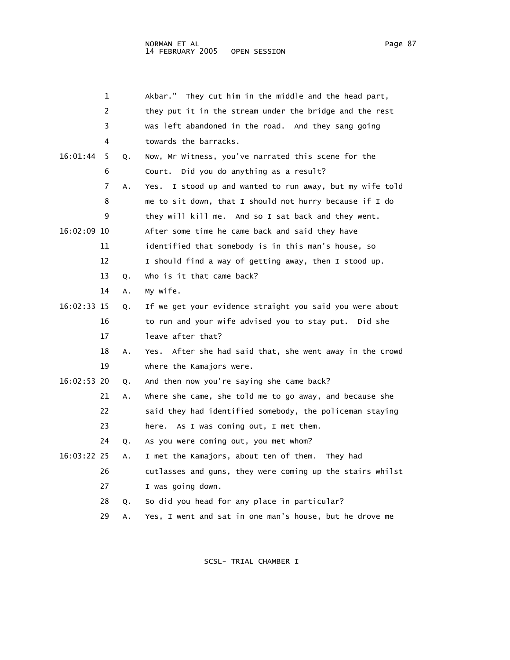|             | 1  |    | Akbar." They cut him in the middle and the head part,       |
|-------------|----|----|-------------------------------------------------------------|
|             | 2  |    | they put it in the stream under the bridge and the rest     |
|             | 3  |    | was left abandoned in the road. And they sang going         |
|             | 4  |    | towards the barracks.                                       |
| 16:01:44    | 5  | Q. | Now, Mr Witness, you've narrated this scene for the         |
|             | 6  |    | Court. Did you do anything as a result?                     |
|             | 7  | Α. | I stood up and wanted to run away, but my wife told<br>Yes. |
|             | 8  |    | me to sit down, that I should not hurry because if I do     |
|             | 9  |    | they will kill me. And so I sat back and they went.         |
| 16:02:09 10 |    |    | After some time he came back and said they have             |
|             | 11 |    | identified that somebody is in this man's house, so         |
|             | 12 |    | I should find a way of getting away, then I stood up.       |
|             | 13 | Q. | who is it that came back?                                   |
|             | 14 | Α. | My wife.                                                    |
| 16:02:33 15 |    | Q. | If we get your evidence straight you said you were about    |
|             | 16 |    | to run and your wife advised you to stay put. Did she       |
|             | 17 |    | leave after that?                                           |
|             | 18 | Α. | Yes. After she had said that, she went away in the crowd    |
|             | 19 |    | where the Kamajors were.                                    |
| 16:02:53 20 |    | Q. | And then now you're saying she came back?                   |
|             | 21 | Α. | where she came, she told me to go away, and because she     |
|             | 22 |    | said they had identified somebody, the policeman staying    |
|             | 23 |    | here. As I was coming out, I met them.                      |
|             | 24 | Q. | As you were coming out, you met whom?                       |
| 16:03:22 25 |    | Α. | I met the Kamajors, about ten of them. They had             |
|             | 26 |    | cutlasses and guns, they were coming up the stairs whilst   |

27 I was going down.

- 28 Q. So did you head for any place in particular?
- 29 A. Yes, I went and sat in one man's house, but he drove me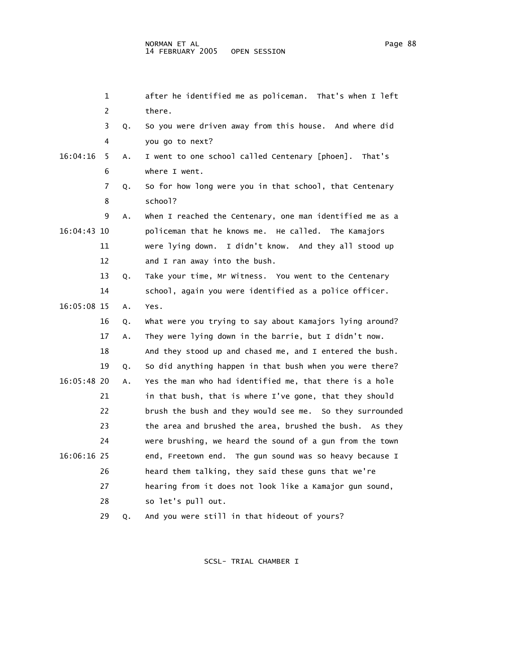|             | 1  |    | after he identified me as policeman. That's when I left  |
|-------------|----|----|----------------------------------------------------------|
|             | 2  |    | there.                                                   |
|             | 3  | Q. | So you were driven away from this house. And where did   |
|             | 4  |    | you go to next?                                          |
| 16:04:16    | 5  | Α. | I went to one school called Centenary [phoen]. That's    |
|             | 6  |    | where I went.                                            |
|             | 7  | Q. | So for how long were you in that school, that Centenary  |
|             | 8  |    | school?                                                  |
|             | 9  | Α. | When I reached the Centenary, one man identified me as a |
| 16:04:43 10 |    |    | policeman that he knows me. He called. The Kamajors      |
|             | 11 |    | were lying down. I didn't know. And they all stood up    |
|             | 12 |    | and I ran away into the bush.                            |
|             | 13 | Q. | Take your time, Mr Witness. You went to the Centenary    |
|             | 14 |    | school, again you were identified as a police officer.   |
| 16:05:08 15 |    | Α. | Yes.                                                     |
|             | 16 | Q. | What were you trying to say about Kamajors lying around? |
|             | 17 | Α. | They were lying down in the barrie, but I didn't now.    |
|             | 18 |    | And they stood up and chased me, and I entered the bush. |
|             | 19 | Q. | So did anything happen in that bush when you were there? |
| 16:05:48 20 |    | Α. | Yes the man who had identified me, that there is a hole  |
|             | 21 |    | in that bush, that is where I've gone, that they should  |
|             | 22 |    | brush the bush and they would see me. So they surrounded |
|             | 23 |    | the area and brushed the area, brushed the bush. As they |
|             | 24 |    | were brushing, we heard the sound of a gun from the town |
| 16:06:16 25 |    |    | end, Freetown end. The gun sound was so heavy because I  |
|             | 26 |    | heard them talking, they said these guns that we're      |
|             | 27 |    | hearing from it does not look like a Kamajor gun sound,  |
|             | 28 |    | so let's pull out.                                       |
|             | 29 | Q. | And you were still in that hideout of yours?             |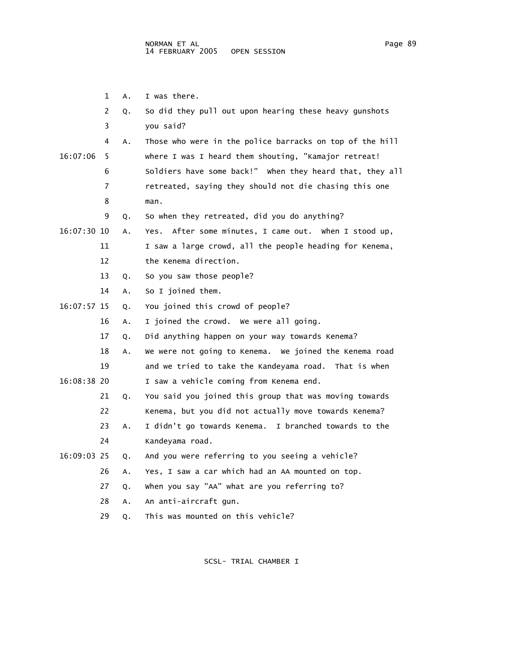1 A. I was there.

|               | 2  | Q. | So did they pull out upon hearing these heavy gunshots   |
|---------------|----|----|----------------------------------------------------------|
|               | 3  |    | you said?                                                |
|               | 4  | Α. | Those who were in the police barracks on top of the hill |
| 16:07:06      | 5  |    | where I was I heard them shouting, "Kamajor retreat!     |
|               | 6  |    | Soldiers have some back!" When they heard that, they all |
|               | 7  |    | retreated, saying they should not die chasing this one   |
|               | 8  |    | man.                                                     |
|               | 9  | Q. | So when they retreated, did you do anything?             |
| $16:07:30$ 10 |    | Α. | After some minutes, I came out. When I stood up,<br>Yes. |
|               | 11 |    | I saw a large crowd, all the people heading for Kenema,  |
|               | 12 |    | the Kenema direction.                                    |
|               | 13 | Q. | So you saw those people?                                 |
|               | 14 | А. | So I joined them.                                        |
| 16:07:57 15   |    | Q. | You joined this crowd of people?                         |
|               | 16 | Α. | I joined the crowd. We were all going.                   |
|               | 17 | Q. | Did anything happen on your way towards Kenema?          |
|               | 18 | Α. | We were not going to Kenema. We joined the Kenema road   |
|               | 19 |    | and we tried to take the Kandeyama road. That is when    |
| 16:08:38 20   |    |    | I saw a vehicle coming from Kenema end.                  |
|               | 21 | Q. | You said you joined this group that was moving towards   |
|               | 22 |    | Kenema, but you did not actually move towards Kenema?    |
|               | 23 | Α. | I didn't go towards Kenema. I branched towards to the    |
|               | 24 |    | Kandeyama road.                                          |
| 16:09:03 25   |    | Q. | And you were referring to you seeing a vehicle?          |
|               | 26 | Α. | Yes, I saw a car which had an AA mounted on top.         |
|               | 27 | Q. | when you say "AA" what are you referring to?             |
|               | 28 | Α. | An anti-aircraft gun.                                    |
|               | 29 | Q. | This was mounted on this vehicle?                        |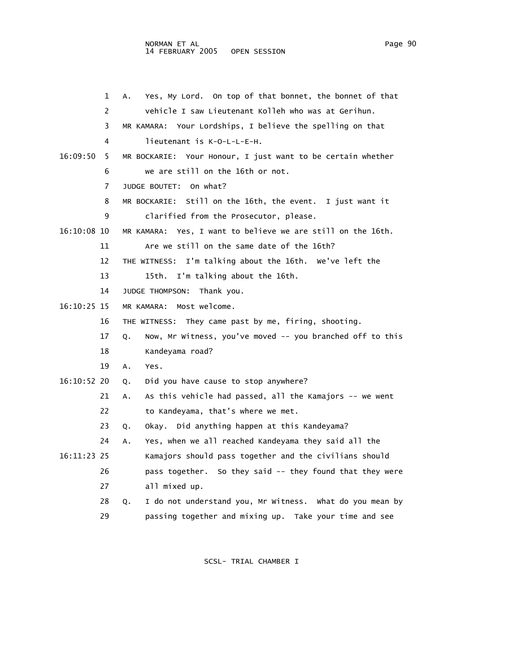|               | 1  | Yes, My Lord. On top of that bonnet, the bonnet of that<br>Α.   |
|---------------|----|-----------------------------------------------------------------|
|               | 2  | vehicle I saw Lieutenant Kolleh who was at Gerihun.             |
|               | 3  | MR KAMARA: Your Lordships, I believe the spelling on that       |
|               | 4  | lieutenant is K-O-L-L-E-H.                                      |
|               |    |                                                                 |
| 16:09:50      | 5  | MR BOCKARIE: Your Honour, I just want to be certain whether     |
|               | 6  | we are still on the 16th or not.                                |
|               | 7  | On what?<br>JUDGE BOUTET:                                       |
|               | 8  | MR BOCKARIE: Still on the 16th, the event.<br>I just want it    |
|               | 9  | clarified from the Prosecutor, please.                          |
| 16:10:08 10   |    | MR KAMARA: Yes, I want to believe we are still on the 16th.     |
|               | 11 | Are we still on the same date of the 16th?                      |
|               | 12 | I'm talking about the 16th. We've left the<br>THE WITNESS:      |
|               | 13 | I'm talking about the 16th.<br>15th.                            |
|               | 14 | JUDGE THOMPSON:<br>Thank you.                                   |
| 16:10:25 15   |    | MR KAMARA: Most welcome.                                        |
|               | 16 | THE WITNESS: They came past by me, firing, shooting.            |
|               | 17 | Now, Mr Witness, you've moved -- you branched off to this<br>Q. |
|               | 18 | Kandeyama road?                                                 |
|               | 19 | Α.<br>Yes.                                                      |
| $16:10:52$ 20 |    | Did you have cause to stop anywhere?<br>Q.                      |
|               | 21 | As this vehicle had passed, all the Kamajors -- we went<br>Α.   |
|               | 22 | to Kandeyama, that's where we met.                              |
|               | 23 | Okay. Did anything happen at this Kandeyama?<br>Q.              |
|               | 24 | Yes, when we all reached Kandeyama they said all the<br>Α.      |
| 16:11:23 25   |    | Kamajors should pass together and the civilians should          |
|               | 26 | pass together. So they said -- they found that they were        |
|               | 27 | all mixed up.                                                   |
|               | 28 | I do not understand you, Mr Witness. What do you mean by<br>Q.  |
|               | 29 | passing together and mixing up. Take your time and see          |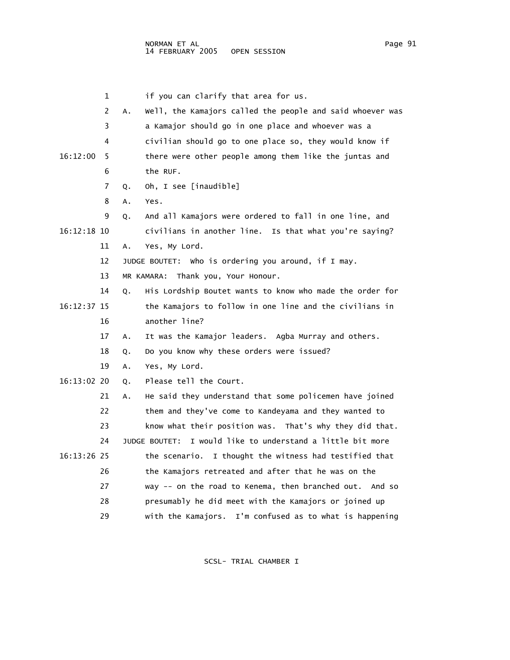1 if you can clarify that area for us. 2 A. Well, the Kamajors called the people and said whoever was 3 a Kamajor should go in one place and whoever was a 4 civilian should go to one place so, they would know if 16:12:00 5 there were other people among them like the juntas and 6 the RUF. 7 Q. Oh, I see [inaudible] 8 A. Yes. 9 Q. And all Kamajors were ordered to fall in one line, and 16:12:18 10 civilians in another line. Is that what you're saying? 11 A. Yes, My Lord. 12 JUDGE BOUTET: Who is ordering you around, if I may. 13 MR KAMARA: Thank you, Your Honour. 14 Q. His Lordship Boutet wants to know who made the order for 16:12:37 15 the Kamajors to follow in one line and the civilians in 16 another line? 17 A. It was the Kamajor leaders. Agba Murray and others. 18 Q. Do you know why these orders were issued? 19 A. Yes, My Lord. 16:13:02 20 Q. Please tell the Court. 21 A. He said they understand that some policemen have joined 22 them and they've come to Kandeyama and they wanted to 23 know what their position was. That's why they did that. 24 JUDGE BOUTET: I would like to understand a little bit more 16:13:26 25 the scenario. I thought the witness had testified that 26 the Kamajors retreated and after that he was on the 27 way -- on the road to Kenema, then branched out. And so 28 presumably he did meet with the Kamajors or joined up 29 with the Kamajors. I'm confused as to what is happening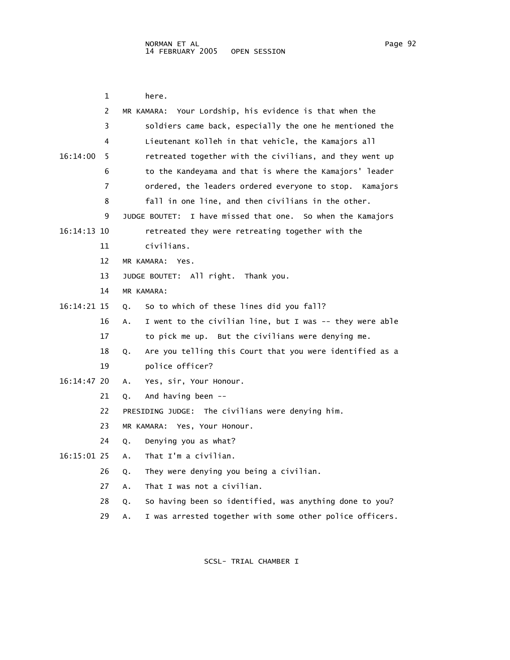|             | 1  | here.                                                          |
|-------------|----|----------------------------------------------------------------|
|             | 2  | Your Lordship, his evidence is that when the<br>MR KAMARA:     |
|             | 3  | soldiers came back, especially the one he mentioned the        |
|             | 4  | Lieutenant Kolleh in that vehicle, the Kamajors all            |
| 16:14:00    | 5  | retreated together with the civilians, and they went up        |
|             | 6  | to the Kandeyama and that is where the Kamajors' leader        |
|             | 7  | ordered, the leaders ordered everyone to stop. Kamajors        |
|             | 8  | fall in one line, and then civilians in the other.             |
|             | 9  | I have missed that one. So when the Kamajors<br>JUDGE BOUTET:  |
| 16:14:13 10 |    | retreated they were retreating together with the               |
|             | 11 | civilians.                                                     |
|             | 12 | MR KAMARA:<br>Yes.                                             |
|             | 13 | JUDGE BOUTET: All right. Thank you.                            |
|             | 14 | MR KAMARA:                                                     |
| 16:14:21 15 |    | So to which of these lines did you fall?<br>Q.                 |
|             | 16 | I went to the civilian line, but I was -- they were able<br>А. |
|             | 17 | to pick me up. But the civilians were denying me.              |
|             | 18 | Are you telling this Court that you were identified as a<br>Q. |
|             | 19 | police officer?                                                |
| 16:14:47 20 |    | Yes, sir, Your Honour.<br>А.                                   |
|             | 21 | And having been --<br>Q.                                       |
|             | 22 | PRESIDING JUDGE: The civilians were denying him.               |
|             | 23 | MR KAMARA: Yes, Your Honour.                                   |
|             | 24 | Denying you as what?<br>Q.                                     |
| 16:15:01 25 |    | That I'm a civilian.<br>А.                                     |
|             | 26 | They were denying you being a civilian.<br>Q.                  |
|             | 27 | That I was not a civilian.<br>А.                               |
|             | 28 | So having been so identified, was anything done to you?<br>Q.  |

29 A. I was arrested together with some other police officers.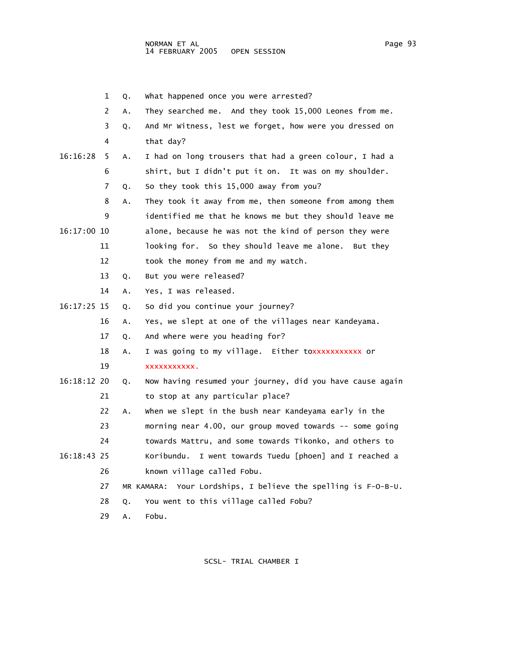- 1 Q. What happened once you were arrested?
- 2 A. They searched me. And they took 15,000 Leones from me.
- 3 Q. And Mr Witness, lest we forget, how were you dressed on 4 that day?
- 16:16:28 5 A. I had on long trousers that had a green colour, I had a 6 shirt, but I didn't put it on. It was on my shoulder.
	- 7 Q. So they took this 15,000 away from you?
- 8 A. They took it away from me, then someone from among them 9 identified me that he knows me but they should leave me 16:17:00 10 alone, because he was not the kind of person they were 11 looking for. So they should leave me alone. But they 12 took the money from me and my watch.
	- 13 Q. But you were released?
	- 14 A. Yes, I was released.
- 16:17:25 15 Q. So did you continue your journey?
	- 16 A. Yes, we slept at one of the villages near Kandeyama.
	- 17 Q. And where were you heading for?
- 18 A. I was going to my village. Either to xxxxxxxxxxx or
	- 19 xxxxxxxxxxx.
- 16:18:12 20 Q. Now having resumed your journey, did you have cause again 21 to stop at any particular place?
	- 22 A. When we slept in the bush near Kandeyama early in the
	- 23 morning near 4.00, our group moved towards -- some going
	- 24 towards Mattru, and some towards Tikonko, and others to
- 16:18:43 25 Koribundu. I went towards Tuedu [phoen] and I reached a 26 known village called Fobu.
	- 27 MR KAMARA: Your Lordships, I believe the spelling is F-O-B-U.
	- 28 Q. You went to this village called Fobu?
	- 29 A. Fobu.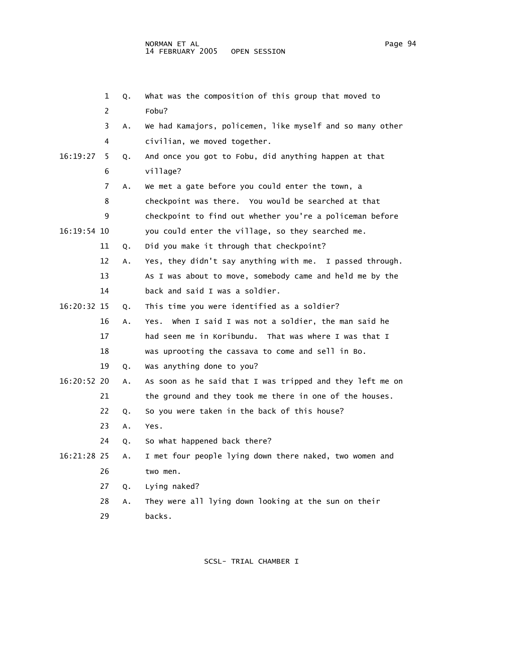|             | 1  | Q. | What was the composition of this group that moved to      |
|-------------|----|----|-----------------------------------------------------------|
|             | 2  |    | Fobu?                                                     |
|             | 3  | A. | We had Kamajors, policemen, like myself and so many other |
|             | 4  |    | civilian, we moved together.                              |
| 16:19:27    | 5  | Q. | And once you got to Fobu, did anything happen at that     |
|             | 6  |    | village?                                                  |
|             | 7  | Α. | We met a gate before you could enter the town, a          |
|             | 8  |    | checkpoint was there. You would be searched at that       |
|             | 9  |    | checkpoint to find out whether you're a policeman before  |
| 16:19:54 10 |    |    | you could enter the village, so they searched me.         |
|             | 11 | Q. | Did you make it through that checkpoint?                  |
|             | 12 | Α. | Yes, they didn't say anything with me. I passed through.  |
|             | 13 |    | As I was about to move, somebody came and held me by the  |
|             | 14 |    | back and said I was a soldier.                            |
| 16:20:32 15 |    | Q. | This time you were identified as a soldier?               |
|             | 16 | Α. | when I said I was not a soldier, the man said he<br>Yes.  |
|             | 17 |    | had seen me in Koribundu. That was where I was that I     |
|             | 18 |    | was uprooting the cassava to come and sell in Bo.         |
|             | 19 | Q. | Was anything done to you?                                 |
| 16:20:52 20 |    | Α. | As soon as he said that I was tripped and they left me on |
|             | 21 |    | the ground and they took me there in one of the houses.   |
|             | 22 | Q. | So you were taken in the back of this house?              |
|             | 23 | Α. | Yes.                                                      |
|             | 24 | Q. | So what happened back there?                              |
| 16:21:28 25 |    | Α. | I met four people lying down there naked, two women and   |
|             | 26 |    | two men.                                                  |
|             | 27 | Q. | Lying naked?                                              |
|             | 28 | Α. | They were all lying down looking at the sun on their      |

29 backs.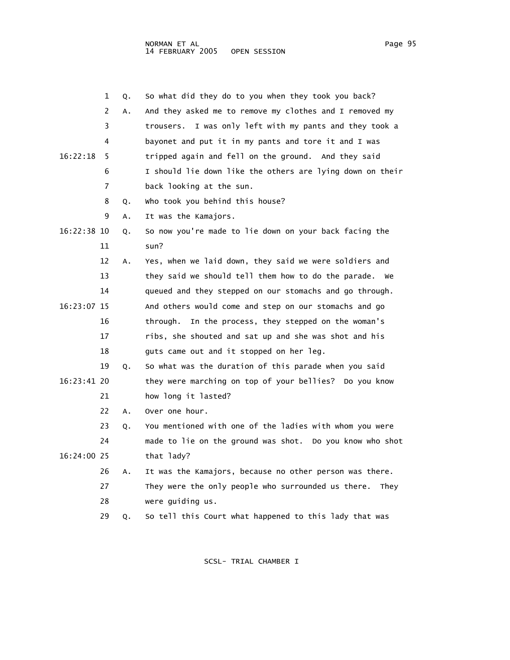|             | 1  | Q. | So what did they do to you when they took you back?        |
|-------------|----|----|------------------------------------------------------------|
|             | 2  | Α. | And they asked me to remove my clothes and I removed my    |
|             | 3  |    | trousers. I was only left with my pants and they took a    |
|             | 4  |    | bayonet and put it in my pants and tore it and I was       |
| 16:22:18    | 5  |    | tripped again and fell on the ground. And they said        |
|             | 6  |    | I should lie down like the others are lying down on their  |
|             | 7  |    | back looking at the sun.                                   |
|             | 8  | Q. | who took you behind this house?                            |
|             | 9  | Α. | It was the Kamajors.                                       |
| 16:22:38 10 |    | Q. | So now you're made to lie down on your back facing the     |
|             | 11 |    | sun?                                                       |
|             | 12 | Α. | Yes, when we laid down, they said we were soldiers and     |
|             | 13 |    | they said we should tell them how to do the parade.<br>we  |
|             | 14 |    | queued and they stepped on our stomachs and go through.    |
| 16:23:07 15 |    |    | And others would come and step on our stomachs and go      |
|             | 16 |    | In the process, they stepped on the woman's<br>through.    |
|             | 17 |    | ribs, she shouted and sat up and she was shot and his      |
|             | 18 |    | guts came out and it stopped on her leg.                   |
|             | 19 | Q. | So what was the duration of this parade when you said      |
| 16:23:41 20 |    |    | they were marching on top of your bellies? Do you know     |
|             | 21 |    | how long it lasted?                                        |
|             | 22 | Α. | Over one hour.                                             |
|             | 23 | Q. | You mentioned with one of the ladies with whom you were    |
|             | 24 |    | made to lie on the ground was shot. Do you know who shot   |
| 16:24:00 25 |    |    | that lady?                                                 |
|             | 26 | Α. | It was the Kamajors, because no other person was there.    |
|             | 27 |    | They were the only people who surrounded us there.<br>They |
|             | 28 |    | were quiding us.                                           |
|             | 29 | Q. | So tell this Court what happened to this lady that was     |
|             |    |    |                                                            |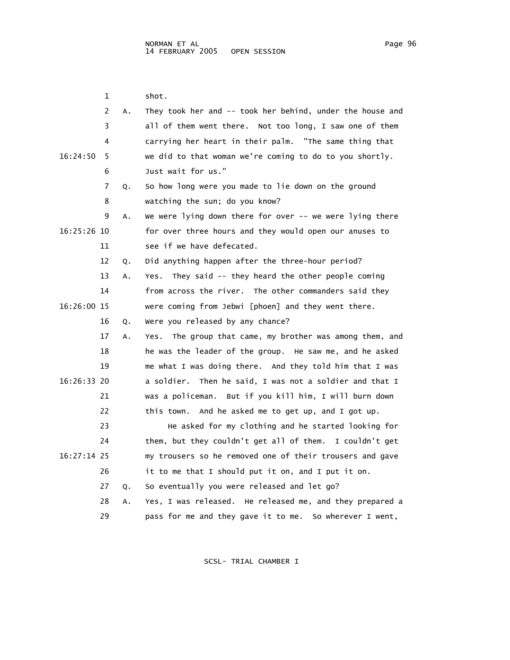1 shot. 2 A. They took her and -- took her behind, under the house and 3 all of them went there. Not too long, I saw one of them 4 carrying her heart in their palm. "The same thing that 16:24:50 5 we did to that woman we're coming to do to you shortly. 6 Just wait for us." 7 Q. So how long were you made to lie down on the ground 8 watching the sun; do you know? 9 A. We were lying down there for over -- we were lying there 16:25:26 10 for over three hours and they would open our anuses to 11 see if we have defecated. 12 Q. Did anything happen after the three-hour period? 13 A. Yes. They said -- they heard the other people coming 14 from across the river. The other commanders said they 16:26:00 15 were coming from Jebwi [phoen] and they went there. 16 Q. Were you released by any chance? 17 A. Yes. The group that came, my brother was among them, and 18 he was the leader of the group. He saw me, and he asked 19 me what I was doing there. And they told him that I was 16:26:33 20 a soldier. Then he said, I was not a soldier and that I 21 was a policeman. But if you kill him, I will burn down 22 this town. And he asked me to get up, and I got up. 23 He asked for my clothing and he started looking for 24 them, but they couldn't get all of them. I couldn't get 16:27:14 25 my trousers so he removed one of their trousers and gave 26 it to me that I should put it on, and I put it on. 27 Q. So eventually you were released and let go? 28 A. Yes, I was released. He released me, and they prepared a 29 pass for me and they gave it to me. So wherever I went,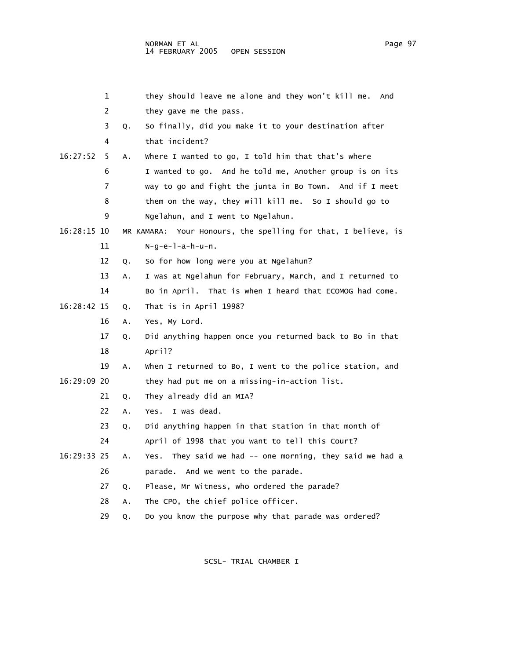|             | 1  |    | they should leave me alone and they won't kill me.<br>And     |
|-------------|----|----|---------------------------------------------------------------|
|             | 2  |    | they gave me the pass.                                        |
|             | 3  | Q. | So finally, did you make it to your destination after         |
|             | 4  |    | that incident?                                                |
| 16:27:52    | 5  | Α. | Where I wanted to go, I told him that that's where            |
|             | 6  |    | I wanted to go. And he told me, Another group is on its       |
|             | 7  |    | way to go and fight the junta in Bo Town. And if I meet       |
|             | 8  |    | them on the way, they will kill me. So I should go to         |
|             | 9  |    | Ngelahun, and I went to Ngelahun.                             |
| 16:28:15 10 |    |    | MR KAMARA: Your Honours, the spelling for that, I believe, is |
|             | 11 |    | $N-q-e-1-a-h-u-n$ .                                           |
|             | 12 | Q. | So for how long were you at Ngelahun?                         |
|             | 13 | Α. | I was at Ngelahun for February, March, and I returned to      |
|             | 14 |    | Bo in April. That is when I heard that ECOMOG had come.       |
| 16:28:42 15 |    | Q. | That is in April 1998?                                        |
|             | 16 | Α. | Yes, My Lord.                                                 |
|             | 17 | Q. | Did anything happen once you returned back to Bo in that      |
|             | 18 |    | April?                                                        |
|             | 19 | Α. | when I returned to Bo, I went to the police station, and      |
| 16:29:09 20 |    |    | they had put me on a missing-in-action list.                  |
|             | 21 | Q. | They already did an MIA?                                      |
|             | 22 | Α. | I was dead.<br>Yes.                                           |
|             | 23 | Q. | Did anything happen in that station in that month of          |
|             | 24 |    | April of 1998 that you want to tell this Court?               |
| 16:29:33 25 |    | Α. | Yes. They said we had -- one morning, they said we had a      |
|             | 26 |    | parade. And we went to the parade.                            |
|             | 27 | Q. | Please, Mr Witness, who ordered the parade?                   |
|             | 28 | Α. | The CPO, the chief police officer.                            |
|             | 29 | Q. | Do you know the purpose why that parade was ordered?          |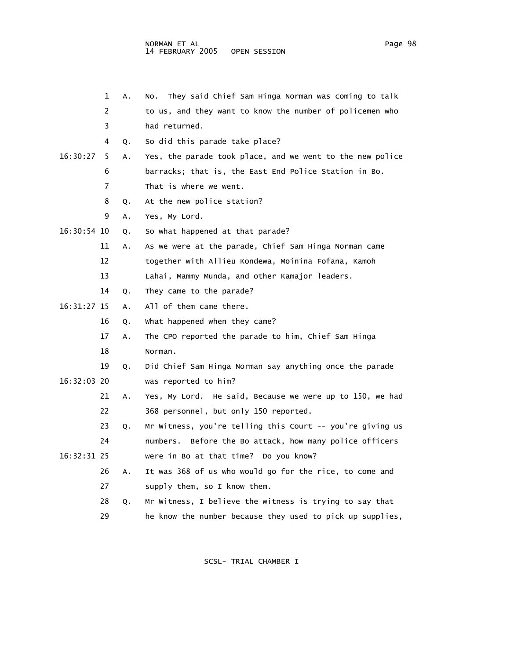|             | 1  | Α. | They said Chief Sam Hinga Norman was coming to talk<br>NO. |
|-------------|----|----|------------------------------------------------------------|
|             | 2  |    | to us, and they want to know the number of policemen who   |
|             | 3  |    | had returned.                                              |
|             | 4  | Q. | So did this parade take place?                             |
| 16:30:27    | 5  | Α. | Yes, the parade took place, and we went to the new police  |
|             | 6  |    | barracks; that is, the East End Police Station in Bo.      |
|             | 7  |    | That is where we went.                                     |
|             | 8  | Q. | At the new police station?                                 |
|             | 9  | Α. | Yes, My Lord.                                              |
| 16:30:54 10 |    | Q. | So what happened at that parade?                           |
|             | 11 | А. | As we were at the parade, Chief Sam Hinga Norman came      |
|             | 12 |    | together with Allieu Kondewa, Moinina Fofana, Kamoh        |
|             | 13 |    | Lahai, Mammy Munda, and other Kamajor leaders.             |
|             | 14 | Q. | They came to the parade?                                   |
| 16:31:27 15 |    | Α. | All of them came there.                                    |
|             | 16 | Q. | What happened when they came?                              |
|             | 17 | Α. | The CPO reported the parade to him, Chief Sam Hinga        |
|             | 18 |    | Norman.                                                    |
|             | 19 | Q. | Did Chief Sam Hinga Norman say anything once the parade    |
| 16:32:03 20 |    |    | was reported to him?                                       |
|             | 21 | Α. | Yes, My Lord. He said, Because we were up to 150, we had   |
|             | 22 |    | 368 personnel, but only 150 reported.                      |
|             | 23 | Q. | Mr Witness, you're telling this Court -- you're giving us  |
|             | 24 |    | numbers. Before the Bo attack, how many police officers    |
| 16:32:31 25 |    |    | were in Bo at that time? Do you know?                      |
|             | 26 | Α. | It was 368 of us who would go for the rice, to come and    |
|             | 27 |    | supply them, so I know them.                               |
|             | 28 | Q. | Mr Witness, I believe the witness is trying to say that    |
|             | 29 |    | he know the number because they used to pick up supplies,  |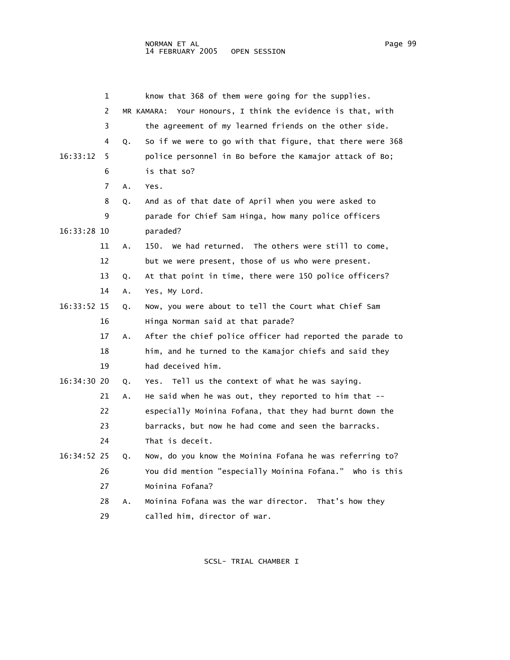|             | 1              |    | know that 368 of them were going for the supplies.          |
|-------------|----------------|----|-------------------------------------------------------------|
|             | $\overline{2}$ |    | MR KAMARA: Your Honours, I think the evidence is that, with |
|             | 3              |    | the agreement of my learned friends on the other side.      |
|             | 4              | Q. | So if we were to go with that figure, that there were 368   |
| 16:33:12    | 5              |    | police personnel in Bo before the Kamajor attack of Bo;     |
|             | 6              |    | is that so?                                                 |
|             | 7              | A. | Yes.                                                        |
|             | 8              | Q. | And as of that date of April when you were asked to         |
|             | 9              |    | parade for Chief Sam Hinga, how many police officers        |
| 16:33:28 10 |                |    | paraded?                                                    |
|             | 11             | Α. | We had returned. The others were still to come,<br>150.     |
|             | 12             |    | but we were present, those of us who were present.          |
|             | 13             | Q. | At that point in time, there were 150 police officers?      |
|             | 14             | А. | Yes, My Lord.                                               |
| 16:33:52 15 |                | Q. | Now, you were about to tell the Court what Chief Sam        |
|             | 16             |    | Hinga Norman said at that parade?                           |
|             | 17             | Α. | After the chief police officer had reported the parade to   |
|             | 18             |    | him, and he turned to the Kamajor chiefs and said they      |
|             | 19             |    | had deceived him.                                           |
| 16:34:30 20 |                | Q. | Tell us the context of what he was saying.<br>Yes.          |
|             | 21             | Α. | He said when he was out, they reported to him that $-$      |
|             | 22             |    | especially Moinina Fofana, that they had burnt down the     |
|             | 23             |    | barracks, but now he had come and seen the barracks.        |
|             | 24             |    | That is deceit.                                             |
| 16:34:52 25 |                | Q. | Now, do you know the Moinina Fofana he was referring to?    |
|             | 26             |    | You did mention "especially Moinina Fofana." Who is this    |
|             | 27             |    | Moinina Fofana?                                             |
|             | 28             | А. | Moinina Fofana was the war director. That's how they        |
|             | 29             |    | called him, director of war.                                |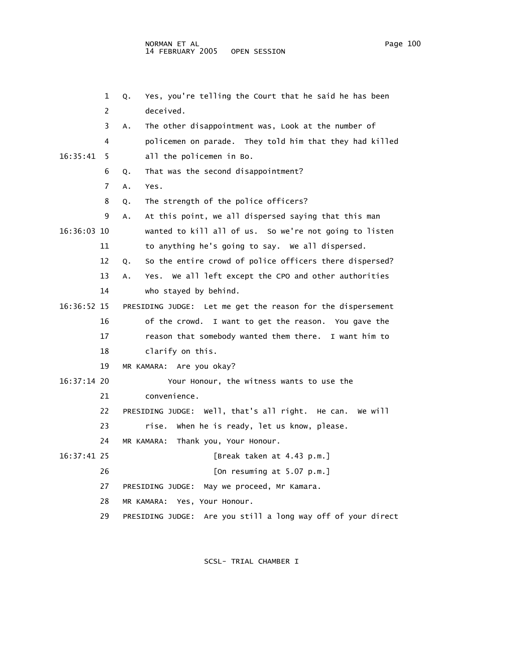|             | 1  | Yes, you're telling the Court that he said he has been<br>Q.    |
|-------------|----|-----------------------------------------------------------------|
|             | 2  | deceived.                                                       |
|             | 3  | The other disappointment was, Look at the number of<br>Α.       |
|             | 4  | policemen on parade. They told him that they had killed         |
| 16:35:41    | 5. | all the policemen in Bo.                                        |
|             | 6  | That was the second disappointment?<br>Q.                       |
|             | 7  | A.<br>Yes.                                                      |
|             | 8  | The strength of the police officers?<br>Q.                      |
|             | 9  | At this point, we all dispersed saying that this man<br>Α.      |
| 16:36:03 10 |    | wanted to kill all of us. So we're not going to listen          |
|             | 11 | to anything he's going to say. We all dispersed.                |
|             | 12 | So the entire crowd of police officers there dispersed?<br>Q.   |
|             | 13 | Yes. We all left except the CPO and other authorities<br>Α.     |
|             | 14 | who stayed by behind.                                           |
| 16:36:52 15 |    | PRESIDING JUDGE: Let me get the reason for the dispersement     |
|             | 16 | of the crowd. I want to get the reason. You gave the            |
|             | 17 | reason that somebody wanted them there. I want him to           |
|             | 18 | clarify on this.                                                |
|             | 19 | MR KAMARA: Are you okay?                                        |
| 16:37:14 20 |    | Your Honour, the witness wants to use the                       |
|             | 21 | convenience.                                                    |
|             | 22 | PRESIDING JUDGE: Well, that's all right. He can. We will        |
|             | 23 | when he is ready, let us know, please.<br>rise.                 |
|             | 24 | MR KAMARA:<br>Thank you, Your Honour.                           |
| 16:37:41 25 |    | [Break taken at 4.43 p.m.]                                      |
|             | 26 | [On resuming at $5.07$ p.m.]                                    |
|             | 27 | May we proceed, Mr Kamara.<br>PRESIDING JUDGE:                  |
|             | 28 | MR KAMARA:<br>Yes, Your Honour.                                 |
|             | 29 | Are you still a long way off of your direct<br>PRESIDING JUDGE: |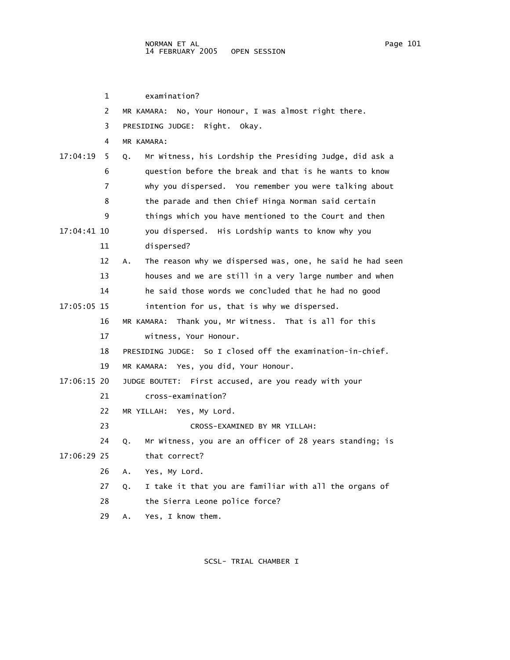| Page | 101 |
|------|-----|
|      |     |

 1 examination? 2 MR KAMARA: No, Your Honour, I was almost right there. 3 PRESIDING JUDGE: Right. Okay. 4 MR KAMARA: 17:04:19 5 Q. Mr Witness, his Lordship the Presiding Judge, did ask a 6 question before the break and that is he wants to know 7 why you dispersed. You remember you were talking about 8 the parade and then Chief Hinga Norman said certain 9 things which you have mentioned to the Court and then 17:04:41 10 you dispersed. His Lordship wants to know why you 11 dispersed? 12 A. The reason why we dispersed was, one, he said he had seen 13 houses and we are still in a very large number and when 14 he said those words we concluded that he had no good 17:05:05 15 intention for us, that is why we dispersed. 16 MR KAMARA: Thank you, Mr Witness. That is all for this 17 witness, Your Honour. 18 PRESIDING JUDGE: So I closed off the examination-in-chief. 19 MR KAMARA: Yes, you did, Your Honour. 17:06:15 20 JUDGE BOUTET: First accused, are you ready with your 21 cross-examination? 22 MR YILLAH: Yes, My Lord. 23 CROSS-EXAMINED BY MR YILLAH: 24 Q. Mr Witness, you are an officer of 28 years standing; is 17:06:29 25 that correct? 26 A. Yes, My Lord. 27 Q. I take it that you are familiar with all the organs of 28 the Sierra Leone police force? 29 A. Yes, I know them.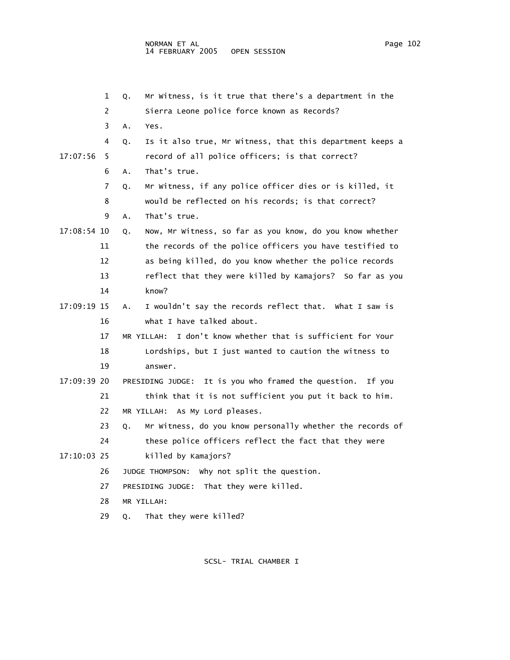|             | 1  | Q. | Mr Witness, is it true that there's a department in the        |
|-------------|----|----|----------------------------------------------------------------|
|             | 2  |    | Sierra Leone police force known as Records?                    |
|             | 3  | Α. | Yes.                                                           |
|             | 4  | Q. | Is it also true, Mr Witness, that this department keeps a      |
| 17:07:56    | 5  |    | record of all police officers; is that correct?                |
|             | 6  | Α. | That's true.                                                   |
|             | 7  | Q. | Mr Witness, if any police officer dies or is killed, it        |
|             | 8  |    | would be reflected on his records; is that correct?            |
|             | 9  | Α. | That's true.                                                   |
| 17:08:54 10 |    | Q. | Now, Mr Witness, so far as you know, do you know whether       |
|             | 11 |    | the records of the police officers you have testified to       |
|             | 12 |    | as being killed, do you know whether the police records        |
|             | 13 |    | reflect that they were killed by Kamajors? So far as you       |
|             | 14 |    | know?                                                          |
| 17:09:19 15 |    | Α. | I wouldn't say the records reflect that. What I saw is         |
|             | 16 |    | what I have talked about.                                      |
|             | 17 |    | I don't know whether that is sufficient for Your<br>MR YILLAH: |
|             | 18 |    | Lordships, but I just wanted to caution the witness to         |
|             | 19 |    | answer.                                                        |
| 17:09:39 20 |    |    | PRESIDING JUDGE: It is you who framed the question. If you     |
|             | 21 |    | think that it is not sufficient you put it back to him.        |
|             | 22 |    | MR YILLAH: As My Lord pleases.                                 |
|             | 23 | Q. | Mr Witness, do you know personally whether the records of      |
|             | 24 |    | these police officers reflect the fact that they were          |
| 17:10:03 25 |    |    | killed by Kamajors?                                            |
|             | 26 |    | why not split the question.<br>JUDGE THOMPSON:                 |
|             | 27 |    | That they were killed.<br>PRESIDING JUDGE:                     |
|             | 28 |    | MR YILLAH:                                                     |
|             | 29 | Q. | That they were killed?                                         |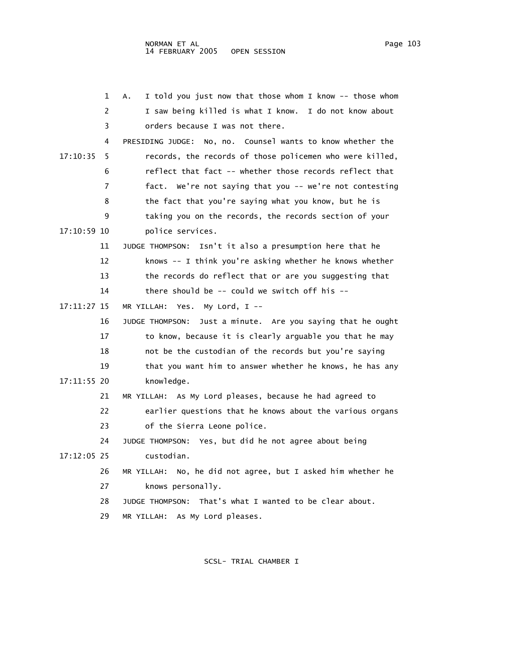|             | 1  | I told you just now that those whom I know -- those whom<br>Α. |
|-------------|----|----------------------------------------------------------------|
|             | 2  | I saw being killed is what I know. I do not know about         |
|             | 3  | orders because I was not there.                                |
|             | 4  | No, no. Counsel wants to know whether the<br>PRESIDING JUDGE:  |
| 17:10:35    | 5  | records, the records of those policemen who were killed,       |
|             | 6  | reflect that fact -- whether those records reflect that        |
|             | 7  | fact. We're not saying that you -- we're not contesting        |
|             | 8  | the fact that you're saying what you know, but he is           |
|             | 9  | taking you on the records, the records section of your         |
| 17:10:59 10 |    | police services.                                               |
|             | 11 | Isn't it also a presumption here that he<br>JUDGE THOMPSON:    |
|             | 12 | knows -- I think you're asking whether he knows whether        |
|             | 13 | the records do reflect that or are you suggesting that         |
|             | 14 | there should be $-$ could we switch off his $-$                |
| 17:11:27 15 |    | MR YILLAH: Yes.<br>My Lord, $I$ --                             |
|             | 16 | Just a minute. Are you saying that he ought<br>JUDGE THOMPSON: |
|             | 17 | to know, because it is clearly arguable you that he may        |
|             | 18 | not be the custodian of the records but you're saying          |
|             | 19 | that you want him to answer whether he knows, he has any       |
| 17:11:55 20 |    | knowledge.                                                     |
|             | 21 | MR YILLAH: As My Lord pleases, because he had agreed to        |
|             | 22 | earlier questions that he knows about the various organs       |
|             | 23 | of the Sierra Leone police.                                    |
|             | 24 | JUDGE THOMPSON: Yes, but did he not agree about being          |
| 17:12:05 25 |    | custodian.                                                     |
|             | 26 | MR YILLAH: No, he did not agree, but I asked him whether he    |
|             | 27 | knows personally.                                              |
|             | 28 | JUDGE THOMPSON: That's what I wanted to be clear about.        |
|             | 29 | MR YILLAH: As My Lord pleases.                                 |
|             |    |                                                                |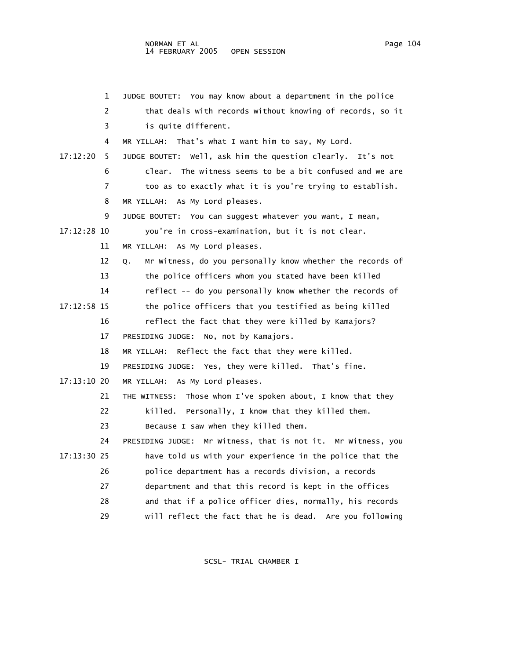|             | JUDGE BOUTET: You may know about a department in the police<br>1           |
|-------------|----------------------------------------------------------------------------|
|             | 2<br>that deals with records without knowing of records, so it             |
|             | 3<br>is quite different.                                                   |
|             | MR YILLAH: That's what I want him to say, My Lord.<br>4                    |
| 17:12:20    | JUDGE BOUTET: Well, ask him the question clearly. It's not<br>5            |
|             | The witness seems to be a bit confused and we are<br>6<br>clear.           |
|             | $\overline{7}$<br>too as to exactly what it is you're trying to establish. |
|             | As My Lord pleases.<br>8<br>MR YILLAH:                                     |
|             | 9<br>You can suggest whatever you want, I mean,<br>JUDGE BOUTET:           |
| 17:12:28 10 | you're in cross-examination, but it is not clear.                          |
| 11          | MR YILLAH: As My Lord pleases.                                             |
| 12          | Mr Witness, do you personally know whether the records of<br>Q.            |
| 13          | the police officers whom you stated have been killed                       |
| 14          | reflect -- do you personally know whether the records of                   |
| 17:12:58 15 | the police officers that you testified as being killed                     |
| 16          | reflect the fact that they were killed by Kamajors?                        |
| 17          | PRESIDING JUDGE: No, not by Kamajors.                                      |
| 18          | Reflect the fact that they were killed.<br>MR YILLAH:                      |
| 19          | PRESIDING JUDGE: Yes, they were killed. That's fine.                       |
| 17:13:10 20 | MR YILLAH: As My Lord pleases.                                             |
| 21          | Those whom I've spoken about, I know that they<br>THE WITNESS:             |
| 22          | killed. Personally, I know that they killed them.                          |
| 23          | Because I saw when they killed them.                                       |
| 24          | PRESIDING JUDGE: Mr Witness, that is not it. Mr Witness, you               |
| 17:13:30 25 | have told us with your experience in the police that the                   |
| 26          | police department has a records division, a records                        |
| 27          | department and that this record is kept in the offices                     |
| 28          | and that if a police officer dies, normally, his records                   |
| 29          | will reflect the fact that he is dead. Are you following                   |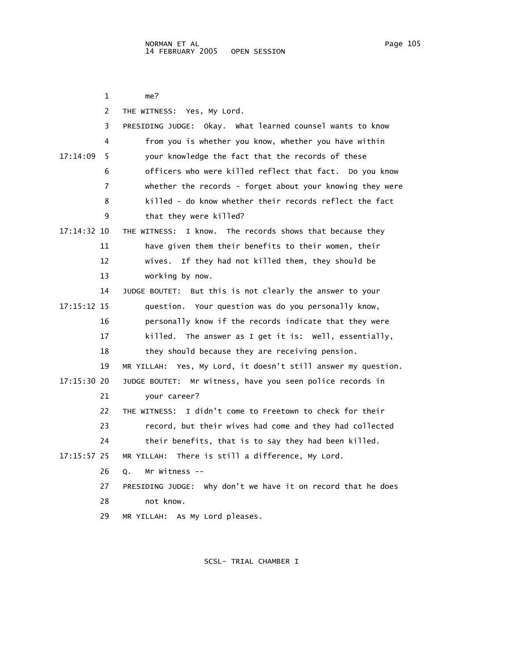1 me? 2 THE WITNESS: Yes, My Lord. 3 PRESIDING JUDGE: Okay. What learned counsel wants to know 4 from you is whether you know, whether you have within 17:14:09 5 your knowledge the fact that the records of these 6 officers who were killed reflect that fact. Do you know 7 whether the records - forget about your knowing they were 8 killed - do know whether their records reflect the fact 9 that they were killed? 17:14:32 10 THE WITNESS: I know. The records shows that because they 11 have given them their benefits to their women, their 12 wives. If they had not killed them, they should be 13 working by now. 14 JUDGE BOUTET: But this is not clearly the answer to your 17:15:12 15 question. Your question was do you personally know, 16 personally know if the records indicate that they were 17 killed. The answer as I get it is: Well, essentially, 18 they should because they are receiving pension. 19 MR YILLAH: Yes, My Lord, it doesn't still answer my question. 17:15:30 20 JUDGE BOUTET: Mr Witness, have you seen police records in 21 your career? 22 THE WITNESS: I didn't come to Freetown to check for their 23 record, but their wives had come and they had collected 24 their benefits, that is to say they had been killed. 17:15:57 25 MR YILLAH: There is still a difference, My Lord. 26 Q. Mr Witness -- 27 PRESIDING JUDGE: Why don't we have it on record that he does 28 not know. 29 MR YILLAH: As My Lord pleases.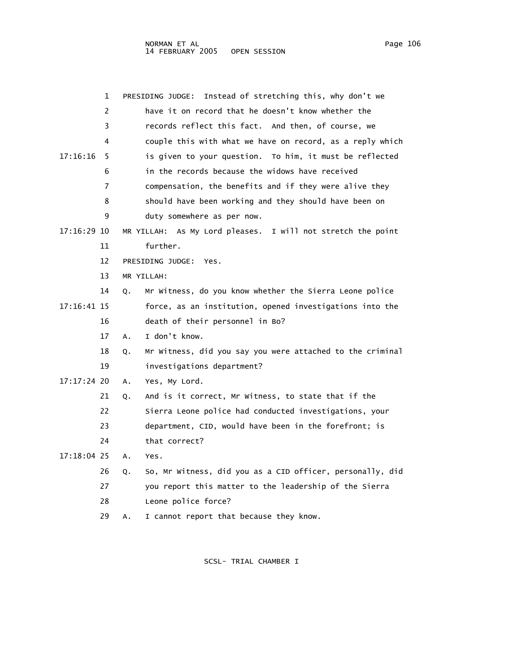| Page | 106 |
|------|-----|
|      |     |

|             | 1  | Instead of stretching this, why don't we<br>PRESIDING JUDGE:    |
|-------------|----|-----------------------------------------------------------------|
|             | 2  | have it on record that he doesn't know whether the              |
|             | 3  | records reflect this fact. And then, of course, we              |
|             | 4  | couple this with what we have on record, as a reply which       |
| 17:16:16    | 5  | is given to your question. To him, it must be reflected         |
|             | 6  | in the records because the widows have received                 |
|             | 7  | compensation, the benefits and if they were alive they          |
|             | 8  | should have been working and they should have been on           |
|             | 9  | duty somewhere as per now.                                      |
| 17:16:29 10 |    | MR YILLAH: As My Lord pleases. I will not stretch the point     |
|             | 11 | further.                                                        |
|             | 12 | PRESIDING JUDGE:<br>Yes.                                        |
|             | 13 | MR YILLAH:                                                      |
|             | 14 | Mr Witness, do you know whether the Sierra Leone police<br>Q.   |
| 17:16:41 15 |    | force, as an institution, opened investigations into the        |
|             | 16 | death of their personnel in Bo?                                 |
|             | 17 | I don't know.<br>Α.                                             |
|             | 18 | Mr Witness, did you say you were attached to the criminal<br>Q. |
|             | 19 | investigations department?                                      |
| 17:17:24 20 |    | Yes, My Lord.<br>Α.                                             |
|             | 21 | And is it correct, Mr Witness, to state that if the<br>Q.       |
|             | 22 | Sierra Leone police had conducted investigations, your          |
|             | 23 | department, CID, would have been in the forefront; is           |
|             | 24 | that correct?                                                   |
| 17:18:04 25 |    | Α.<br>Yes.                                                      |
|             | 26 | So, Mr Witness, did you as a CID officer, personally, did<br>Q. |
|             | 27 | you report this matter to the leadership of the Sierra          |
|             | 28 | Leone police force?                                             |
|             | 29 | I cannot report that because they know.<br>А.                   |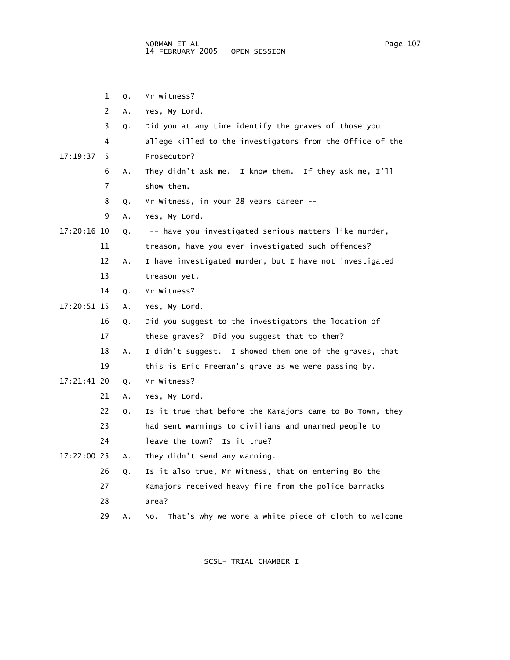1 Q. Mr witness? 2 A. Yes, My Lord. 3 Q. Did you at any time identify the graves of those you 4 allege killed to the investigators from the Office of the 17:19:37 5 Prosecutor? 6 A. They didn't ask me. I know them. If they ask me, I'll 7 show them. 8 Q. Mr Witness, in your 28 years career -- 9 A. Yes, My Lord. 17:20:16 10 Q. -- have you investigated serious matters like murder, 11 treason, have you ever investigated such offences? 12 A. I have investigated murder, but I have not investigated 13 treason yet. 14 Q. Mr Witness? 17:20:51 15 A. Yes, My Lord. 16 Q. Did you suggest to the investigators the location of 17 these graves? Did you suggest that to them? 18 A. I didn't suggest. I showed them one of the graves, that 19 this is Eric Freeman's grave as we were passing by. 17:21:41 20 Q. Mr Witness? 21 A. Yes, My Lord. 22 Q. Is it true that before the Kamajors came to Bo Town, they 23 had sent warnings to civilians and unarmed people to 24 leave the town? Is it true? 17:22:00 25 A. They didn't send any warning. 26 Q. Is it also true, Mr Witness, that on entering Bo the 27 Kamajors received heavy fire from the police barracks 28 area?

SCSL- TRIAL CHAMBER I

29 A. No. That's why we wore a white piece of cloth to welcome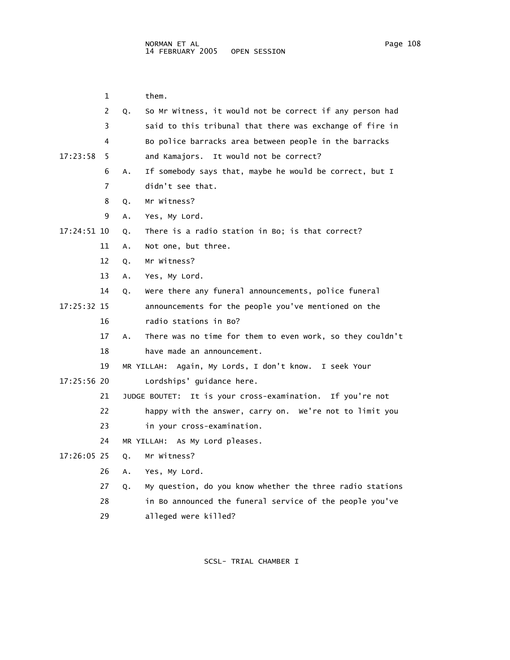|             | 1  | them.                                                           |
|-------------|----|-----------------------------------------------------------------|
|             | 2  | So Mr Witness, it would not be correct if any person had<br>Q.  |
|             | 3  | said to this tribunal that there was exchange of fire in        |
|             | 4  | Bo police barracks area between people in the barracks          |
| 17:23:58    | 5  | and Kamajors. It would not be correct?                          |
|             | 6  | If somebody says that, maybe he would be correct, but I<br>Α.   |
|             | 7  | didn't see that.                                                |
|             | 8  | Mr Witness?<br>Q.                                               |
|             | 9  | Yes, My Lord.<br>Α.                                             |
| 17:24:51 10 |    | There is a radio station in Bo; is that correct?<br>Q.          |
|             | 11 | Not one, but three.<br>Α.                                       |
|             | 12 | Mr Witness?<br>Q.                                               |
|             | 13 | Yes, My Lord.<br>А.                                             |
|             | 14 | Were there any funeral announcements, police funeral<br>Q.      |
| 17:25:32 15 |    | announcements for the people you've mentioned on the            |
|             | 16 | radio stations in Bo?                                           |
|             | 17 | There was no time for them to even work, so they couldn't<br>А. |
|             | 18 | have made an announcement.                                      |
|             | 19 | MR YILLAH: Again, My Lords, I don't know. I seek Your           |
| 17:25:56 20 |    | Lordships' guidance here.                                       |
|             | 21 | JUDGE BOUTET: It is your cross-examination. If you're not       |
|             | 22 | happy with the answer, carry on. We're not to limit you         |
|             | 23 | in your cross-examination.                                      |
|             | 24 | MR YILLAH: As My Lord pleases.                                  |
| 17:26:05 25 |    | Mr Witness?<br>Q.                                               |
|             | 26 | Yes, My Lord.<br>А.                                             |
|             | 27 | My question, do you know whether the three radio stations<br>Q. |
|             | 28 | in Bo announced the funeral service of the people you've        |

29 alleged were killed?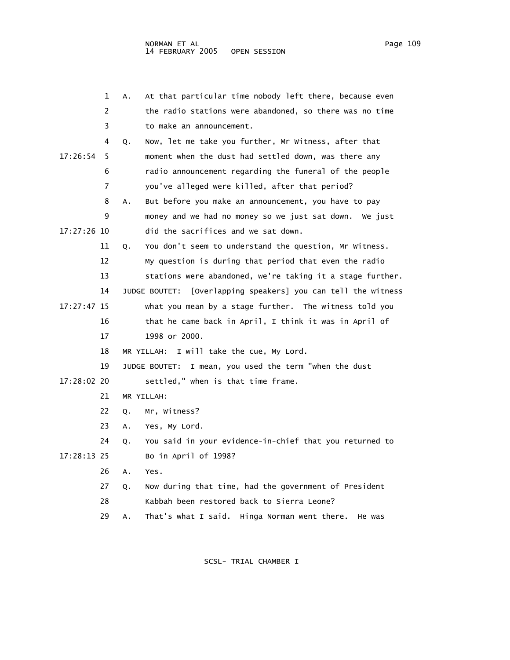|             | 1  | At that particular time nobody left there, because even<br>А.    |
|-------------|----|------------------------------------------------------------------|
|             | 2  | the radio stations were abandoned, so there was no time          |
|             | 3  | to make an announcement.                                         |
|             | 4  | Now, let me take you further, Mr Witness, after that<br>Q.       |
| 17:26:54    | 5  | moment when the dust had settled down, was there any             |
|             | 6  | radio announcement regarding the funeral of the people           |
|             | 7  | you've alleged were killed, after that period?                   |
|             | 8  | But before you make an announcement, you have to pay<br>А.       |
|             | 9  | money and we had no money so we just sat down. We just           |
| 17:27:26 10 |    | did the sacrifices and we sat down.                              |
|             | 11 | You don't seem to understand the question, Mr Witness.<br>Q.     |
|             | 12 | My question is during that period that even the radio            |
|             | 13 | stations were abandoned, we're taking it a stage further.        |
|             | 14 | [Overlapping speakers] you can tell the witness<br>JUDGE BOUTET: |
| 17:27:47 15 |    | what you mean by a stage further. The witness told you           |
|             | 16 | that he came back in April, I think it was in April of           |
|             | 17 | 1998 or 2000.                                                    |
|             | 18 | I will take the cue, My Lord.<br>MR YILLAH:                      |
|             | 19 | I mean, you used the term "when the dust<br>JUDGE BOUTET:        |
| 17:28:02 20 |    | settled," when is that time frame.                               |
|             | 21 | MR YILLAH:                                                       |
|             | 22 | Mr, Witness?<br>Q.                                               |
|             | 23 | Yes, My Lord.<br>Α.                                              |
|             | 24 | You said in your evidence-in-chief that you returned to<br>Q.    |
| 17:28:13 25 |    | Bo in April of 1998?                                             |
|             | 26 | Yes.<br>Α.                                                       |
|             | 27 | Now during that time, had the government of President<br>Q.      |
|             | 28 | Kabbah been restored back to Sierra Leone?                       |
|             | 29 | That's what I said. Hinga Norman went there.<br>А.<br>He was     |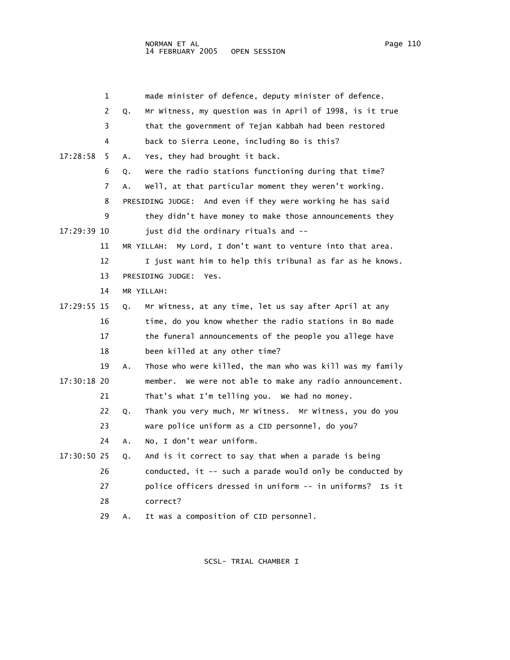|             | 1  |    | made minister of defence, deputy minister of defence.       |
|-------------|----|----|-------------------------------------------------------------|
|             | 2  | Q. | Mr Witness, my question was in April of 1998, is it true    |
|             | 3  |    | that the government of Tejan Kabbah had been restored       |
|             | 4  |    | back to Sierra Leone, including Bo is this?                 |
| 17:28:58    | 5  | Α. | Yes, they had brought it back.                              |
|             | 6  | Q. | Were the radio stations functioning during that time?       |
|             | 7  | A. | Well, at that particular moment they weren't working.       |
|             | 8  |    | PRESIDING JUDGE: And even if they were working he has said  |
|             | 9  |    | they didn't have money to make those announcements they     |
| 17:29:39 10 |    |    | just did the ordinary rituals and --                        |
|             | 11 |    | MR YILLAH: My Lord, I don't want to venture into that area. |
|             | 12 |    | I just want him to help this tribunal as far as he knows.   |
|             | 13 |    | PRESIDING JUDGE:<br>Yes.                                    |
|             | 14 |    | MR YILLAH:                                                  |
| 17:29:55 15 |    | Q. | Mr Witness, at any time, let us say after April at any      |
|             | 16 |    | time, do you know whether the radio stations in Bo made     |
|             | 17 |    | the funeral announcements of the people you allege have     |
|             | 18 |    | been killed at any other time?                              |
|             | 19 | Α. | Those who were killed, the man who was kill was my family   |
| 17:30:18 20 |    |    | member. We were not able to make any radio announcement.    |
|             | 21 |    | That's what I'm telling you. We had no money.               |
|             | 22 | Q. | Thank you very much, Mr Witness. Mr Witness, you do you     |
|             | 23 |    | ware police uniform as a CID personnel, do you?             |
|             | 24 | Α. | No, I don't wear uniform.                                   |
| 17:30:50 25 |    | Q. | And is it correct to say that when a parade is being        |
|             | 26 |    | conducted, it -- such a parade would only be conducted by   |
|             | 27 |    | police officers dressed in uniform -- in uniforms?<br>Is it |
|             | 28 |    | correct?                                                    |
|             | 29 | А. | It was a composition of CID personnel.                      |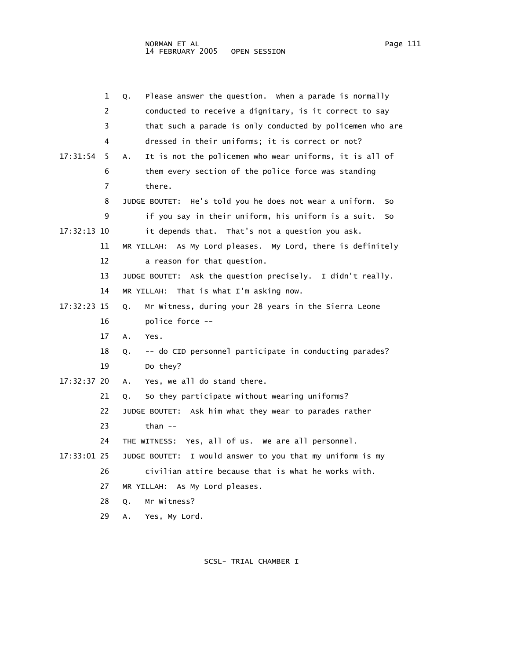|             | 1  | Please answer the question. When a parade is normally<br>Q.      |
|-------------|----|------------------------------------------------------------------|
|             | 2  | conducted to receive a dignitary, is it correct to say           |
|             | 3  | that such a parade is only conducted by policemen who are        |
|             | 4  | dressed in their uniforms; it is correct or not?                 |
| 17:31:54    | 5  | It is not the policemen who wear uniforms, it is all of<br>А.    |
|             | 6  | them every section of the police force was standing              |
|             | 7  | there.                                                           |
|             | 8  | He's told you he does not wear a uniform.<br>JUDGE BOUTET:<br>So |
|             | 9  | if you say in their uniform, his uniform is a suit.<br>So        |
| 17:32:13 10 |    | it depends that. That's not a question you ask.                  |
|             | 11 | MR YILLAH: As My Lord pleases. My Lord, there is definitely      |
|             | 12 | a reason for that question.                                      |
|             | 13 | JUDGE BOUTET: Ask the question precisely. I didn't really.       |
|             | 14 | MR YILLAH: That is what I'm asking now.                          |
| 17:32:23 15 |    | Mr Witness, during your 28 years in the Sierra Leone<br>Q.       |
|             | 16 | police force --                                                  |
|             | 17 | A.<br>Yes.                                                       |
|             | 18 | -- do CID personnel participate in conducting parades?<br>Q.     |
|             | 19 | Do they?                                                         |
| 17:32:37 20 |    | Yes, we all do stand there.<br>Α.                                |
|             | 21 | So they participate without wearing uniforms?<br>Q.              |
|             | 22 | JUDGE BOUTET: Ask him what they wear to parades rather           |
|             | 23 | than $--$                                                        |
|             | 24 | THE WITNESS: Yes, all of us. We are all personnel.               |
| 17:33:01 25 |    | I would answer to you that my uniform is my<br>JUDGE BOUTET:     |
|             | 26 | civilian attire because that is what he works with.              |
|             | 27 | MR YILLAH: As My Lord pleases.                                   |
|             | 28 | Mr Witness?<br>Q.                                                |
|             | 29 | Yes, My Lord.<br>Α.                                              |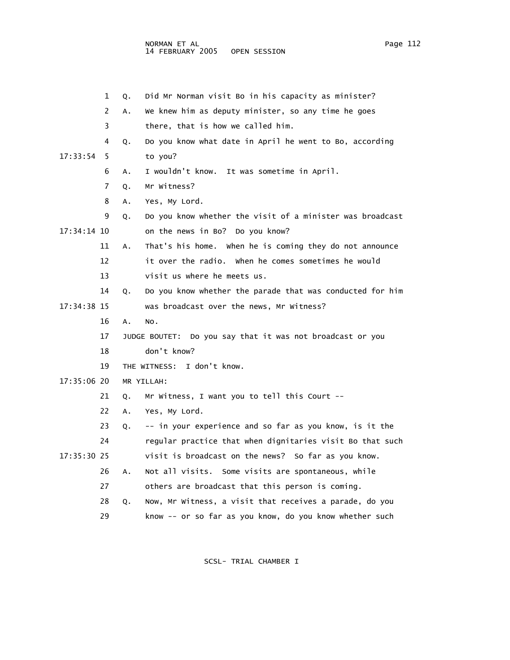|               | 1  | 0. | Did Mr Norman visit Bo in his capacity as minister?       |
|---------------|----|----|-----------------------------------------------------------|
|               | 2  | A. | We knew him as deputy minister, so any time he goes       |
|               | 3  |    | there, that is how we called him.                         |
|               | 4  | Q. | Do you know what date in April he went to Bo, according   |
| 17:33:54      | 5  |    | to you?                                                   |
|               | 6  | А. | I wouldn't know. It was sometime in April.                |
|               | 7  | Q. | Mr Witness?                                               |
|               | 8  | A. | Yes, My Lord.                                             |
|               | 9  | Q. | Do you know whether the visit of a minister was broadcast |
| 17:34:14 10   |    |    | on the news in Bo? Do you know?                           |
|               | 11 | A. | That's his home. When he is coming they do not announce   |
|               | 12 |    | it over the radio. When he comes sometimes he would       |
|               | 13 |    | visit us where he meets us.                               |
|               | 14 | Q. | Do you know whether the parade that was conducted for him |
| 17:34:38 15   |    |    | was broadcast over the news, Mr Witness?                  |
|               | 16 | Α. | NO.                                                       |
|               | 17 |    | JUDGE BOUTET: Do you say that it was not broadcast or you |
|               | 18 |    | don't know?                                               |
|               | 19 |    | THE WITNESS: I don't know.                                |
| $17:35:06$ 20 |    |    | MR YILLAH:                                                |
|               | 21 | Q. | Mr Witness, I want you to tell this Court --              |
|               | 22 | Α. | Yes, My Lord.                                             |
|               | 23 | Q. | -- in your experience and so far as you know, is it the   |
|               | 24 |    | regular practice that when dignitaries visit Bo that such |

17:35:30 25 visit is broadcast on the news? So far as you know.

26 A. Not all visits. Some visits are spontaneous, while

- 27 others are broadcast that this person is coming.
- 28 Q. Now, Mr Witness, a visit that receives a parade, do you

29 know -- or so far as you know, do you know whether such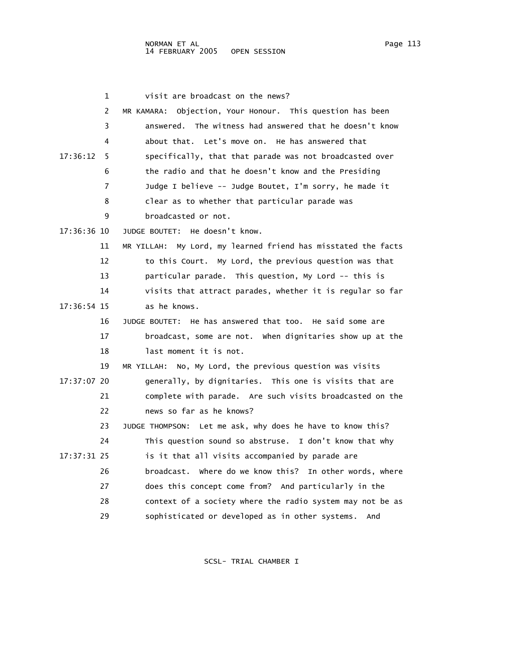| 1              | visit are broadcast on the news?                              |
|----------------|---------------------------------------------------------------|
| 2              | MR KAMARA: Objection, Your Honour. This question has been     |
| 3              | answered. The witness had answered that he doesn't know       |
| 4              | about that. Let's move on. He has answered that               |
| 17:36:12<br>5  | specifically, that that parade was not broadcasted over       |
| 6              | the radio and that he doesn't know and the Presiding          |
| $\overline{7}$ | Judge I believe -- Judge Boutet, I'm sorry, he made it        |
| 8              | clear as to whether that particular parade was                |
| 9              | broadcasted or not.                                           |
| 17:36:36 10    | JUDGE BOUTET: He doesn't know.                                |
| 11             | MR YILLAH: My Lord, my learned friend has misstated the facts |
| 12             | to this Court. My Lord, the previous question was that        |
| 13             | particular parade. This question, My Lord -- this is          |
| 14             | visits that attract parades, whether it is regular so far     |
| 17:36:54 15    | as he knows.                                                  |
| 16             | JUDGE BOUTET: He has answered that too. He said some are      |
| 17             | broadcast, some are not. When dignitaries show up at the      |
| 18             | last moment it is not.                                        |
| 19             | MR YILLAH: No, My Lord, the previous question was visits      |
| 17:37:07 20    | generally, by dignitaries. This one is visits that are        |
| 21             | complete with parade. Are such visits broadcasted on the      |
| 22             | news so far as he knows?                                      |
| 23             | JUDGE THOMPSON: Let me ask, why does he have to know this?    |
| 24             | This question sound so abstruse. I don't know that why        |
| 17:37:31 25    | is it that all visits accompanied by parade are               |
| 26             | broadcast. Where do we know this? In other words, where       |
| 27             | does this concept come from? And particularly in the          |
| 28             | context of a society where the radio system may not be as     |
| 29             | sophisticated or developed as in other systems.<br>And        |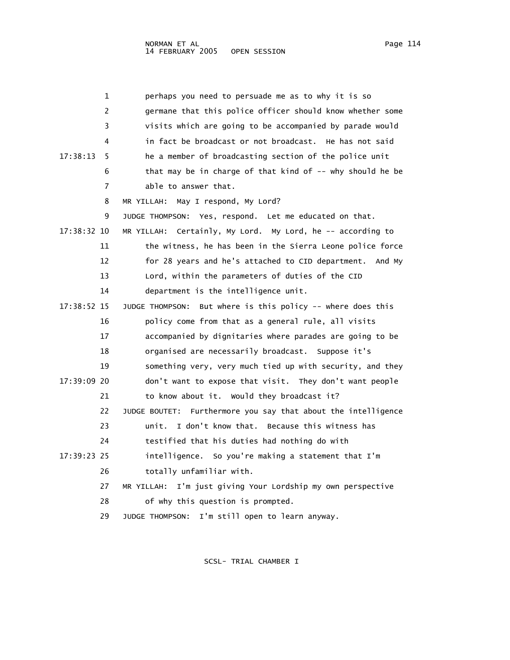| 1             | perhaps you need to persuade me as to why it is so             |
|---------------|----------------------------------------------------------------|
| 2             | germane that this police officer should know whether some      |
| 3             | visits which are going to be accompanied by parade would       |
| 4             | in fact be broadcast or not broadcast. He has not said         |
| 17:38:13<br>5 | he a member of broadcasting section of the police unit         |
| 6             | that may be in charge of that kind of -- why should he be      |
| 7             | able to answer that.                                           |
| 8             | May I respond, My Lord?<br>MR YILLAH:                          |
| 9             | JUDGE THOMPSON: Yes, respond. Let me educated on that.         |
| 17:38:32 10   | MR YILLAH: Certainly, My Lord. My Lord, he -- according to     |
| 11            | the witness, he has been in the Sierra Leone police force      |
| 12            | for 28 years and he's attached to CID department. And My       |
| 13            | Lord, within the parameters of duties of the CID               |
| 14            | department is the intelligence unit.                           |
| 17:38:52 15   | But where is this policy -- where does this<br>JUDGE THOMPSON: |
| 16            | policy come from that as a general rule, all visits            |
| 17            | accompanied by dignitaries where parades are going to be       |
| 18            | organised are necessarily broadcast. Suppose it's              |
| 19            | something very, very much tied up with security, and they      |
| 17:39:09 20   | don't want to expose that visit. They don't want people        |
| 21            | to know about it. Would they broadcast it?                     |
| 22            | JUDGE BOUTET: Furthermore you say that about the intelligence  |
| 23            | I don't know that. Because this witness has<br>unit.           |
| 24            | testified that his duties had nothing do with                  |
| 17:39:23 25   | intelligence. So you're making a statement that I'm            |
| 26            | totally unfamiliar with.                                       |
| 27            | I'm just giving Your Lordship my own perspective<br>MR YILLAH: |
| 28            | of why this question is prompted.                              |
| 29            | I'm still open to learn anyway.<br>JUDGE THOMPSON:             |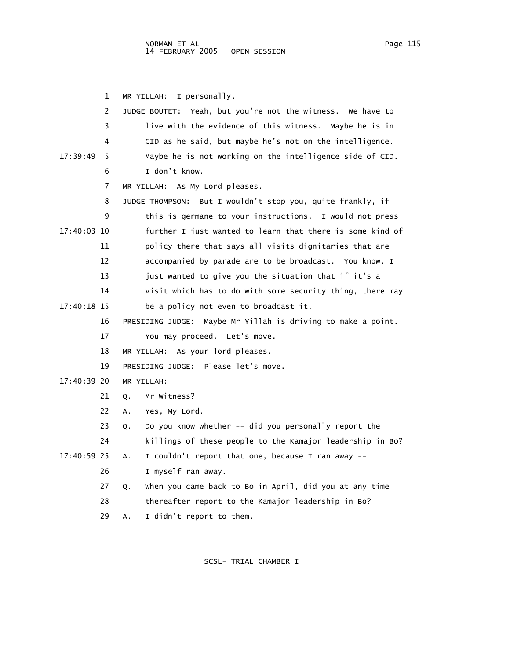1 MR YILLAH: I personally. 2 JUDGE BOUTET: Yeah, but you're not the witness. We have to 3 live with the evidence of this witness. Maybe he is in 4 CID as he said, but maybe he's not on the intelligence. 17:39:49 5 Maybe he is not working on the intelligence side of CID. 6 I don't know. 7 MR YILLAH: As My Lord pleases. 8 JUDGE THOMPSON: But I wouldn't stop you, quite frankly, if 9 this is germane to your instructions. I would not press 17:40:03 10 further I just wanted to learn that there is some kind of 11 policy there that says all visits dignitaries that are 12 accompanied by parade are to be broadcast. You know, I 13 just wanted to give you the situation that if it's a 14 visit which has to do with some security thing, there may 17:40:18 15 be a policy not even to broadcast it. 16 PRESIDING JUDGE: Maybe Mr Yillah is driving to make a point. 17 You may proceed. Let's move. 18 MR YILLAH: As your lord pleases. 19 PRESIDING JUDGE: Please let's move. 17:40:39 20 MR YILLAH: 21 Q. Mr Witness? 22 A. Yes, My Lord. 23 Q. Do you know whether -- did you personally report the 24 killings of these people to the Kamajor leadership in Bo? 17:40:59 25 A. I couldn't report that one, because I ran away -- 26 I myself ran away. 27 Q. When you came back to Bo in April, did you at any time 28 thereafter report to the Kamajor leadership in Bo? 29 A. I didn't report to them.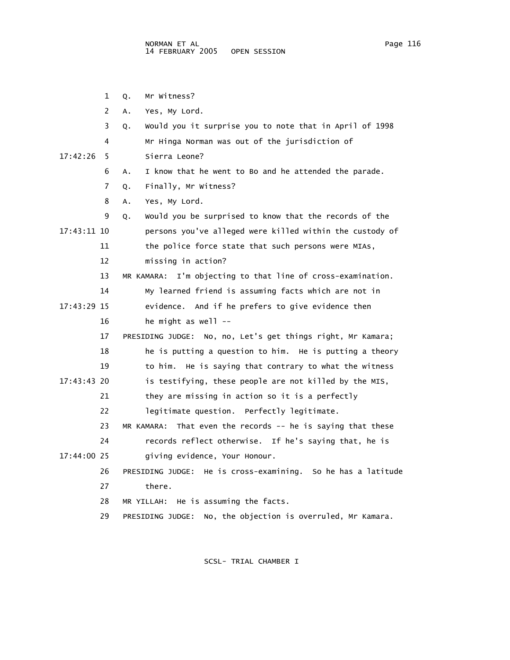1 Q. Mr Witness?

|             | 2  | Yes, My Lord.<br>Α.                                             |
|-------------|----|-----------------------------------------------------------------|
|             | 3  | Would you it surprise you to note that in April of 1998<br>Q.   |
|             | 4  | Mr Hinga Norman was out of the jurisdiction of                  |
| 17:42:26    | 5  | Sierra Leone?                                                   |
|             | 6  | I know that he went to Bo and he attended the parade.<br>Α.     |
|             | 7  | Finally, Mr Witness?<br>Q.                                      |
|             | 8  | Yes, My Lord.<br>Α.                                             |
|             | 9  | Would you be surprised to know that the records of the<br>Q.    |
| 17:43:11 10 |    | persons you've alleged were killed within the custody of        |
|             | 11 | the police force state that such persons were MIAs,             |
|             | 12 | missing in action?                                              |
|             | 13 | I'm objecting to that line of cross-examination.<br>MR KAMARA:  |
|             | 14 | My learned friend is assuming facts which are not in            |
| 17:43:29 15 |    | evidence. And if he prefers to give evidence then               |
|             | 16 | he might as well --                                             |
|             | 17 | PRESIDING JUDGE: No, no, Let's get things right, Mr Kamara;     |
|             | 18 | he is putting a question to him. He is putting a theory         |
|             | 19 | to him. He is saying that contrary to what the witness          |
| 17:43:43 20 |    | is testifying, these people are not killed by the MIS,          |
|             | 21 | they are missing in action so it is a perfectly                 |
|             | 22 | legitimate question. Perfectly legitimate.                      |
|             | 23 | That even the records $-$ he is saying that these<br>MR KAMARA: |
|             | 24 | records reflect otherwise. If he's saying that, he is           |
| 17:44:00 25 |    | giving evidence, Your Honour.                                   |
|             | 26 | PRESIDING JUDGE: He is cross-examining. So he has a latitude    |
|             | 27 | there.                                                          |
|             | 28 | He is assuming the facts.<br>MR YILLAH:                         |
|             | 29 | No, the objection is overruled, Mr Kamara.<br>PRESIDING JUDGE:  |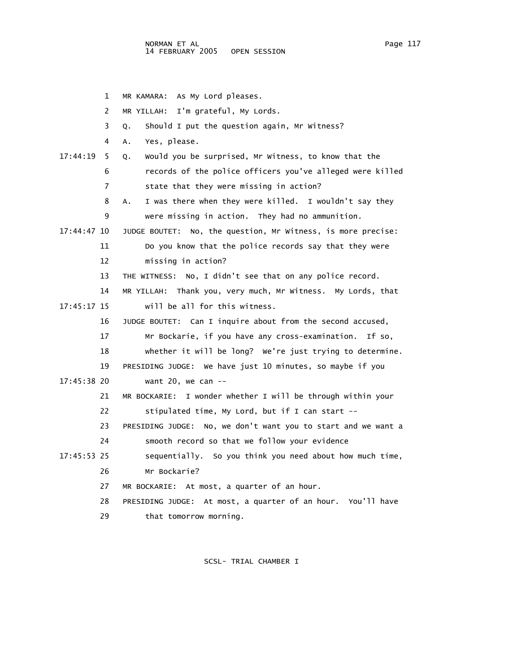|             | 1              | MR KAMARA: As My Lord pleases.                                 |
|-------------|----------------|----------------------------------------------------------------|
|             | $\overline{2}$ | MR YILLAH: I'm grateful, My Lords.                             |
|             | 3              | Should I put the question again, Mr Witness?<br>Q.             |
|             | 4              | Yes, please.<br>Α.                                             |
| 17:44:19    | 5.             | Would you be surprised, Mr Witness, to know that the<br>Q.     |
|             | 6              | records of the police officers you've alleged were killed      |
|             | 7              | state that they were missing in action?                        |
|             | 8              | I was there when they were killed. I wouldn't say they<br>A.   |
|             | 9              | were missing in action. They had no ammunition.                |
| 17:44:47 10 |                | JUDGE BOUTET: No, the question, Mr Witness, is more precise:   |
|             | 11             | Do you know that the police records say that they were         |
|             | 12             | missing in action?                                             |
|             | 13             | THE WITNESS: No, I didn't see that on any police record.       |
|             | 14             | MR YILLAH: Thank you, very much, Mr Witness. My Lords, that    |
| 17:45:17 15 |                | will be all for this witness.                                  |
|             | 16             | JUDGE BOUTET: Can I inquire about from the second accused,     |
|             | 17             | Mr Bockarie, if you have any cross-examination. If so,         |
|             | 18             | whether it will be long? We're just trying to determine.       |
|             | 19             | PRESIDING JUDGE: We have just 10 minutes, so maybe if you      |
| 17:45:38 20 |                | want 20, we can $-$                                            |
|             | 21             | I wonder whether I will be through within your<br>MR BOCKARIE: |
|             | 22             | stipulated time, My Lord, but if I can start --                |
|             | 23             | PRESIDING JUDGE: No, we don't want you to start and we want a  |
|             | 24             | smooth record so that we follow your evidence                  |
| 17:45:53 25 |                | sequentially. So you think you need about how much time,       |
|             | 26             | Mr Bockarie?                                                   |
|             | 27             | MR BOCKARIE: At most, a quarter of an hour.                    |
|             | 28             | PRESIDING JUDGE: At most, a quarter of an hour. You'll have    |
|             | 29             | that tomorrow morning.                                         |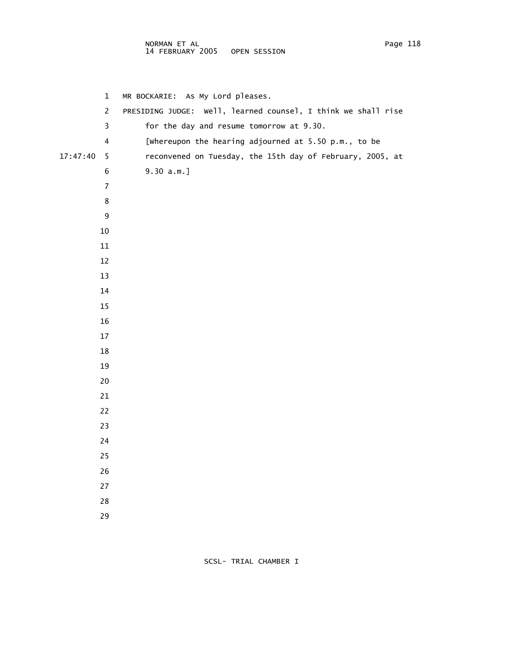## NORMAN ET AL Page 118 14 FEBRUARY 2005 OPEN SESSION

|          | $\mathbf 1$             | MR BOCKARIE: As My Lord pleases.                              |
|----------|-------------------------|---------------------------------------------------------------|
|          | $\overline{c}$          | PRESIDING JUDGE: Well, learned counsel, I think we shall rise |
|          | 3                       | for the day and resume tomorrow at 9.30.                      |
|          | $\overline{\mathbf{4}}$ | [whereupon the hearing adjourned at 5.50 p.m., to be          |
| 17:47:40 | 5                       | reconvened on Tuesday, the 15th day of February, 2005, at     |
|          | 6                       | $9.30 a.m.$ ]                                                 |
|          | $\overline{7}$          |                                                               |
|          | 8                       |                                                               |
|          | 9                       |                                                               |
|          | 10                      |                                                               |
|          | $11\,$                  |                                                               |
|          | 12                      |                                                               |
|          | 13                      |                                                               |
|          | 14                      |                                                               |
|          | 15                      |                                                               |
|          | 16                      |                                                               |
|          | 17                      |                                                               |
|          | 18                      |                                                               |
|          | 19                      |                                                               |
|          | 20                      |                                                               |
|          | 21                      |                                                               |
|          | 22                      |                                                               |
|          | 23                      |                                                               |
|          | 24                      |                                                               |
|          | 25                      |                                                               |
|          | 26                      |                                                               |
|          | 27                      |                                                               |
|          | $28\,$                  |                                                               |
|          | 29                      |                                                               |